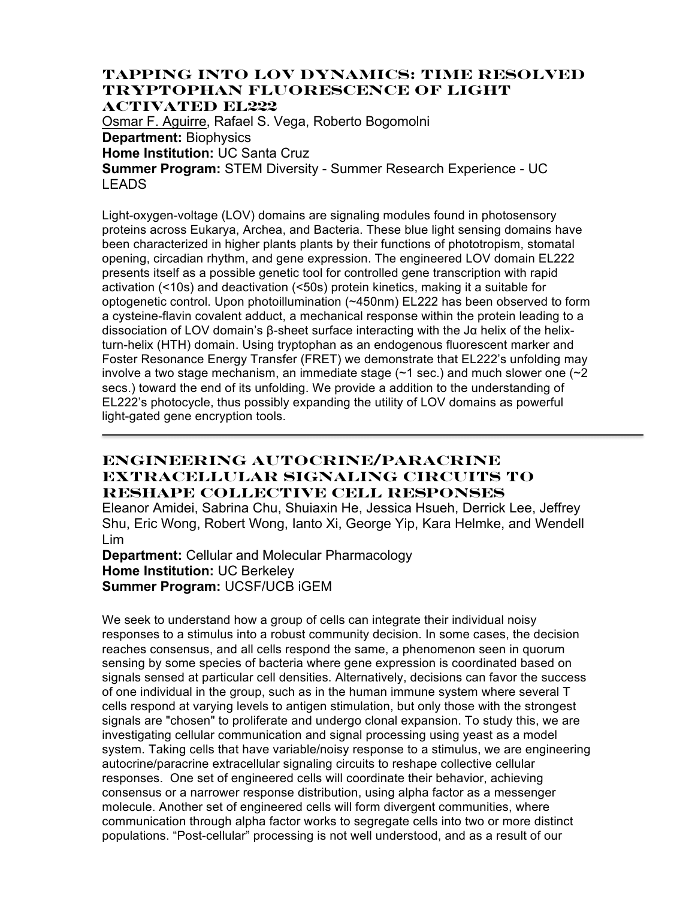### **TAPPING INTO LOV DYNAMICS: TIME RESOLVED TRYPTOPHAN FLUORESCENCE OF LIGHT ACTIVATED EL222**

Osmar F. Aguirre, Rafael S. Vega, Roberto Bogomolni **Department:** Biophysics **Home Institution:** UC Santa Cruz **Summer Program:** STEM Diversity - Summer Research Experience - UC LEADS

Light-oxygen-voltage (LOV) domains are signaling modules found in photosensory proteins across Eukarya, Archea, and Bacteria. These blue light sensing domains have been characterized in higher plants plants by their functions of phototropism, stomatal opening, circadian rhythm, and gene expression. The engineered LOV domain EL222 presents itself as a possible genetic tool for controlled gene transcription with rapid activation (<10s) and deactivation (<50s) protein kinetics, making it a suitable for optogenetic control. Upon photoillumination (~450nm) EL222 has been observed to form a cysteine-flavin covalent adduct, a mechanical response within the protein leading to a dissociation of LOV domain's β-sheet surface interacting with the Jα helix of the helixturn-helix (HTH) domain. Using tryptophan as an endogenous fluorescent marker and Foster Resonance Energy Transfer (FRET) we demonstrate that EL222's unfolding may involve a two stage mechanism, an immediate stage  $(\sim 1 \text{ sec.})$  and much slower one  $(\sim 2 \text{ sec.})$ secs.) toward the end of its unfolding. We provide a addition to the understanding of EL222's photocycle, thus possibly expanding the utility of LOV domains as powerful light-gated gene encryption tools.

# **Engineering autocrine/paracrine extracellular signaling circuits to reshape collective cell responses**

Eleanor Amidei, Sabrina Chu, Shuiaxin He, Jessica Hsueh, Derrick Lee, Jeffrey Shu, Eric Wong, Robert Wong, Ianto Xi, George Yip, Kara Helmke, and Wendell Lim

### **Department:** Cellular and Molecular Pharmacology **Home Institution:** UC Berkeley **Summer Program:** UCSF/UCB iGEM

We seek to understand how a group of cells can integrate their individual noisy responses to a stimulus into a robust community decision. In some cases, the decision reaches consensus, and all cells respond the same, a phenomenon seen in quorum sensing by some species of bacteria where gene expression is coordinated based on signals sensed at particular cell densities. Alternatively, decisions can favor the success of one individual in the group, such as in the human immune system where several T cells respond at varying levels to antigen stimulation, but only those with the strongest signals are "chosen" to proliferate and undergo clonal expansion. To study this, we are investigating cellular communication and signal processing using yeast as a model system. Taking cells that have variable/noisy response to a stimulus, we are engineering autocrine/paracrine extracellular signaling circuits to reshape collective cellular responses. One set of engineered cells will coordinate their behavior, achieving consensus or a narrower response distribution, using alpha factor as a messenger molecule. Another set of engineered cells will form divergent communities, where communication through alpha factor works to segregate cells into two or more distinct populations. "Post-cellular" processing is not well understood, and as a result of our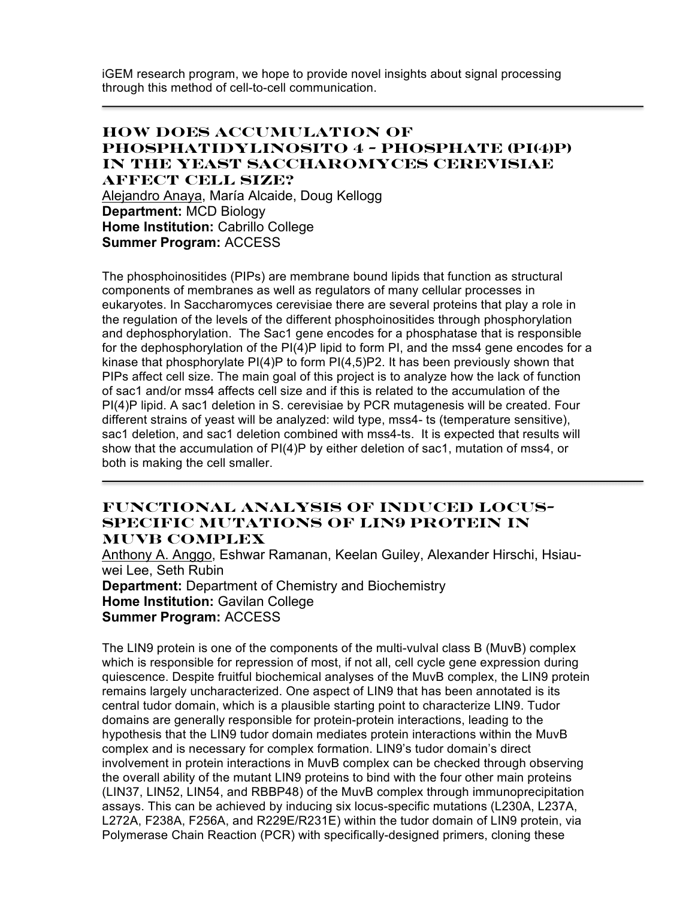iGEM research program, we hope to provide novel insights about signal processing through this method of cell-to-cell communication.

### **How Does Accumulation of Phosphatidylinosito 4 - Phosphate (PI(4)P) in the Yeast Saccharomyces cerevisiae Affect Cell Size?** Alejandro Anaya, María Alcaide, Doug Kellogg **Department:** MCD Biology **Home Institution:** Cabrillo College **Summer Program:** ACCESS

The phosphoinositides (PIPs) are membrane bound lipids that function as structural components of membranes as well as regulators of many cellular processes in eukaryotes. In Saccharomyces cerevisiae there are several proteins that play a role in the regulation of the levels of the different phosphoinositides through phosphorylation and dephosphorylation. The Sac1 gene encodes for a phosphatase that is responsible for the dephosphorylation of the PI(4)P lipid to form PI, and the mss4 gene encodes for a kinase that phosphorylate PI(4)P to form PI(4,5)P2. It has been previously shown that PIPs affect cell size. The main goal of this project is to analyze how the lack of function of sac1 and/or mss4 affects cell size and if this is related to the accumulation of the PI(4)P lipid. A sac1 deletion in S. cerevisiae by PCR mutagenesis will be created. Four different strains of yeast will be analyzed: wild type, mss4- ts (temperature sensitive), sac1 deletion, and sac1 deletion combined with mss4-ts. It is expected that results will show that the accumulation of PI(4)P by either deletion of sac1, mutation of mss4, or both is making the cell smaller.

#### **Functional Analysis of Induced Locus-Specific Mutations of LIN9 Protein in MuvB Complex**

Anthony A. Anggo, Eshwar Ramanan, Keelan Guiley, Alexander Hirschi, Hsiauwei Lee, Seth Rubin **Department:** Department of Chemistry and Biochemistry **Home Institution:** Gavilan College **Summer Program:** ACCESS

The LIN9 protein is one of the components of the multi-vulval class B (MuvB) complex which is responsible for repression of most, if not all, cell cycle gene expression during quiescence. Despite fruitful biochemical analyses of the MuvB complex, the LIN9 protein remains largely uncharacterized. One aspect of LIN9 that has been annotated is its central tudor domain, which is a plausible starting point to characterize LIN9. Tudor domains are generally responsible for protein-protein interactions, leading to the hypothesis that the LIN9 tudor domain mediates protein interactions within the MuvB complex and is necessary for complex formation. LIN9's tudor domain's direct involvement in protein interactions in MuvB complex can be checked through observing the overall ability of the mutant LIN9 proteins to bind with the four other main proteins (LIN37, LIN52, LIN54, and RBBP48) of the MuvB complex through immunoprecipitation assays. This can be achieved by inducing six locus-specific mutations (L230A, L237A, L272A, F238A, F256A, and R229E/R231E) within the tudor domain of LIN9 protein, via Polymerase Chain Reaction (PCR) with specifically-designed primers, cloning these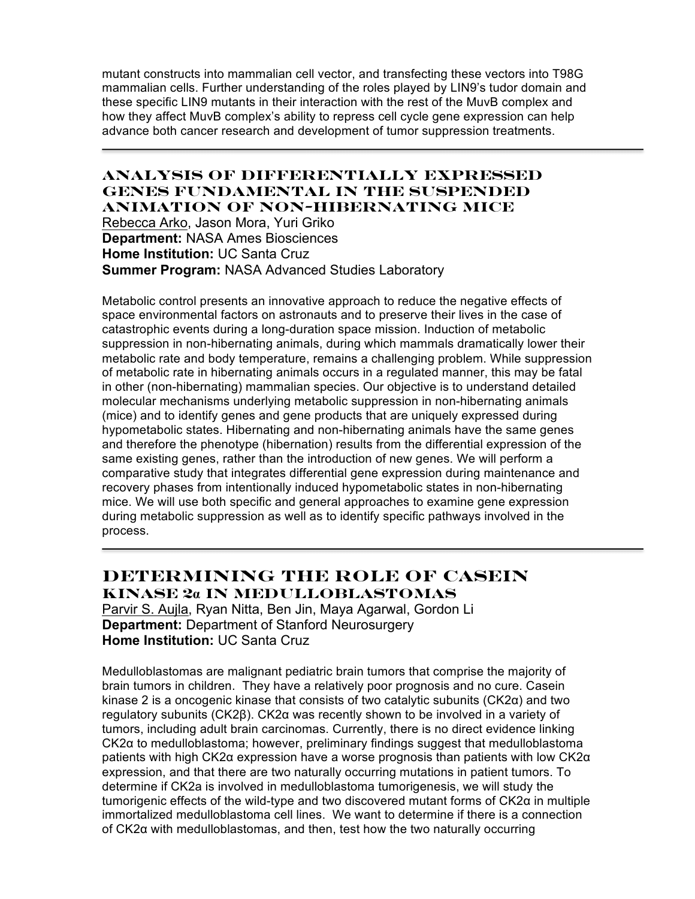mutant constructs into mammalian cell vector, and transfecting these vectors into T98G mammalian cells. Further understanding of the roles played by LIN9's tudor domain and these specific LIN9 mutants in their interaction with the rest of the MuvB complex and how they affect MuvB complex's ability to repress cell cycle gene expression can help advance both cancer research and development of tumor suppression treatments.

### **Analysis of Differentially Expressed Genes Fundamental in the Suspended Animation of Non-hibernating Mice**

Rebecca Arko, Jason Mora, Yuri Griko **Department:** NASA Ames Biosciences **Home Institution:** UC Santa Cruz **Summer Program:** NASA Advanced Studies Laboratory

Metabolic control presents an innovative approach to reduce the negative effects of space environmental factors on astronauts and to preserve their lives in the case of catastrophic events during a long-duration space mission. Induction of metabolic suppression in non-hibernating animals, during which mammals dramatically lower their metabolic rate and body temperature, remains a challenging problem. While suppression of metabolic rate in hibernating animals occurs in a regulated manner, this may be fatal in other (non-hibernating) mammalian species. Our objective is to understand detailed molecular mechanisms underlying metabolic suppression in non-hibernating animals (mice) and to identify genes and gene products that are uniquely expressed during hypometabolic states. Hibernating and non-hibernating animals have the same genes and therefore the phenotype (hibernation) results from the differential expression of the same existing genes, rather than the introduction of new genes. We will perform a comparative study that integrates differential gene expression during maintenance and recovery phases from intentionally induced hypometabolic states in non-hibernating mice. We will use both specific and general approaches to examine gene expression during metabolic suppression as well as to identify specific pathways involved in the process.

# **Determining the Role of Casein Kinase 2α in Medulloblastomas**

Parvir S. Aujla, Ryan Nitta, Ben Jin, Maya Agarwal, Gordon Li **Department:** Department of Stanford Neurosurgery **Home Institution:** UC Santa Cruz

Medulloblastomas are malignant pediatric brain tumors that comprise the majority of brain tumors in children. They have a relatively poor prognosis and no cure. Casein kinase 2 is a oncogenic kinase that consists of two catalytic subunits  $(CK2\alpha)$  and two regulatory subunits (CK2β). CK2α was recently shown to be involved in a variety of tumors, including adult brain carcinomas. Currently, there is no direct evidence linking CK2α to medulloblastoma; however, preliminary findings suggest that medulloblastoma patients with high CK2α expression have a worse prognosis than patients with low CK2α expression, and that there are two naturally occurring mutations in patient tumors. To determine if CK2a is involved in medulloblastoma tumorigenesis, we will study the tumorigenic effects of the wild-type and two discovered mutant forms of CK2α in multiple immortalized medulloblastoma cell lines. We want to determine if there is a connection of CK2α with medulloblastomas, and then, test how the two naturally occurring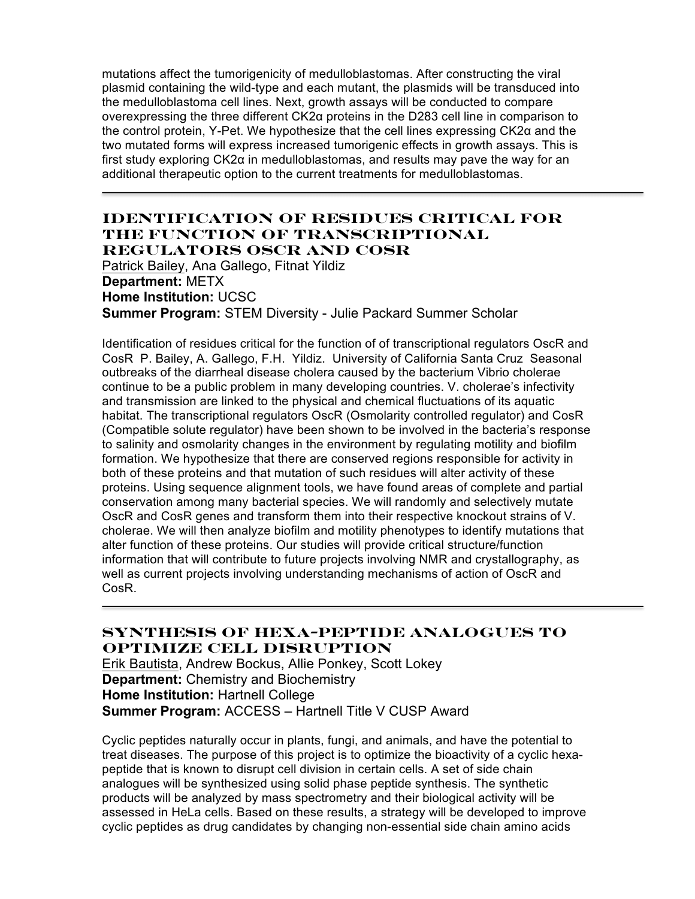mutations affect the tumorigenicity of medulloblastomas. After constructing the viral plasmid containing the wild-type and each mutant, the plasmids will be transduced into the medulloblastoma cell lines. Next, growth assays will be conducted to compare overexpressing the three different CK2α proteins in the D283 cell line in comparison to the control protein, Y-Pet. We hypothesize that the cell lines expressing CK2α and the two mutated forms will express increased tumorigenic effects in growth assays. This is first study exploring CK2α in medulloblastomas, and results may pave the way for an additional therapeutic option to the current treatments for medulloblastomas.

### **Identification of residues critical for the function of transcriptional regulators OscR and CosR**

Patrick Bailey, Ana Gallego, Fitnat Yildiz **Department:** METX **Home Institution:** UCSC **Summer Program:** STEM Diversity - Julie Packard Summer Scholar

Identification of residues critical for the function of of transcriptional regulators OscR and CosR P. Bailey, A. Gallego, F.H. Yildiz. University of California Santa Cruz Seasonal outbreaks of the diarrheal disease cholera caused by the bacterium Vibrio cholerae continue to be a public problem in many developing countries. V. cholerae's infectivity and transmission are linked to the physical and chemical fluctuations of its aquatic habitat. The transcriptional regulators OscR (Osmolarity controlled regulator) and CosR (Compatible solute regulator) have been shown to be involved in the bacteria's response to salinity and osmolarity changes in the environment by regulating motility and biofilm formation. We hypothesize that there are conserved regions responsible for activity in both of these proteins and that mutation of such residues will alter activity of these proteins. Using sequence alignment tools, we have found areas of complete and partial conservation among many bacterial species. We will randomly and selectively mutate OscR and CosR genes and transform them into their respective knockout strains of V. cholerae. We will then analyze biofilm and motility phenotypes to identify mutations that alter function of these proteins. Our studies will provide critical structure/function information that will contribute to future projects involving NMR and crystallography, as well as current projects involving understanding mechanisms of action of OscR and CosR.

# **Synthesis of Hexa-Peptide Analogues to Optimize Cell Disruption**

Erik Bautista, Andrew Bockus, Allie Ponkey, Scott Lokey **Department:** Chemistry and Biochemistry **Home Institution:** Hartnell College **Summer Program:** ACCESS – Hartnell Title V CUSP Award

Cyclic peptides naturally occur in plants, fungi, and animals, and have the potential to treat diseases. The purpose of this project is to optimize the bioactivity of a cyclic hexapeptide that is known to disrupt cell division in certain cells. A set of side chain analogues will be synthesized using solid phase peptide synthesis. The synthetic products will be analyzed by mass spectrometry and their biological activity will be assessed in HeLa cells. Based on these results, a strategy will be developed to improve cyclic peptides as drug candidates by changing non-essential side chain amino acids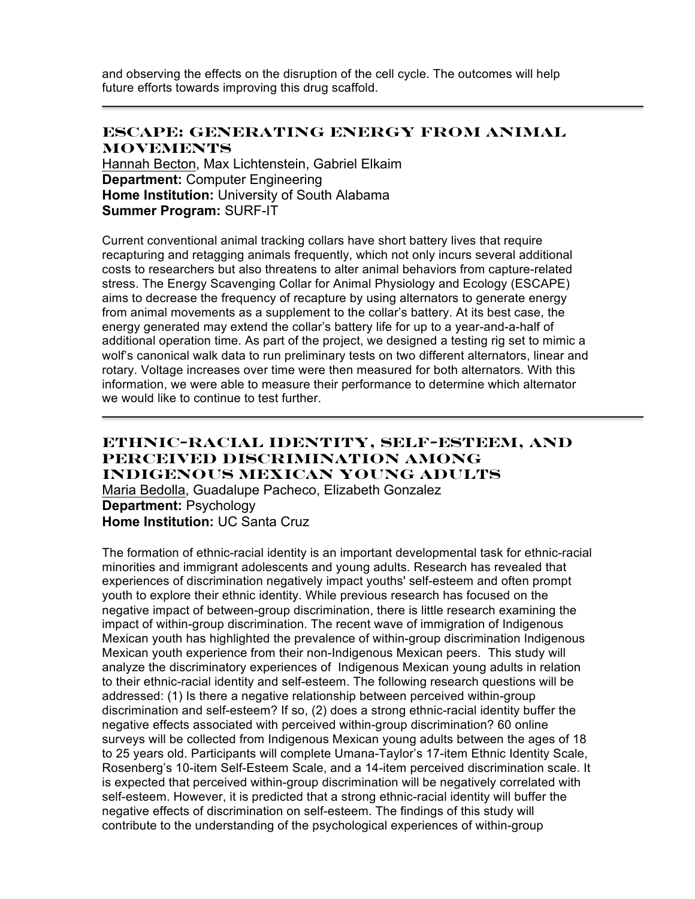and observing the effects on the disruption of the cell cycle. The outcomes will help future efforts towards improving this drug scaffold.

#### **ESCAPE: Generating Energy from Animal Movements**

Hannah Becton, Max Lichtenstein, Gabriel Elkaim **Department:** Computer Engineering **Home Institution:** University of South Alabama **Summer Program:** SURF-IT

Current conventional animal tracking collars have short battery lives that require recapturing and retagging animals frequently, which not only incurs several additional costs to researchers but also threatens to alter animal behaviors from capture-related stress. The Energy Scavenging Collar for Animal Physiology and Ecology (ESCAPE) aims to decrease the frequency of recapture by using alternators to generate energy from animal movements as a supplement to the collar's battery. At its best case, the energy generated may extend the collar's battery life for up to a year-and-a-half of additional operation time. As part of the project, we designed a testing rig set to mimic a wolf's canonical walk data to run preliminary tests on two different alternators, linear and rotary. Voltage increases over time were then measured for both alternators. With this information, we were able to measure their performance to determine which alternator we would like to continue to test further.

### **Ethnic-Racial Identity, Self-Esteem, and Perceived Discrimination Among Indigenous Mexican Young Adults** Maria Bedolla, Guadalupe Pacheco, Elizabeth Gonzalez

**Department:** Psychology **Home Institution:** UC Santa Cruz

The formation of ethnic-racial identity is an important developmental task for ethnic-racial minorities and immigrant adolescents and young adults. Research has revealed that experiences of discrimination negatively impact youths' self-esteem and often prompt youth to explore their ethnic identity. While previous research has focused on the negative impact of between-group discrimination, there is little research examining the impact of within-group discrimination. The recent wave of immigration of Indigenous Mexican youth has highlighted the prevalence of within-group discrimination Indigenous Mexican youth experience from their non-Indigenous Mexican peers. This study will analyze the discriminatory experiences of Indigenous Mexican young adults in relation to their ethnic-racial identity and self-esteem. The following research questions will be addressed: (1) Is there a negative relationship between perceived within-group discrimination and self-esteem? If so, (2) does a strong ethnic-racial identity buffer the negative effects associated with perceived within-group discrimination? 60 online surveys will be collected from Indigenous Mexican young adults between the ages of 18 to 25 years old. Participants will complete Umana-Taylor's 17-item Ethnic Identity Scale, Rosenberg's 10-item Self-Esteem Scale, and a 14-item perceived discrimination scale. It is expected that perceived within-group discrimination will be negatively correlated with self-esteem. However, it is predicted that a strong ethnic-racial identity will buffer the negative effects of discrimination on self-esteem. The findings of this study will contribute to the understanding of the psychological experiences of within-group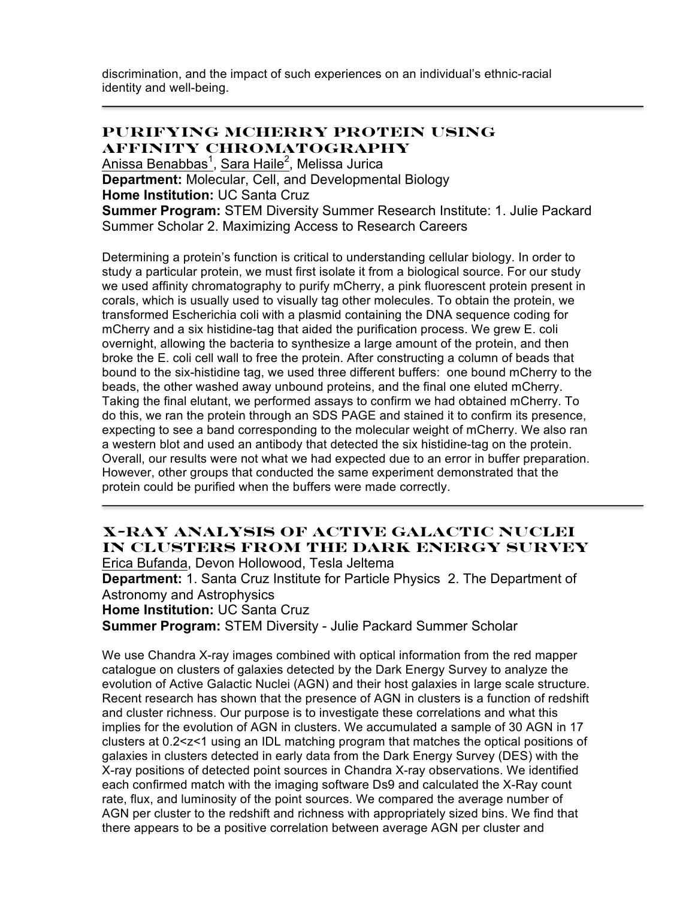discrimination, and the impact of such experiences on an individual's ethnic-racial identity and well-being.

#### **Purifying mCherry Protein Using Affinity Chromatography**

<u>Anissa Benabbas<sup>1</sup>, Sara Haile<sup>2</sup>,</u> Melissa Jurica

**Department:** Molecular, Cell, and Developmental Biology

**Home Institution:** UC Santa Cruz

**Summer Program:** STEM Diversity Summer Research Institute: 1. Julie Packard Summer Scholar 2. Maximizing Access to Research Careers

Determining a protein's function is critical to understanding cellular biology. In order to study a particular protein, we must first isolate it from a biological source. For our study we used affinity chromatography to purify mCherry, a pink fluorescent protein present in corals, which is usually used to visually tag other molecules. To obtain the protein, we transformed Escherichia coli with a plasmid containing the DNA sequence coding for mCherry and a six histidine-tag that aided the purification process. We grew E. coli overnight, allowing the bacteria to synthesize a large amount of the protein, and then broke the E. coli cell wall to free the protein. After constructing a column of beads that bound to the six-histidine tag, we used three different buffers: one bound mCherry to the beads, the other washed away unbound proteins, and the final one eluted mCherry. Taking the final elutant, we performed assays to confirm we had obtained mCherry. To do this, we ran the protein through an SDS PAGE and stained it to confirm its presence, expecting to see a band corresponding to the molecular weight of mCherry. We also ran a western blot and used an antibody that detected the six histidine-tag on the protein. Overall, our results were not what we had expected due to an error in buffer preparation. However, other groups that conducted the same experiment demonstrated that the protein could be purified when the buffers were made correctly.

# **X-Ray Analysis of Active Galactic Nuclei in Clusters from the Dark Energy Survey**

Erica Bufanda, Devon Hollowood, Tesla Jeltema **Department:** 1. Santa Cruz Institute for Particle Physics 2. The Department of Astronomy and Astrophysics **Home Institution:** UC Santa Cruz

**Summer Program:** STEM Diversity - Julie Packard Summer Scholar

We use Chandra X-ray images combined with optical information from the red mapper catalogue on clusters of galaxies detected by the Dark Energy Survey to analyze the evolution of Active Galactic Nuclei (AGN) and their host galaxies in large scale structure. Recent research has shown that the presence of AGN in clusters is a function of redshift and cluster richness. Our purpose is to investigate these correlations and what this implies for the evolution of AGN in clusters. We accumulated a sample of 30 AGN in 17 clusters at 0.2<z<1 using an IDL matching program that matches the optical positions of galaxies in clusters detected in early data from the Dark Energy Survey (DES) with the X-ray positions of detected point sources in Chandra X-ray observations. We identified each confirmed match with the imaging software Ds9 and calculated the X-Ray count rate, flux, and luminosity of the point sources. We compared the average number of AGN per cluster to the redshift and richness with appropriately sized bins. We find that there appears to be a positive correlation between average AGN per cluster and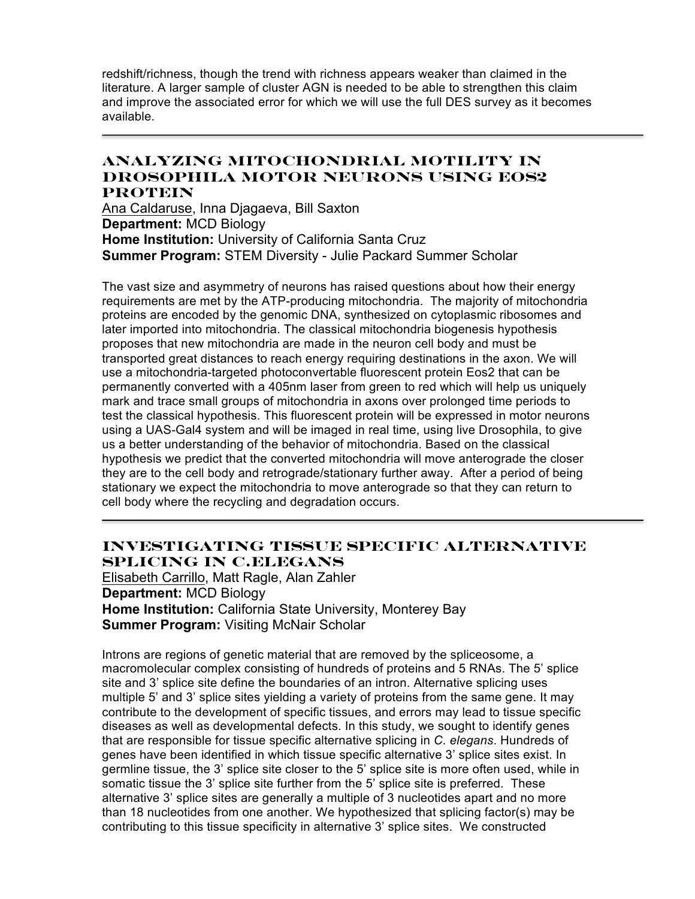redshift/richness, though the trend with richness appears weaker than claimed in the literature. A larger sample of cluster AGN is needed to be able to strengthen this claim and improve the associated error for which we will use the full DES survey as it becomes available.

### **Analyzing Mitochondrial Motility in Drosophila Motor Neurons Using Eos2 Protein**

Ana Caldaruse, Inna Djagaeva, Bill Saxton **Department:** MCD Biology **Home Institution:** University of California Santa Cruz **Summer Program:** STEM Diversity - Julie Packard Summer Scholar

The vast size and asymmetry of neurons has raised questions about how their energy requirements are met by the ATP-producing mitochondria. The majority of mitochondria proteins are encoded by the genomic DNA, synthesized on cytoplasmic ribosomes and later imported into mitochondria. The classical mitochondria biogenesis hypothesis proposes that new mitochondria are made in the neuron cell body and must be transported great distances to reach energy requiring destinations in the axon. We will use a mitochondria-targeted photoconvertable fluorescent protein Eos2 that can be permanently converted with a 405nm laser from green to red which will help us uniquely mark and trace small groups of mitochondria in axons over prolonged time periods to test the classical hypothesis. This fluorescent protein will be expressed in motor neurons using a UAS-Gal4 system and will be imaged in real time, using live Drosophila, to give us a better understanding of the behavior of mitochondria. Based on the classical hypothesis we predict that the converted mitochondria will move anterograde the closer they are to the cell body and retrograde/stationary further away. After a period of being stationary we expect the mitochondria to move anterograde so that they can return to cell body where the recycling and degradation occurs.

# **Investigating Tissue Specific Alternative Splicing in C.elegans**

Elisabeth Carrillo, Matt Ragle, Alan Zahler **Department:** MCD Biology **Home Institution:** California State University, Monterey Bay **Summer Program:** Visiting McNair Scholar

Introns are regions of genetic material that are removed by the spliceosome, a macromolecular complex consisting of hundreds of proteins and 5 RNAs. The 5' splice site and 3' splice site define the boundaries of an intron. Alternative splicing uses multiple 5' and 3' splice sites yielding a variety of proteins from the same gene. It may contribute to the development of specific tissues, and errors may lead to tissue specific diseases as well as developmental defects. In this study, we sought to identify genes that are responsible for tissue specific alternative splicing in *C. elegans*. Hundreds of genes have been identified in which tissue specific alternative 3' splice sites exist. In germline tissue, the 3' splice site closer to the 5' splice site is more often used, while in somatic tissue the 3' splice site further from the 5' splice site is preferred. These alternative 3' splice sites are generally a multiple of 3 nucleotides apart and no more than 18 nucleotides from one another. We hypothesized that splicing factor(s) may be contributing to this tissue specificity in alternative 3' splice sites. We constructed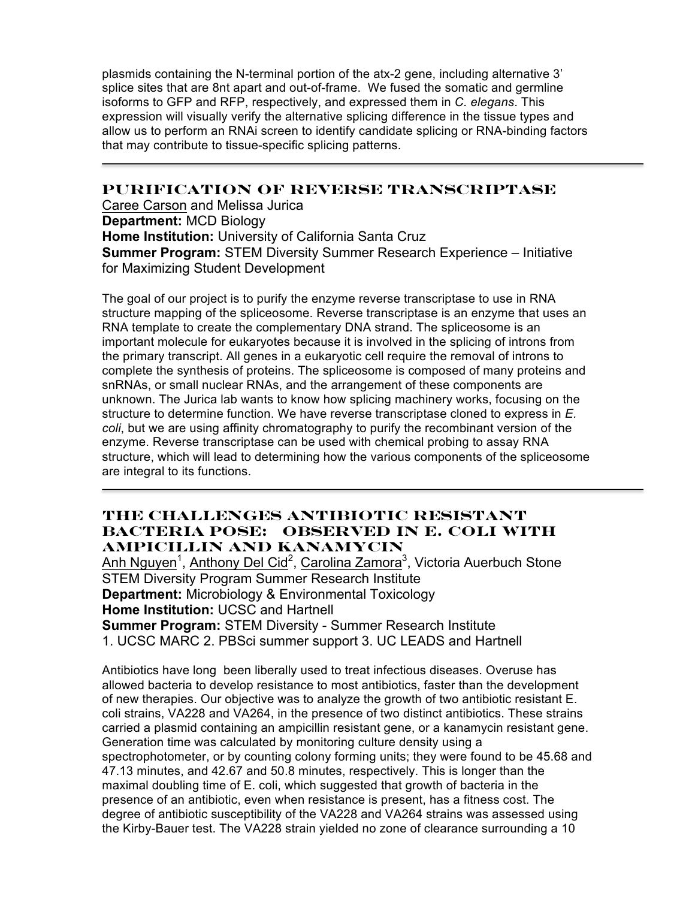plasmids containing the N-terminal portion of the atx-2 gene, including alternative 3' splice sites that are 8nt apart and out-of-frame. We fused the somatic and germline isoforms to GFP and RFP, respectively, and expressed them in *C. elegans*. This expression will visually verify the alternative splicing difference in the tissue types and allow us to perform an RNAi screen to identify candidate splicing or RNA-binding factors that may contribute to tissue-specific splicing patterns.

### **Purification of Reverse Transcriptase**

Caree Carson and Melissa Jurica **Department:** MCD Biology **Home Institution:** University of California Santa Cruz **Summer Program:** STEM Diversity Summer Research Experience – Initiative for Maximizing Student Development

The goal of our project is to purify the enzyme reverse transcriptase to use in RNA structure mapping of the spliceosome. Reverse transcriptase is an enzyme that uses an RNA template to create the complementary DNA strand. The spliceosome is an important molecule for eukaryotes because it is involved in the splicing of introns from the primary transcript. All genes in a eukaryotic cell require the removal of introns to complete the synthesis of proteins. The spliceosome is composed of many proteins and snRNAs, or small nuclear RNAs, and the arrangement of these components are unknown. The Jurica lab wants to know how splicing machinery works, focusing on the structure to determine function. We have reverse transcriptase cloned to express in *E. coli*, but we are using affinity chromatography to purify the recombinant version of the enzyme. Reverse transcriptase can be used with chemical probing to assay RNA structure, which will lead to determining how the various components of the spliceosome are integral to its functions.

## **The Challenges Antibiotic Resistant Bacteria Pose: Observed in E. Coli with Ampicillin and Kanamycin**

Anh Nguyen<sup>1</sup>, Anthony Del Cid<sup>2</sup>, Carolina Zamora<sup>3</sup>, Victoria Auerbuch Stone STEM Diversity Program Summer Research Institute **Department:** Microbiology & Environmental Toxicology **Home Institution:** UCSC and Hartnell **Summer Program:** STEM Diversity - Summer Research Institute 1. UCSC MARC 2. PBSci summer support 3. UC LEADS and Hartnell

Antibiotics have long been liberally used to treat infectious diseases. Overuse has allowed bacteria to develop resistance to most antibiotics, faster than the development of new therapies. Our objective was to analyze the growth of two antibiotic resistant E. coli strains, VA228 and VA264, in the presence of two distinct antibiotics. These strains carried a plasmid containing an ampicillin resistant gene, or a kanamycin resistant gene. Generation time was calculated by monitoring culture density using a spectrophotometer, or by counting colony forming units; they were found to be 45.68 and 47.13 minutes, and 42.67 and 50.8 minutes, respectively. This is longer than the maximal doubling time of E. coli, which suggested that growth of bacteria in the presence of an antibiotic, even when resistance is present, has a fitness cost. The degree of antibiotic susceptibility of the VA228 and VA264 strains was assessed using the Kirby-Bauer test. The VA228 strain yielded no zone of clearance surrounding a 10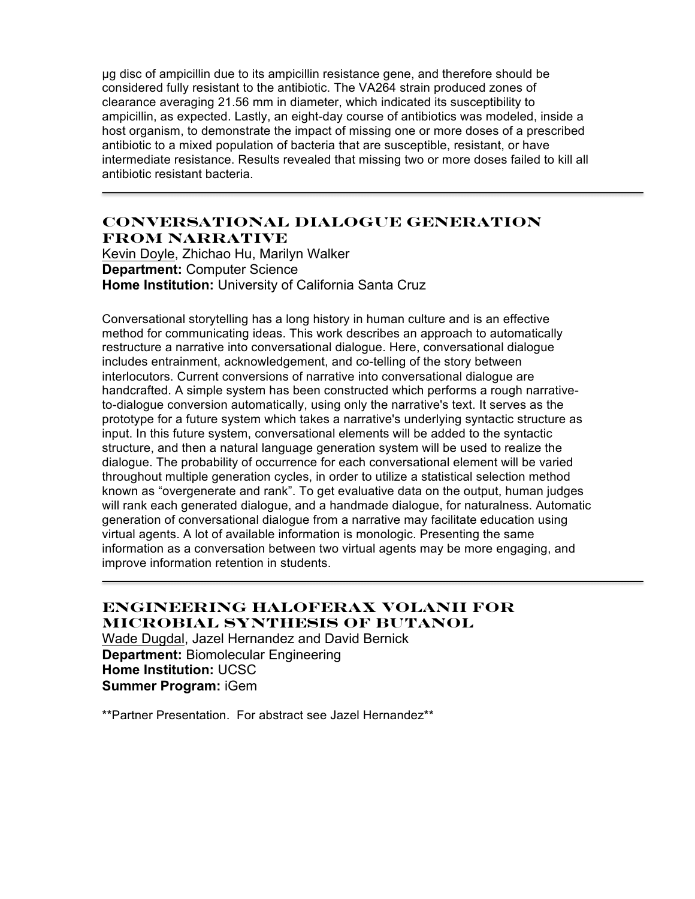µg disc of ampicillin due to its ampicillin resistance gene, and therefore should be considered fully resistant to the antibiotic. The VA264 strain produced zones of clearance averaging 21.56 mm in diameter, which indicated its susceptibility to ampicillin, as expected. Lastly, an eight-day course of antibiotics was modeled, inside a host organism, to demonstrate the impact of missing one or more doses of a prescribed antibiotic to a mixed population of bacteria that are susceptible, resistant, or have intermediate resistance. Results revealed that missing two or more doses failed to kill all antibiotic resistant bacteria.

### **Conversational Dialogue Generation from Narrative**

Kevin Doyle, Zhichao Hu, Marilyn Walker **Department:** Computer Science **Home Institution:** University of California Santa Cruz

Conversational storytelling has a long history in human culture and is an effective method for communicating ideas. This work describes an approach to automatically restructure a narrative into conversational dialogue. Here, conversational dialogue includes entrainment, acknowledgement, and co-telling of the story between interlocutors. Current conversions of narrative into conversational dialogue are handcrafted. A simple system has been constructed which performs a rough narrativeto-dialogue conversion automatically, using only the narrative's text. It serves as the prototype for a future system which takes a narrative's underlying syntactic structure as input. In this future system, conversational elements will be added to the syntactic structure, and then a natural language generation system will be used to realize the dialogue. The probability of occurrence for each conversational element will be varied throughout multiple generation cycles, in order to utilize a statistical selection method known as "overgenerate and rank". To get evaluative data on the output, human judges will rank each generated dialogue, and a handmade dialogue, for naturalness. Automatic generation of conversational dialogue from a narrative may facilitate education using virtual agents. A lot of available information is monologic. Presenting the same information as a conversation between two virtual agents may be more engaging, and improve information retention in students.

# **Engineering Haloferax Volanii for Microbial Synthesis of Butanol**

Wade Dugdal, Jazel Hernandez and David Bernick **Department:** Biomolecular Engineering **Home Institution:** UCSC **Summer Program:** iGem

\*\*Partner Presentation. For abstract see Jazel Hernandez\*\*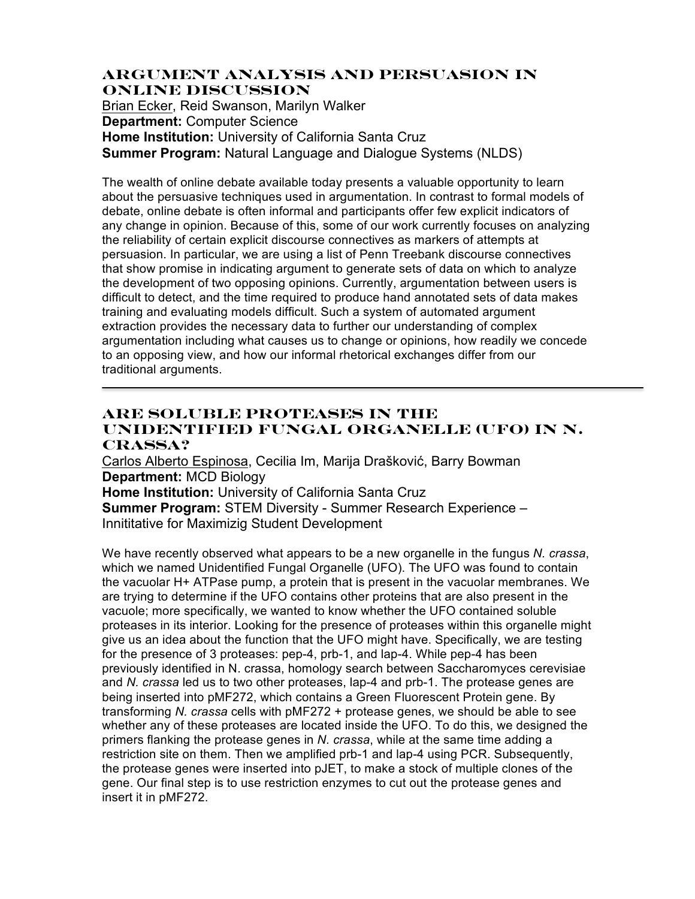#### **Argument Analysis and Persuasion in Online Discussion**

Brian Ecker, Reid Swanson, Marilyn Walker **Department:** Computer Science **Home Institution:** University of California Santa Cruz **Summer Program:** Natural Language and Dialogue Systems (NLDS)

The wealth of online debate available today presents a valuable opportunity to learn about the persuasive techniques used in argumentation. In contrast to formal models of debate, online debate is often informal and participants offer few explicit indicators of any change in opinion. Because of this, some of our work currently focuses on analyzing the reliability of certain explicit discourse connectives as markers of attempts at persuasion. In particular, we are using a list of Penn Treebank discourse connectives that show promise in indicating argument to generate sets of data on which to analyze the development of two opposing opinions. Currently, argumentation between users is difficult to detect, and the time required to produce hand annotated sets of data makes training and evaluating models difficult. Such a system of automated argument extraction provides the necessary data to further our understanding of complex argumentation including what causes us to change or opinions, how readily we concede to an opposing view, and how our informal rhetorical exchanges differ from our traditional arguments.

## **Are soluble proteases in the unidentified fungal organelle (UFO) in N. crassa?**

Carlos Alberto Espinosa, Cecilia Im, Marija Drašković, Barry Bowman **Department:** MCD Biology **Home Institution:** University of California Santa Cruz **Summer Program:** STEM Diversity - Summer Research Experience – Innititative for Maximizig Student Development

We have recently observed what appears to be a new organelle in the fungus *N. crassa*, which we named Unidentified Fungal Organelle (UFO). The UFO was found to contain the vacuolar H+ ATPase pump, a protein that is present in the vacuolar membranes. We are trying to determine if the UFO contains other proteins that are also present in the vacuole; more specifically, we wanted to know whether the UFO contained soluble proteases in its interior. Looking for the presence of proteases within this organelle might give us an idea about the function that the UFO might have. Specifically, we are testing for the presence of 3 proteases: pep-4, prb-1, and lap-4. While pep-4 has been previously identified in N. crassa, homology search between Saccharomyces cerevisiae and *N. crassa* led us to two other proteases, lap-4 and prb-1. The protease genes are being inserted into pMF272, which contains a Green Fluorescent Protein gene. By transforming *N. crassa* cells with pMF272 + protease genes, we should be able to see whether any of these proteases are located inside the UFO. To do this, we designed the primers flanking the protease genes in *N. crassa*, while at the same time adding a restriction site on them. Then we amplified prb-1 and lap-4 using PCR. Subsequently, the protease genes were inserted into pJET, to make a stock of multiple clones of the gene. Our final step is to use restriction enzymes to cut out the protease genes and insert it in pMF272.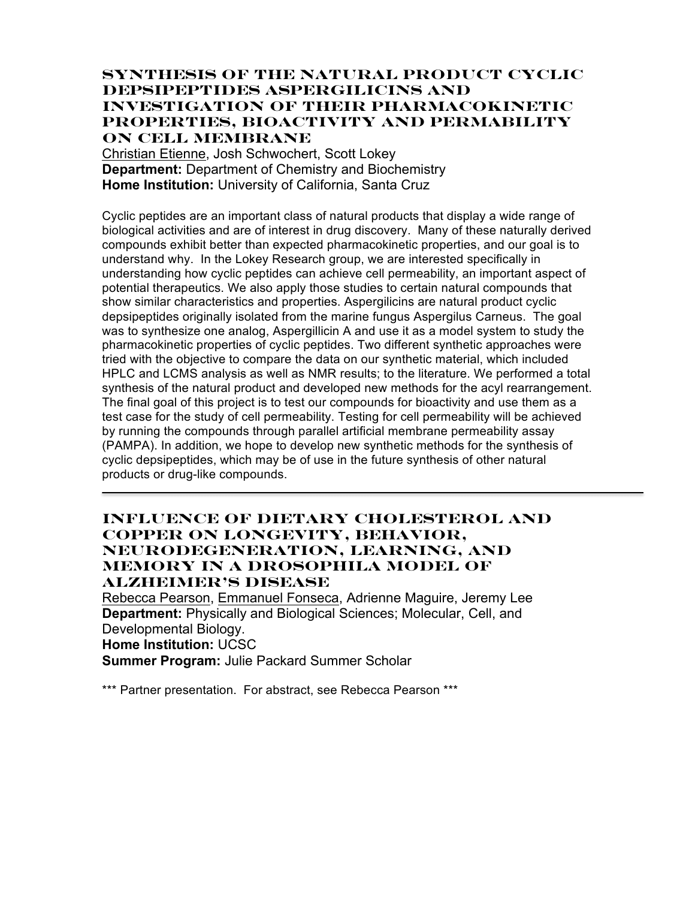## **SYNTHESIS OF THE NATURAL PRODUCT CYCLIC DEPSIPEPTIDES ASPERGILICINS AND INVESTIGATION OF THEIR PHARMACOKINETIC PROPERTIES, BIOACTIVITY AND PERMABILITY ON CELL MEMBRANE**

Christian Etienne, Josh Schwochert, Scott Lokey **Department:** Department of Chemistry and Biochemistry **Home Institution:** University of California, Santa Cruz

Cyclic peptides are an important class of natural products that display a wide range of biological activities and are of interest in drug discovery. Many of these naturally derived compounds exhibit better than expected pharmacokinetic properties, and our goal is to understand why. In the Lokey Research group, we are interested specifically in understanding how cyclic peptides can achieve cell permeability, an important aspect of potential therapeutics. We also apply those studies to certain natural compounds that show similar characteristics and properties. Aspergilicins are natural product cyclic depsipeptides originally isolated from the marine fungus Aspergilus Carneus. The goal was to synthesize one analog, Aspergillicin A and use it as a model system to study the pharmacokinetic properties of cyclic peptides. Two different synthetic approaches were tried with the objective to compare the data on our synthetic material, which included HPLC and LCMS analysis as well as NMR results; to the literature. We performed a total synthesis of the natural product and developed new methods for the acyl rearrangement. The final goal of this project is to test our compounds for bioactivity and use them as a test case for the study of cell permeability. Testing for cell permeability will be achieved by running the compounds through parallel artificial membrane permeability assay (PAMPA). In addition, we hope to develop new synthetic methods for the synthesis of cyclic depsipeptides, which may be of use in the future synthesis of other natural products or drug-like compounds.

### **Influence of Dietary Cholesterol and Copper on Longevity, Behavior, Neurodegeneration, Learning, and Memory in a Drosophila Model of Alzheimer's Disease**

Rebecca Pearson, Emmanuel Fonseca, Adrienne Maguire, Jeremy Lee **Department:** Physically and Biological Sciences; Molecular, Cell, and Developmental Biology. **Home Institution:** UCSC **Summer Program:** Julie Packard Summer Scholar

\*\*\* Partner presentation. For abstract, see Rebecca Pearson \*\*\*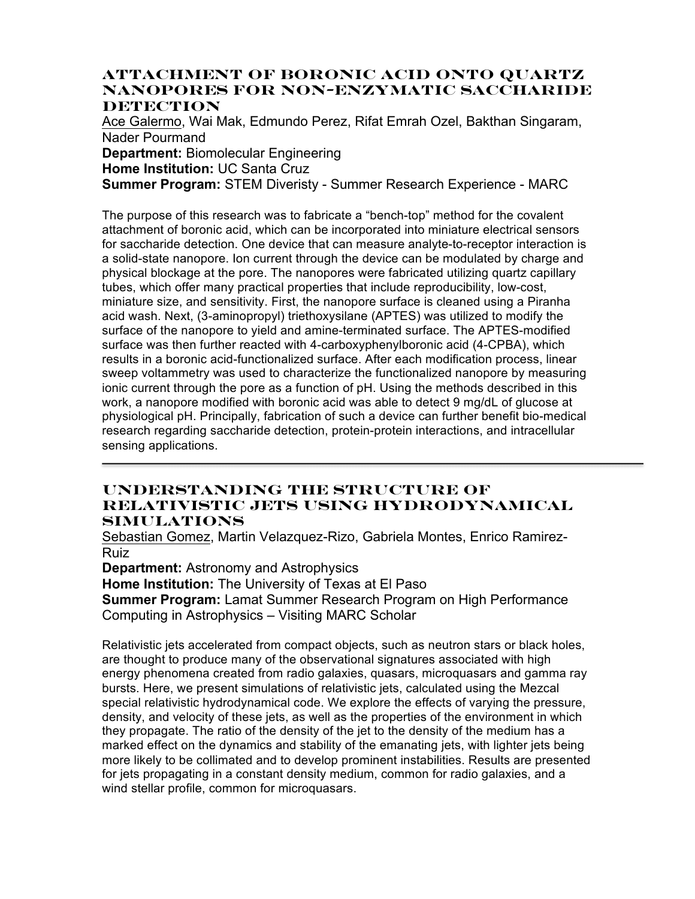### **Attachment of Boronic Acid onto Quartz Nanopores for Non-enzymatic Saccharide DETECTION**

Ace Galermo, Wai Mak, Edmundo Perez, Rifat Emrah Ozel, Bakthan Singaram, Nader Pourmand **Department:** Biomolecular Engineering **Home Institution:** UC Santa Cruz **Summer Program:** STEM Diveristy - Summer Research Experience - MARC

The purpose of this research was to fabricate a "bench-top" method for the covalent attachment of boronic acid, which can be incorporated into miniature electrical sensors for saccharide detection. One device that can measure analyte-to-receptor interaction is a solid-state nanopore. Ion current through the device can be modulated by charge and physical blockage at the pore. The nanopores were fabricated utilizing quartz capillary tubes, which offer many practical properties that include reproducibility, low-cost, miniature size, and sensitivity. First, the nanopore surface is cleaned using a Piranha acid wash. Next, (3-aminopropyl) triethoxysilane (APTES) was utilized to modify the surface of the nanopore to yield and amine-terminated surface. The APTES-modified surface was then further reacted with 4-carboxyphenylboronic acid (4-CPBA), which results in a boronic acid-functionalized surface. After each modification process, linear sweep voltammetry was used to characterize the functionalized nanopore by measuring ionic current through the pore as a function of pH. Using the methods described in this work, a nanopore modified with boronic acid was able to detect 9 mg/dL of glucose at physiological pH. Principally, fabrication of such a device can further benefit bio-medical research regarding saccharide detection, protein-protein interactions, and intracellular sensing applications.

### **Understanding the Structure of Relativistic Jets Using Hydrodynamical Simulations**

Sebastian Gomez, Martin Velazquez-Rizo, Gabriela Montes, Enrico Ramirez-Ruiz

**Department:** Astronomy and Astrophysics

**Home Institution:** The University of Texas at El Paso

**Summer Program:** Lamat Summer Research Program on High Performance Computing in Astrophysics – Visiting MARC Scholar

Relativistic jets accelerated from compact objects, such as neutron stars or black holes, are thought to produce many of the observational signatures associated with high energy phenomena created from radio galaxies, quasars, microquasars and gamma ray bursts. Here, we present simulations of relativistic jets, calculated using the Mezcal special relativistic hydrodynamical code. We explore the effects of varying the pressure, density, and velocity of these jets, as well as the properties of the environment in which they propagate. The ratio of the density of the jet to the density of the medium has a marked effect on the dynamics and stability of the emanating jets, with lighter jets being more likely to be collimated and to develop prominent instabilities. Results are presented for jets propagating in a constant density medium, common for radio galaxies, and a wind stellar profile, common for microquasars.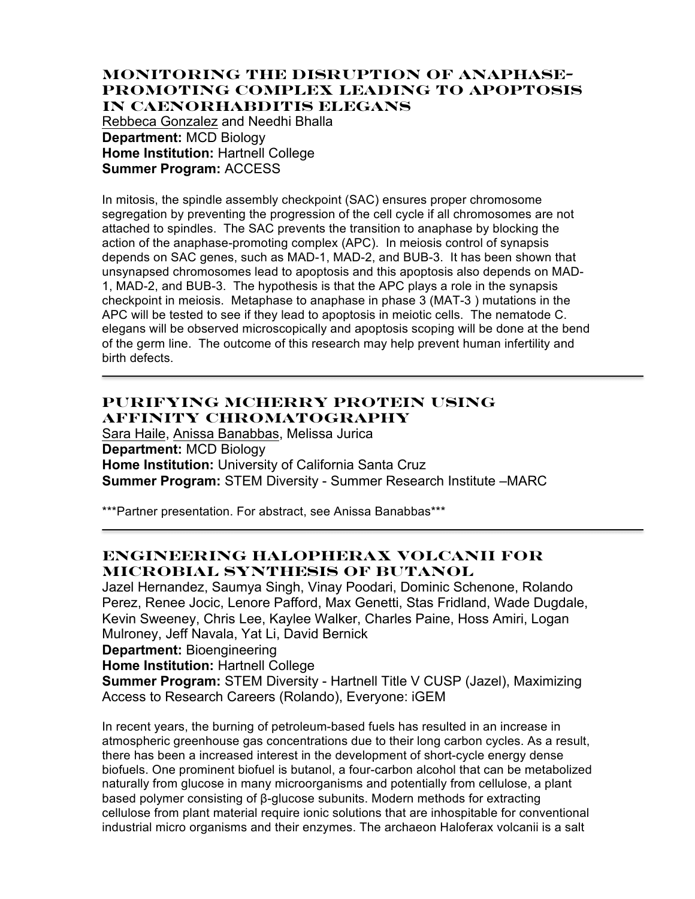#### **Monitoring the Disruption of Anaphase-Promoting Complex Leading to Apoptosis in Caenorhabditis elegans**

Rebbeca Gonzalez and Needhi Bhalla **Department:** MCD Biology **Home Institution: Hartnell College Summer Program:** ACCESS

In mitosis, the spindle assembly checkpoint (SAC) ensures proper chromosome segregation by preventing the progression of the cell cycle if all chromosomes are not attached to spindles. The SAC prevents the transition to anaphase by blocking the action of the anaphase-promoting complex (APC). In meiosis control of synapsis depends on SAC genes, such as MAD-1, MAD-2, and BUB-3. It has been shown that unsynapsed chromosomes lead to apoptosis and this apoptosis also depends on MAD-1, MAD-2, and BUB-3. The hypothesis is that the APC plays a role in the synapsis checkpoint in meiosis. Metaphase to anaphase in phase 3 (MAT-3 ) mutations in the APC will be tested to see if they lead to apoptosis in meiotic cells. The nematode C. elegans will be observed microscopically and apoptosis scoping will be done at the bend of the germ line. The outcome of this research may help prevent human infertility and birth defects.

# **Purifying mCherry Protein Using Affinity Chromatography**

Sara Haile, Anissa Banabbas, Melissa Jurica **Department:** MCD Biology **Home Institution:** University of California Santa Cruz **Summer Program:** STEM Diversity - Summer Research Institute –MARC

\*\*\*Partner presentation. For abstract, see Anissa Banabbas\*\*\*

# **Engineering Halopherax volcanii For Microbial Synthesis of Butanol**

Jazel Hernandez, Saumya Singh, Vinay Poodari, Dominic Schenone, Rolando Perez, Renee Jocic, Lenore Pafford, Max Genetti, Stas Fridland, Wade Dugdale, Kevin Sweeney, Chris Lee, Kaylee Walker, Charles Paine, Hoss Amiri, Logan Mulroney, Jeff Navala, Yat Li, David Bernick

**Department:** Bioengineering

**Home Institution:** Hartnell College

**Summer Program:** STEM Diversity - Hartnell Title V CUSP (Jazel), Maximizing Access to Research Careers (Rolando), Everyone: iGEM

In recent years, the burning of petroleum-based fuels has resulted in an increase in atmospheric greenhouse gas concentrations due to their long carbon cycles. As a result, there has been a increased interest in the development of short-cycle energy dense biofuels. One prominent biofuel is butanol, a four-carbon alcohol that can be metabolized naturally from glucose in many microorganisms and potentially from cellulose, a plant based polymer consisting of β-glucose subunits. Modern methods for extracting cellulose from plant material require ionic solutions that are inhospitable for conventional industrial micro organisms and their enzymes. The archaeon Haloferax volcanii is a salt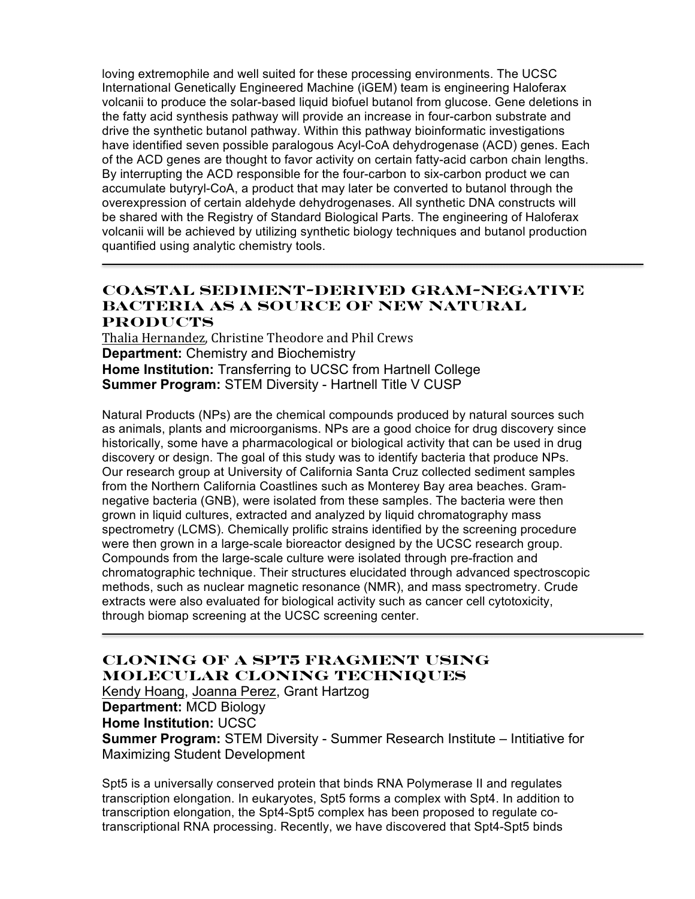loving extremophile and well suited for these processing environments. The UCSC International Genetically Engineered Machine (iGEM) team is engineering Haloferax volcanii to produce the solar-based liquid biofuel butanol from glucose. Gene deletions in the fatty acid synthesis pathway will provide an increase in four-carbon substrate and drive the synthetic butanol pathway. Within this pathway bioinformatic investigations have identified seven possible paralogous Acyl-CoA dehydrogenase (ACD) genes. Each of the ACD genes are thought to favor activity on certain fatty-acid carbon chain lengths. By interrupting the ACD responsible for the four-carbon to six-carbon product we can accumulate butyryl-CoA, a product that may later be converted to butanol through the overexpression of certain aldehyde dehydrogenases. All synthetic DNA constructs will be shared with the Registry of Standard Biological Parts. The engineering of Haloferax volcanii will be achieved by utilizing synthetic biology techniques and butanol production quantified using analytic chemistry tools.

# **Coastal Sediment-Derived Gram-Negative Bacteria as a Source of New Natural Products**

Thalia Hernandez, Christine Theodore and Phil Crews **Department:** Chemistry and Biochemistry **Home Institution:** Transferring to UCSC from Hartnell College **Summer Program:** STEM Diversity - Hartnell Title V CUSP

Natural Products (NPs) are the chemical compounds produced by natural sources such as animals, plants and microorganisms. NPs are a good choice for drug discovery since historically, some have a pharmacological or biological activity that can be used in drug discovery or design. The goal of this study was to identify bacteria that produce NPs. Our research group at University of California Santa Cruz collected sediment samples from the Northern California Coastlines such as Monterey Bay area beaches. Gramnegative bacteria (GNB), were isolated from these samples. The bacteria were then grown in liquid cultures, extracted and analyzed by liquid chromatography mass spectrometry (LCMS). Chemically prolific strains identified by the screening procedure were then grown in a large-scale bioreactor designed by the UCSC research group. Compounds from the large-scale culture were isolated through pre-fraction and chromatographic technique. Their structures elucidated through advanced spectroscopic methods, such as nuclear magnetic resonance (NMR), and mass spectrometry. Crude extracts were also evaluated for biological activity such as cancer cell cytotoxicity, through biomap screening at the UCSC screening center.

# **Cloning of a Spt5 fragment using molecular cloning techniques**

Kendy Hoang, Joanna Perez, Grant Hartzog **Department:** MCD Biology **Home Institution:** UCSC **Summer Program:** STEM Diversity - Summer Research Institute – Intitiative for Maximizing Student Development

Spt5 is a universally conserved protein that binds RNA Polymerase II and regulates transcription elongation. In eukaryotes, Spt5 forms a complex with Spt4. In addition to transcription elongation, the Spt4-Spt5 complex has been proposed to regulate cotranscriptional RNA processing. Recently, we have discovered that Spt4-Spt5 binds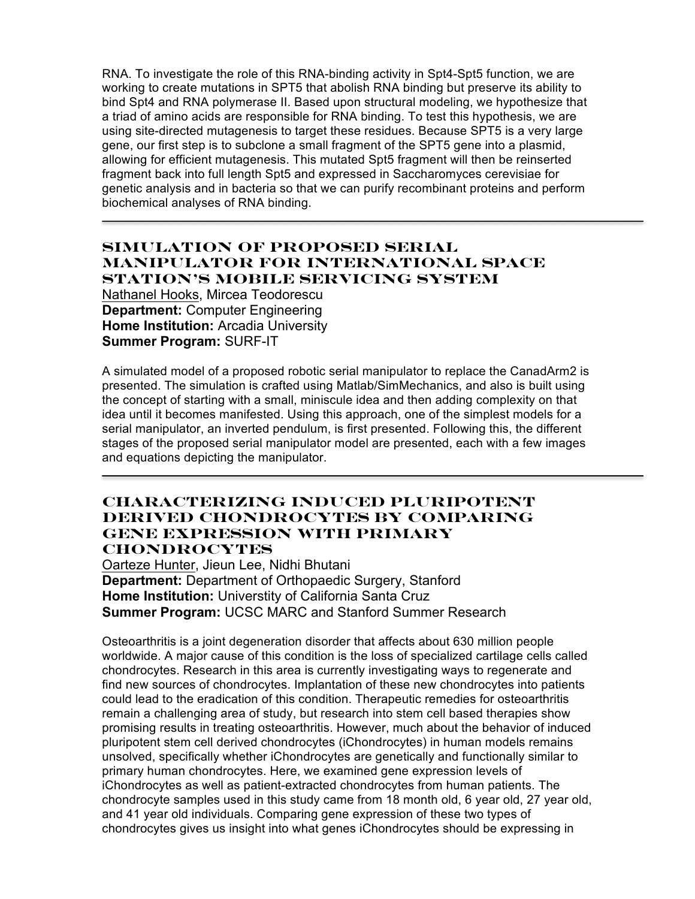RNA. To investigate the role of this RNA-binding activity in Spt4-Spt5 function, we are working to create mutations in SPT5 that abolish RNA binding but preserve its ability to bind Spt4 and RNA polymerase II. Based upon structural modeling, we hypothesize that a triad of amino acids are responsible for RNA binding. To test this hypothesis, we are using site-directed mutagenesis to target these residues. Because SPT5 is a very large gene, our first step is to subclone a small fragment of the SPT5 gene into a plasmid, allowing for efficient mutagenesis. This mutated Spt5 fragment will then be reinserted fragment back into full length Spt5 and expressed in Saccharomyces cerevisiae for genetic analysis and in bacteria so that we can purify recombinant proteins and perform biochemical analyses of RNA binding.

### **Simulation of Proposed Serial Manipulator for International Space Station's Mobile Servicing System**

Nathanel Hooks, Mircea Teodorescu **Department:** Computer Engineering **Home Institution:** Arcadia University **Summer Program:** SURF-IT

A simulated model of a proposed robotic serial manipulator to replace the CanadArm2 is presented. The simulation is crafted using Matlab/SimMechanics, and also is built using the concept of starting with a small, miniscule idea and then adding complexity on that idea until it becomes manifested. Using this approach, one of the simplest models for a serial manipulator, an inverted pendulum, is first presented. Following this, the different stages of the proposed serial manipulator model are presented, each with a few images and equations depicting the manipulator.

#### **Characterizing Induced Pluripotent Derived Chondrocytes by Comparing Gene Expression with Primary Chondrocytes**

Oarteze Hunter, Jieun Lee, Nidhi Bhutani **Department:** Department of Orthopaedic Surgery, Stanford **Home Institution:** Universtity of California Santa Cruz **Summer Program:** UCSC MARC and Stanford Summer Research

Osteoarthritis is a joint degeneration disorder that affects about 630 million people worldwide. A major cause of this condition is the loss of specialized cartilage cells called chondrocytes. Research in this area is currently investigating ways to regenerate and find new sources of chondrocytes. Implantation of these new chondrocytes into patients could lead to the eradication of this condition. Therapeutic remedies for osteoarthritis remain a challenging area of study, but research into stem cell based therapies show promising results in treating osteoarthritis. However, much about the behavior of induced pluripotent stem cell derived chondrocytes (iChondrocytes) in human models remains unsolved, specifically whether iChondrocytes are genetically and functionally similar to primary human chondrocytes. Here, we examined gene expression levels of iChondrocytes as well as patient-extracted chondrocytes from human patients. The chondrocyte samples used in this study came from 18 month old, 6 year old, 27 year old, and 41 year old individuals. Comparing gene expression of these two types of chondrocytes gives us insight into what genes iChondrocytes should be expressing in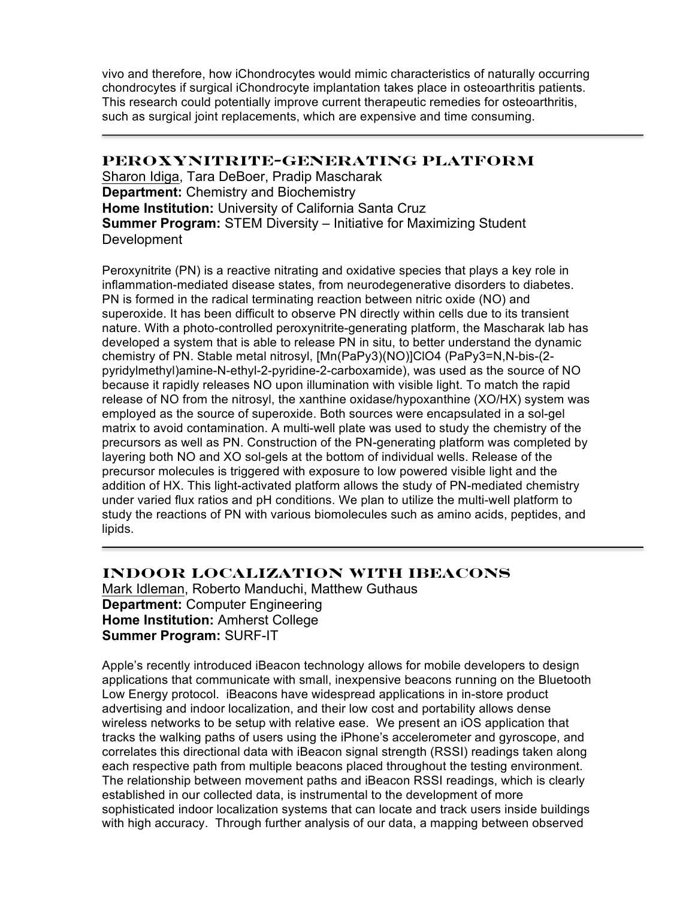vivo and therefore, how iChondrocytes would mimic characteristics of naturally occurring chondrocytes if surgical iChondrocyte implantation takes place in osteoarthritis patients. This research could potentially improve current therapeutic remedies for osteoarthritis, such as surgical joint replacements, which are expensive and time consuming.

### **PEROXYNITRITE-GENERATING PLATFORM**

Sharon Idiga, Tara DeBoer, Pradip Mascharak **Department:** Chemistry and Biochemistry **Home Institution:** University of California Santa Cruz **Summer Program:** STEM Diversity – Initiative for Maximizing Student Development

Peroxynitrite (PN) is a reactive nitrating and oxidative species that plays a key role in inflammation-mediated disease states, from neurodegenerative disorders to diabetes. PN is formed in the radical terminating reaction between nitric oxide (NO) and superoxide. It has been difficult to observe PN directly within cells due to its transient nature. With a photo-controlled peroxynitrite-generating platform, the Mascharak lab has developed a system that is able to release PN in situ, to better understand the dynamic chemistry of PN. Stable metal nitrosyl, [Mn(PaPy3)(NO)]ClO4 (PaPy3=N,N-bis-(2 pyridylmethyl)amine-N-ethyl-2-pyridine-2-carboxamide), was used as the source of NO because it rapidly releases NO upon illumination with visible light. To match the rapid release of NO from the nitrosyl, the xanthine oxidase/hypoxanthine (XO/HX) system was employed as the source of superoxide. Both sources were encapsulated in a sol-gel matrix to avoid contamination. A multi-well plate was used to study the chemistry of the precursors as well as PN. Construction of the PN-generating platform was completed by layering both NO and XO sol-gels at the bottom of individual wells. Release of the precursor molecules is triggered with exposure to low powered visible light and the addition of HX. This light-activated platform allows the study of PN-mediated chemistry under varied flux ratios and pH conditions. We plan to utilize the multi-well platform to study the reactions of PN with various biomolecules such as amino acids, peptides, and lipids.

## **Indoor Localization With iBeacons**

Mark Idleman, Roberto Manduchi, Matthew Guthaus **Department:** Computer Engineering **Home Institution:** Amherst College **Summer Program:** SURF-IT

Apple's recently introduced iBeacon technology allows for mobile developers to design applications that communicate with small, inexpensive beacons running on the Bluetooth Low Energy protocol. iBeacons have widespread applications in in-store product advertising and indoor localization, and their low cost and portability allows dense wireless networks to be setup with relative ease. We present an iOS application that tracks the walking paths of users using the iPhone's accelerometer and gyroscope, and correlates this directional data with iBeacon signal strength (RSSI) readings taken along each respective path from multiple beacons placed throughout the testing environment. The relationship between movement paths and iBeacon RSSI readings, which is clearly established in our collected data, is instrumental to the development of more sophisticated indoor localization systems that can locate and track users inside buildings with high accuracy. Through further analysis of our data, a mapping between observed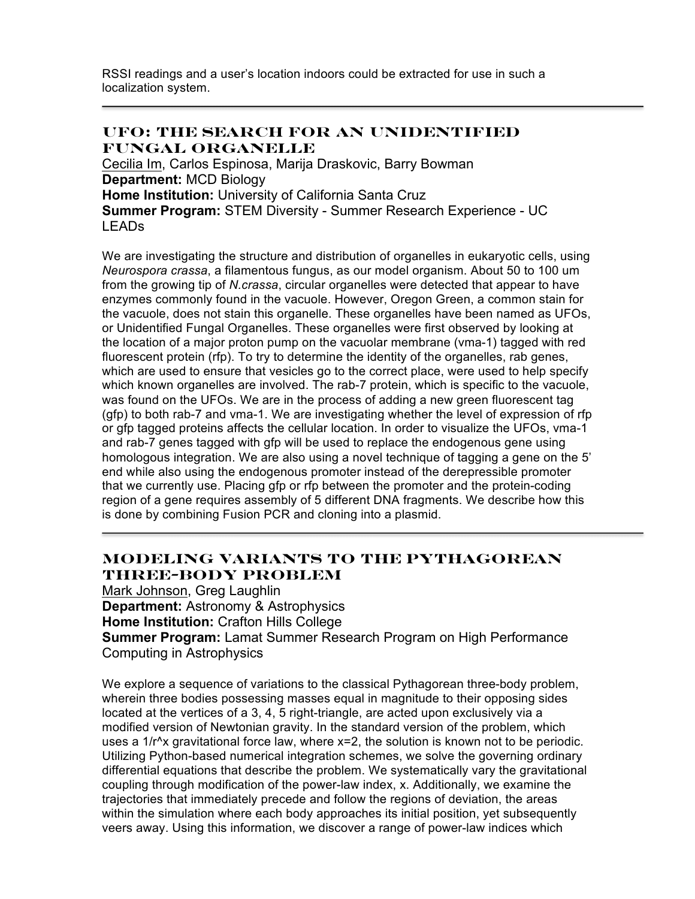RSSI readings and a user's location indoors could be extracted for use in such a localization system.

#### **UFO: The Search for an Unidentified Fungal Organelle**

Cecilia Im, Carlos Espinosa, Marija Draskovic, Barry Bowman **Department:** MCD Biology **Home Institution:** University of California Santa Cruz **Summer Program:** STEM Diversity - Summer Research Experience - UC LEADs

We are investigating the structure and distribution of organelles in eukaryotic cells, using *Neurospora crassa*, a filamentous fungus, as our model organism. About 50 to 100 um from the growing tip of *N.crassa*, circular organelles were detected that appear to have enzymes commonly found in the vacuole. However, Oregon Green, a common stain for the vacuole, does not stain this organelle. These organelles have been named as UFOs, or Unidentified Fungal Organelles. These organelles were first observed by looking at the location of a major proton pump on the vacuolar membrane (vma-1) tagged with red fluorescent protein (rfp). To try to determine the identity of the organelles, rab genes, which are used to ensure that vesicles go to the correct place, were used to help specify which known organelles are involved. The rab-7 protein, which is specific to the vacuole, was found on the UFOs. We are in the process of adding a new green fluorescent tag (gfp) to both rab-7 and vma-1. We are investigating whether the level of expression of rfp or gfp tagged proteins affects the cellular location. In order to visualize the UFOs, vma-1 and rab-7 genes tagged with gfp will be used to replace the endogenous gene using homologous integration. We are also using a novel technique of tagging a gene on the 5' end while also using the endogenous promoter instead of the derepressible promoter that we currently use. Placing gfp or rfp between the promoter and the protein-coding region of a gene requires assembly of 5 different DNA fragments. We describe how this is done by combining Fusion PCR and cloning into a plasmid.

# **Modeling Variants to the Pythagorean Three-Body Problem**

Mark Johnson, Greg Laughlin **Department:** Astronomy & Astrophysics **Home Institution:** Crafton Hills College **Summer Program:** Lamat Summer Research Program on High Performance Computing in Astrophysics

We explore a sequence of variations to the classical Pythagorean three-body problem, wherein three bodies possessing masses equal in magnitude to their opposing sides located at the vertices of a 3, 4, 5 right-triangle, are acted upon exclusively via a modified version of Newtonian gravity. In the standard version of the problem, which uses a 1/r<sup>^</sup>x gravitational force law, where x=2, the solution is known not to be periodic. Utilizing Python-based numerical integration schemes, we solve the governing ordinary differential equations that describe the problem. We systematically vary the gravitational coupling through modification of the power-law index, x. Additionally, we examine the trajectories that immediately precede and follow the regions of deviation, the areas within the simulation where each body approaches its initial position, yet subsequently veers away. Using this information, we discover a range of power-law indices which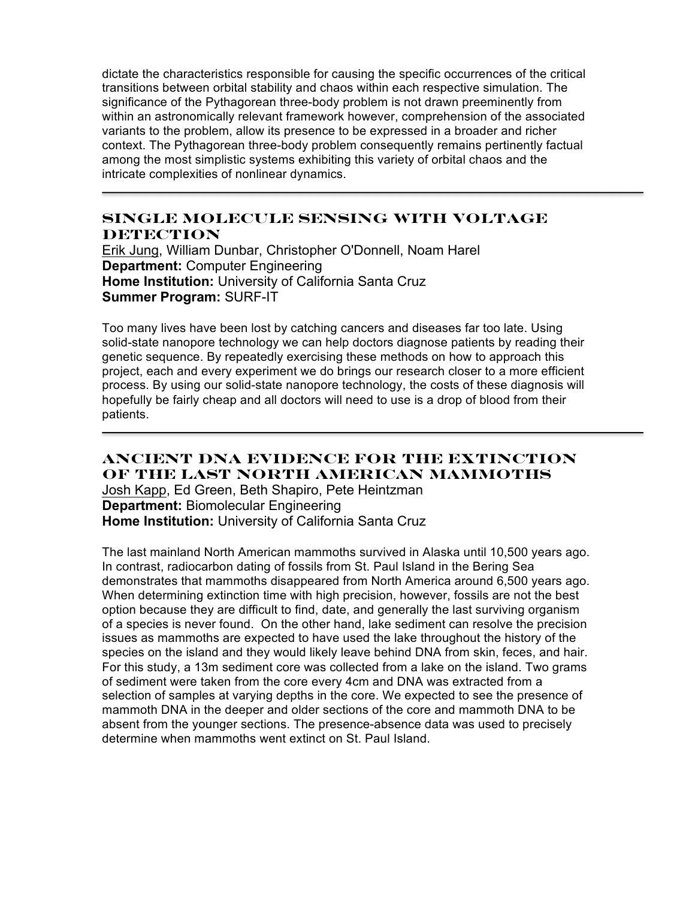dictate the characteristics responsible for causing the specific occurrences of the critical transitions between orbital stability and chaos within each respective simulation. The significance of the Pythagorean three-body problem is not drawn preeminently from within an astronomically relevant framework however, comprehension of the associated variants to the problem, allow its presence to be expressed in a broader and richer context. The Pythagorean three-body problem consequently remains pertinently factual among the most simplistic systems exhibiting this variety of orbital chaos and the intricate complexities of nonlinear dynamics.

## **Single Molecule Sensing With Voltage DETECTION**

Erik Jung, William Dunbar, Christopher O'Donnell, Noam Harel **Department:** Computer Engineering **Home Institution:** University of California Santa Cruz **Summer Program:** SURF-IT

Too many lives have been lost by catching cancers and diseases far too late. Using solid-state nanopore technology we can help doctors diagnose patients by reading their genetic sequence. By repeatedly exercising these methods on how to approach this project, each and every experiment we do brings our research closer to a more efficient process. By using our solid-state nanopore technology, the costs of these diagnosis will hopefully be fairly cheap and all doctors will need to use is a drop of blood from their patients.

**Ancient DNA Evidence for the Extinction of the Last North American Mammoths** Josh Kapp, Ed Green, Beth Shapiro, Pete Heintzman **Department:** Biomolecular Engineering **Home Institution:** University of California Santa Cruz

The last mainland North American mammoths survived in Alaska until 10,500 years ago. In contrast, radiocarbon dating of fossils from St. Paul Island in the Bering Sea demonstrates that mammoths disappeared from North America around 6,500 years ago. When determining extinction time with high precision, however, fossils are not the best option because they are difficult to find, date, and generally the last surviving organism of a species is never found. On the other hand, lake sediment can resolve the precision issues as mammoths are expected to have used the lake throughout the history of the species on the island and they would likely leave behind DNA from skin, feces, and hair. For this study, a 13m sediment core was collected from a lake on the island. Two grams of sediment were taken from the core every 4cm and DNA was extracted from a selection of samples at varying depths in the core. We expected to see the presence of mammoth DNA in the deeper and older sections of the core and mammoth DNA to be absent from the younger sections. The presence-absence data was used to precisely determine when mammoths went extinct on St. Paul Island.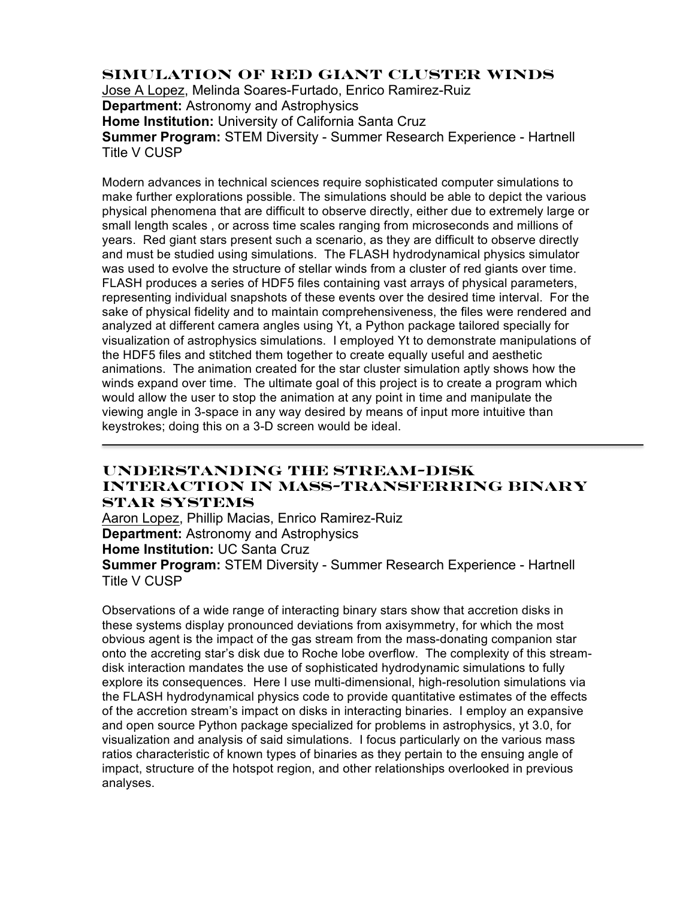## **Simulation of Red Giant Cluster Winds**

Jose A Lopez, Melinda Soares-Furtado, Enrico Ramirez-Ruiz **Department:** Astronomy and Astrophysics **Home Institution:** University of California Santa Cruz **Summer Program:** STEM Diversity - Summer Research Experience - Hartnell Title V CUSP

Modern advances in technical sciences require sophisticated computer simulations to make further explorations possible. The simulations should be able to depict the various physical phenomena that are difficult to observe directly, either due to extremely large or small length scales , or across time scales ranging from microseconds and millions of years. Red giant stars present such a scenario, as they are difficult to observe directly and must be studied using simulations. The FLASH hydrodynamical physics simulator was used to evolve the structure of stellar winds from a cluster of red giants over time. FLASH produces a series of HDF5 files containing vast arrays of physical parameters, representing individual snapshots of these events over the desired time interval. For the sake of physical fidelity and to maintain comprehensiveness, the files were rendered and analyzed at different camera angles using Yt, a Python package tailored specially for visualization of astrophysics simulations. I employed Yt to demonstrate manipulations of the HDF5 files and stitched them together to create equally useful and aesthetic animations. The animation created for the star cluster simulation aptly shows how the winds expand over time. The ultimate goal of this project is to create a program which would allow the user to stop the animation at any point in time and manipulate the viewing angle in 3-space in any way desired by means of input more intuitive than keystrokes; doing this on a 3-D screen would be ideal.

### **Understanding the Stream-Disk Interaction in Mass-Transferring Binary Star Systems**

Aaron Lopez, Phillip Macias, Enrico Ramirez-Ruiz **Department:** Astronomy and Astrophysics **Home Institution:** UC Santa Cruz **Summer Program:** STEM Diversity - Summer Research Experience - Hartnell Title V CUSP

Observations of a wide range of interacting binary stars show that accretion disks in these systems display pronounced deviations from axisymmetry, for which the most obvious agent is the impact of the gas stream from the mass-donating companion star onto the accreting star's disk due to Roche lobe overflow. The complexity of this streamdisk interaction mandates the use of sophisticated hydrodynamic simulations to fully explore its consequences. Here I use multi-dimensional, high-resolution simulations via the FLASH hydrodynamical physics code to provide quantitative estimates of the effects of the accretion stream's impact on disks in interacting binaries. I employ an expansive and open source Python package specialized for problems in astrophysics, yt 3.0, for visualization and analysis of said simulations. I focus particularly on the various mass ratios characteristic of known types of binaries as they pertain to the ensuing angle of impact, structure of the hotspot region, and other relationships overlooked in previous analyses.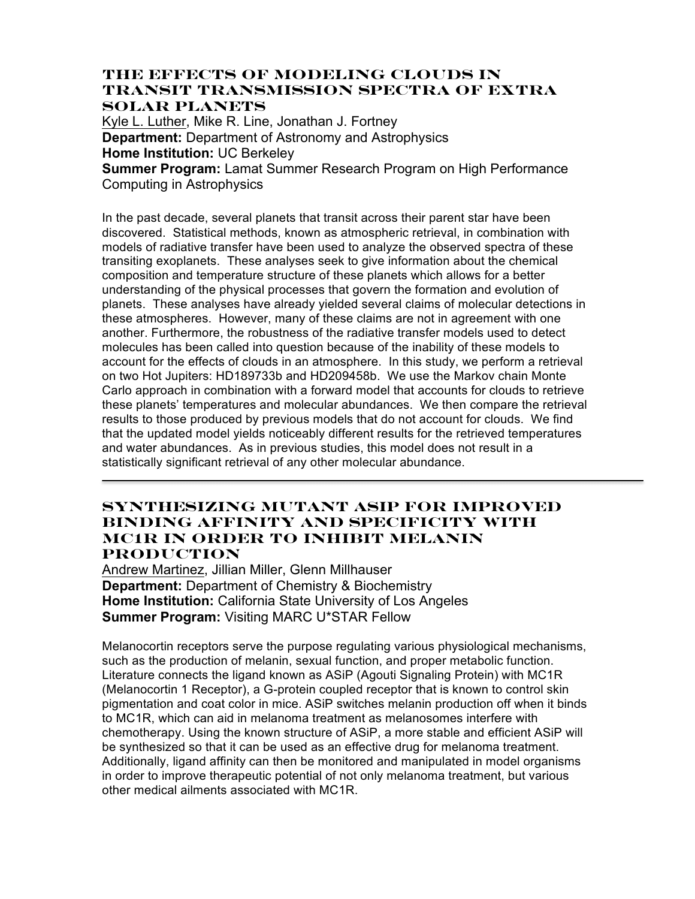### **The Effects of Modeling Clouds in Transit Transmission Spectra of Extra Solar Planets**

Kyle L. Luther, Mike R. Line, Jonathan J. Fortney **Department:** Department of Astronomy and Astrophysics **Home Institution:** UC Berkeley **Summer Program:** Lamat Summer Research Program on High Performance

Computing in Astrophysics

In the past decade, several planets that transit across their parent star have been discovered. Statistical methods, known as atmospheric retrieval, in combination with models of radiative transfer have been used to analyze the observed spectra of these transiting exoplanets. These analyses seek to give information about the chemical composition and temperature structure of these planets which allows for a better understanding of the physical processes that govern the formation and evolution of planets. These analyses have already yielded several claims of molecular detections in these atmospheres. However, many of these claims are not in agreement with one another. Furthermore, the robustness of the radiative transfer models used to detect molecules has been called into question because of the inability of these models to account for the effects of clouds in an atmosphere. In this study, we perform a retrieval on two Hot Jupiters: HD189733b and HD209458b. We use the Markov chain Monte Carlo approach in combination with a forward model that accounts for clouds to retrieve these planets' temperatures and molecular abundances. We then compare the retrieval results to those produced by previous models that do not account for clouds. We find that the updated model yields noticeably different results for the retrieved temperatures and water abundances. As in previous studies, this model does not result in a statistically significant retrieval of any other molecular abundance.

## **Synthesizing Mutant ASiP for Improved Binding Affinity and Specificity with MC1R in order to Inhibit Melanin Production**

Andrew Martinez, Jillian Miller, Glenn Millhauser **Department:** Department of Chemistry & Biochemistry **Home Institution:** California State University of Los Angeles **Summer Program:** Visiting MARC U\*STAR Fellow

Melanocortin receptors serve the purpose regulating various physiological mechanisms, such as the production of melanin, sexual function, and proper metabolic function. Literature connects the ligand known as ASiP (Agouti Signaling Protein) with MC1R (Melanocortin 1 Receptor), a G-protein coupled receptor that is known to control skin pigmentation and coat color in mice. ASiP switches melanin production off when it binds to MC1R, which can aid in melanoma treatment as melanosomes interfere with chemotherapy. Using the known structure of ASiP, a more stable and efficient ASiP will be synthesized so that it can be used as an effective drug for melanoma treatment. Additionally, ligand affinity can then be monitored and manipulated in model organisms in order to improve therapeutic potential of not only melanoma treatment, but various other medical ailments associated with MC1R.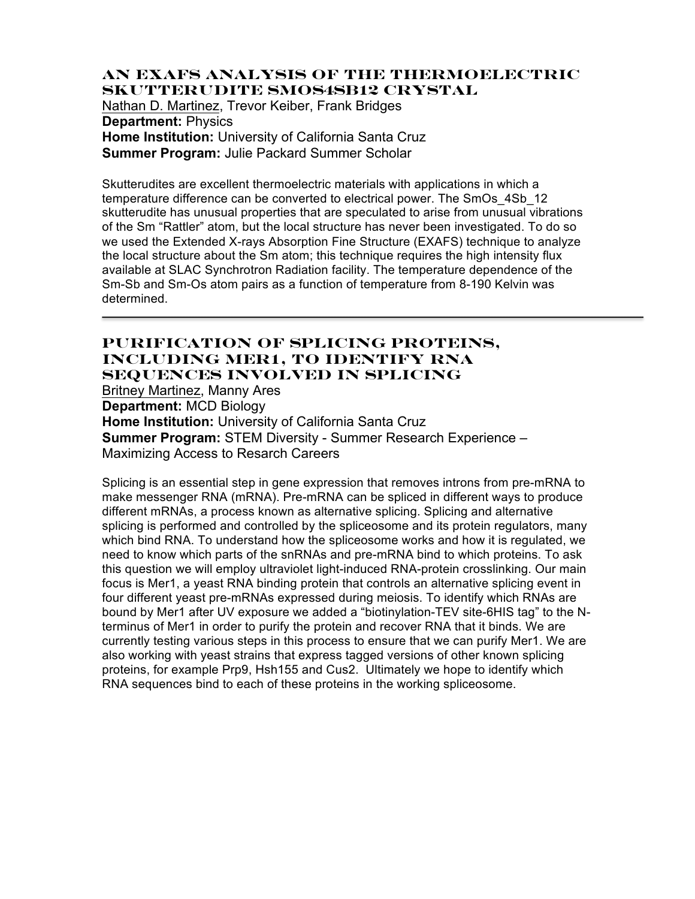### **An EXAFS Analysis of the Thermoelectric Skutterudite SmOs4Sb12 Crystal** Nathan D. Martinez, Trevor Keiber, Frank Bridges

**Department:** Physics **Home Institution:** University of California Santa Cruz **Summer Program:** Julie Packard Summer Scholar

Skutterudites are excellent thermoelectric materials with applications in which a temperature difference can be converted to electrical power. The SmOs\_4Sb\_12 skutterudite has unusual properties that are speculated to arise from unusual vibrations of the Sm "Rattler" atom, but the local structure has never been investigated. To do so we used the Extended X-rays Absorption Fine Structure (EXAFS) technique to analyze the local structure about the Sm atom; this technique requires the high intensity flux available at SLAC Synchrotron Radiation facility. The temperature dependence of the Sm-Sb and Sm-Os atom pairs as a function of temperature from 8-190 Kelvin was determined.

### **Purification of Splicing Proteins, Including Mer1, to Identify RNA Sequences involved in Splicing**

Britney Martinez, Manny Ares

**Department:** MCD Biology

**Home Institution:** University of California Santa Cruz **Summer Program:** STEM Diversity - Summer Research Experience – Maximizing Access to Resarch Careers

Splicing is an essential step in gene expression that removes introns from pre-mRNA to make messenger RNA (mRNA). Pre-mRNA can be spliced in different ways to produce different mRNAs, a process known as alternative splicing. Splicing and alternative splicing is performed and controlled by the spliceosome and its protein regulators, many which bind RNA. To understand how the spliceosome works and how it is regulated, we need to know which parts of the snRNAs and pre-mRNA bind to which proteins. To ask this question we will employ ultraviolet light-induced RNA-protein crosslinking. Our main focus is Mer1, a yeast RNA binding protein that controls an alternative splicing event in four different yeast pre-mRNAs expressed during meiosis. To identify which RNAs are bound by Mer1 after UV exposure we added a "biotinylation-TEV site-6HIS tag" to the Nterminus of Mer1 in order to purify the protein and recover RNA that it binds. We are currently testing various steps in this process to ensure that we can purify Mer1. We are also working with yeast strains that express tagged versions of other known splicing proteins, for example Prp9, Hsh155 and Cus2. Ultimately we hope to identify which RNA sequences bind to each of these proteins in the working spliceosome.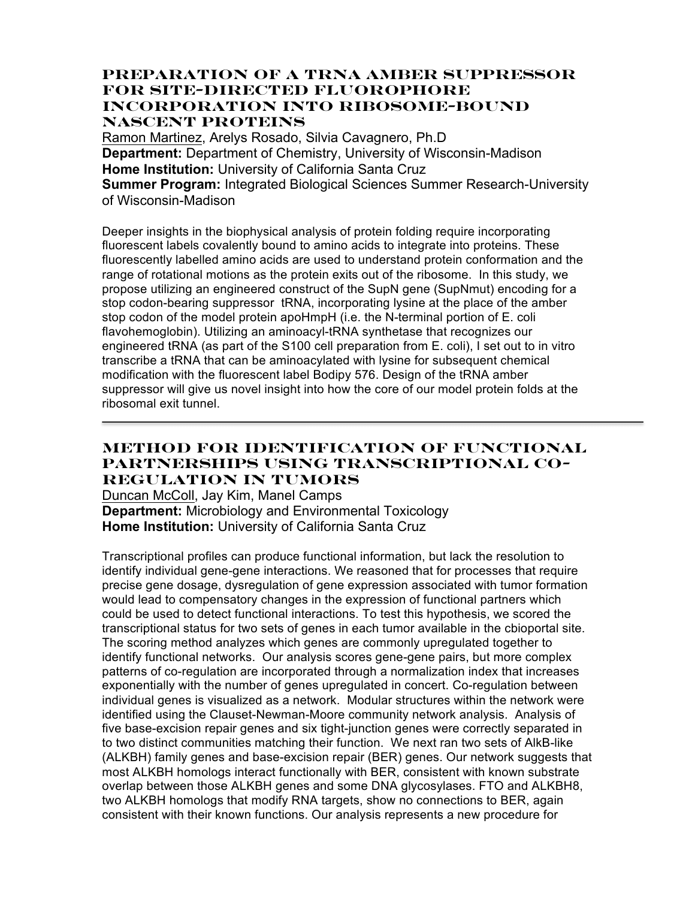## **Preparation of a tRNA amber suppressor for site-directed fluorophore incorporation into ribosome-bound nascent proteins**

Ramon Martinez, Arelys Rosado, Silvia Cavagnero, Ph.D **Department:** Department of Chemistry, University of Wisconsin-Madison **Home Institution:** University of California Santa Cruz **Summer Program:** Integrated Biological Sciences Summer Research-University of Wisconsin-Madison

Deeper insights in the biophysical analysis of protein folding require incorporating fluorescent labels covalently bound to amino acids to integrate into proteins. These fluorescently labelled amino acids are used to understand protein conformation and the range of rotational motions as the protein exits out of the ribosome. In this study, we propose utilizing an engineered construct of the SupN gene (SupNmut) encoding for a stop codon-bearing suppressor tRNA, incorporating lysine at the place of the amber stop codon of the model protein apoHmpH (i.e. the N-terminal portion of E. coli flavohemoglobin). Utilizing an aminoacyl-tRNA synthetase that recognizes our engineered tRNA (as part of the S100 cell preparation from E. coli), I set out to in vitro transcribe a tRNA that can be aminoacylated with lysine for subsequent chemical modification with the fluorescent label Bodipy 576. Design of the tRNA amber suppressor will give us novel insight into how the core of our model protein folds at the ribosomal exit tunnel.

## **Method for Identification of Functional Partnerships Using Transcriptional Co-Regulation in Tumors**

Duncan McColl, Jay Kim, Manel Camps **Department:** Microbiology and Environmental Toxicology **Home Institution:** University of California Santa Cruz

Transcriptional profiles can produce functional information, but lack the resolution to identify individual gene-gene interactions. We reasoned that for processes that require precise gene dosage, dysregulation of gene expression associated with tumor formation would lead to compensatory changes in the expression of functional partners which could be used to detect functional interactions. To test this hypothesis, we scored the transcriptional status for two sets of genes in each tumor available in the cbioportal site. The scoring method analyzes which genes are commonly upregulated together to identify functional networks. Our analysis scores gene-gene pairs, but more complex patterns of co-regulation are incorporated through a normalization index that increases exponentially with the number of genes upregulated in concert. Co-regulation between individual genes is visualized as a network. Modular structures within the network were identified using the Clauset-Newman-Moore community network analysis. Analysis of five base-excision repair genes and six tight-junction genes were correctly separated in to two distinct communities matching their function. We next ran two sets of AlkB-like (ALKBH) family genes and base-excision repair (BER) genes. Our network suggests that most ALKBH homologs interact functionally with BER, consistent with known substrate overlap between those ALKBH genes and some DNA glycosylases. FTO and ALKBH8, two ALKBH homologs that modify RNA targets, show no connections to BER, again consistent with their known functions. Our analysis represents a new procedure for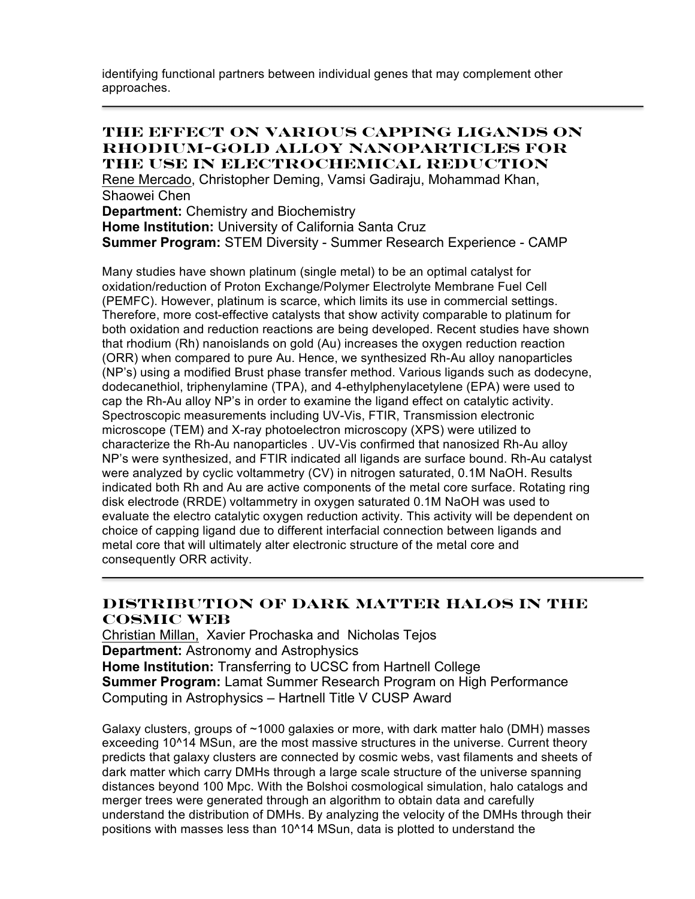identifying functional partners between individual genes that may complement other approaches.

### **The Effect on Various Capping Ligands on Rhodium-Gold Alloy Nanoparticles for the Use in Electrochemical Reduction**

Rene Mercado, Christopher Deming, Vamsi Gadiraju, Mohammad Khan, Shaowei Chen

**Department:** Chemistry and Biochemistry

**Home Institution:** University of California Santa Cruz

**Summer Program:** STEM Diversity - Summer Research Experience - CAMP

Many studies have shown platinum (single metal) to be an optimal catalyst for oxidation/reduction of Proton Exchange/Polymer Electrolyte Membrane Fuel Cell (PEMFC). However, platinum is scarce, which limits its use in commercial settings. Therefore, more cost-effective catalysts that show activity comparable to platinum for both oxidation and reduction reactions are being developed. Recent studies have shown that rhodium (Rh) nanoislands on gold (Au) increases the oxygen reduction reaction (ORR) when compared to pure Au. Hence, we synthesized Rh-Au alloy nanoparticles (NP's) using a modified Brust phase transfer method. Various ligands such as dodecyne, dodecanethiol, triphenylamine (TPA), and 4-ethylphenylacetylene (EPA) were used to cap the Rh-Au alloy NP's in order to examine the ligand effect on catalytic activity. Spectroscopic measurements including UV-Vis, FTIR, Transmission electronic microscope (TEM) and X-ray photoelectron microscopy (XPS) were utilized to characterize the Rh-Au nanoparticles . UV-Vis confirmed that nanosized Rh-Au alloy NP's were synthesized, and FTIR indicated all ligands are surface bound. Rh-Au catalyst were analyzed by cyclic voltammetry (CV) in nitrogen saturated, 0.1M NaOH. Results indicated both Rh and Au are active components of the metal core surface. Rotating ring disk electrode (RRDE) voltammetry in oxygen saturated 0.1M NaOH was used to evaluate the electro catalytic oxygen reduction activity. This activity will be dependent on choice of capping ligand due to different interfacial connection between ligands and metal core that will ultimately alter electronic structure of the metal core and consequently ORR activity.

## **Distribution of Dark Matter Halos in the Cosmic Web**

Christian Millan, Xavier Prochaska and Nicholas Tejos **Department:** Astronomy and Astrophysics **Home Institution:** Transferring to UCSC from Hartnell College **Summer Program:** Lamat Summer Research Program on High Performance Computing in Astrophysics – Hartnell Title V CUSP Award

Galaxy clusters, groups of ~1000 galaxies or more, with dark matter halo (DMH) masses exceeding 10^14 MSun, are the most massive structures in the universe. Current theory predicts that galaxy clusters are connected by cosmic webs, vast filaments and sheets of dark matter which carry DMHs through a large scale structure of the universe spanning distances beyond 100 Mpc. With the Bolshoi cosmological simulation, halo catalogs and merger trees were generated through an algorithm to obtain data and carefully understand the distribution of DMHs. By analyzing the velocity of the DMHs through their positions with masses less than 10^14 MSun, data is plotted to understand the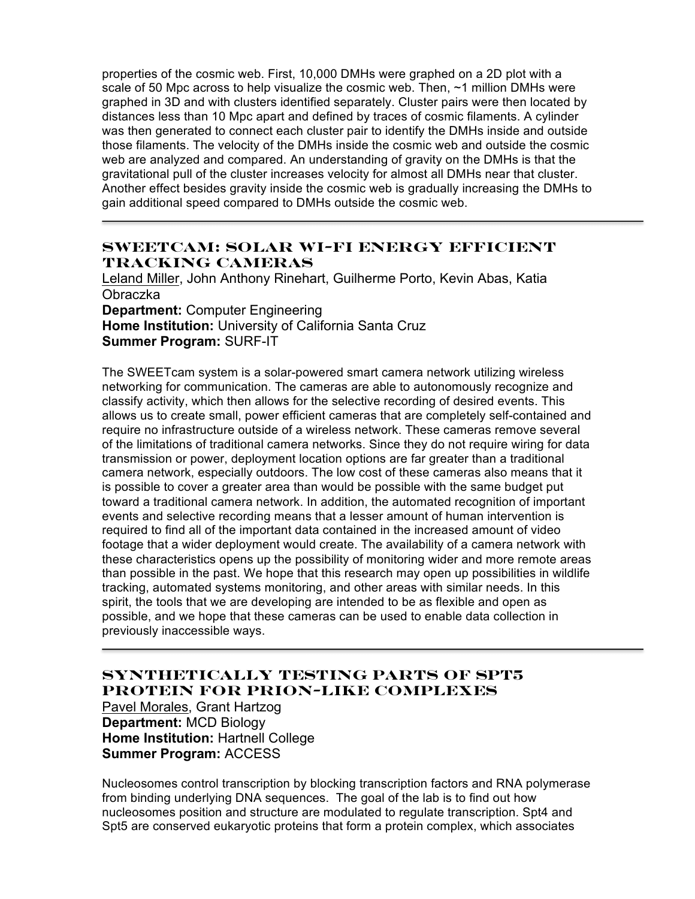properties of the cosmic web. First, 10,000 DMHs were graphed on a 2D plot with a scale of 50 Mpc across to help visualize the cosmic web. Then, ~1 million DMHs were graphed in 3D and with clusters identified separately. Cluster pairs were then located by distances less than 10 Mpc apart and defined by traces of cosmic filaments. A cylinder was then generated to connect each cluster pair to identify the DMHs inside and outside those filaments. The velocity of the DMHs inside the cosmic web and outside the cosmic web are analyzed and compared. An understanding of gravity on the DMHs is that the gravitational pull of the cluster increases velocity for almost all DMHs near that cluster. Another effect besides gravity inside the cosmic web is gradually increasing the DMHs to gain additional speed compared to DMHs outside the cosmic web.

## **SWEETcam: Solar Wi-Fi Energy Efficient Tracking Cameras**

Leland Miller, John Anthony Rinehart, Guilherme Porto, Kevin Abas, Katia Obraczka **Department:** Computer Engineering

**Home Institution:** University of California Santa Cruz **Summer Program:** SURF-IT

The SWEETcam system is a solar-powered smart camera network utilizing wireless networking for communication. The cameras are able to autonomously recognize and classify activity, which then allows for the selective recording of desired events. This allows us to create small, power efficient cameras that are completely self-contained and require no infrastructure outside of a wireless network. These cameras remove several of the limitations of traditional camera networks. Since they do not require wiring for data transmission or power, deployment location options are far greater than a traditional camera network, especially outdoors. The low cost of these cameras also means that it is possible to cover a greater area than would be possible with the same budget put toward a traditional camera network. In addition, the automated recognition of important events and selective recording means that a lesser amount of human intervention is required to find all of the important data contained in the increased amount of video footage that a wider deployment would create. The availability of a camera network with these characteristics opens up the possibility of monitoring wider and more remote areas than possible in the past. We hope that this research may open up possibilities in wildlife tracking, automated systems monitoring, and other areas with similar needs. In this spirit, the tools that we are developing are intended to be as flexible and open as possible, and we hope that these cameras can be used to enable data collection in previously inaccessible ways.

# **Synthetically Testing Parts of Spt5 Protein for Prion-like Complexes**

Pavel Morales, Grant Hartzog **Department:** MCD Biology **Home Institution:** Hartnell College **Summer Program:** ACCESS

Nucleosomes control transcription by blocking transcription factors and RNA polymerase from binding underlying DNA sequences. The goal of the lab is to find out how nucleosomes position and structure are modulated to regulate transcription. Spt4 and Spt5 are conserved eukaryotic proteins that form a protein complex, which associates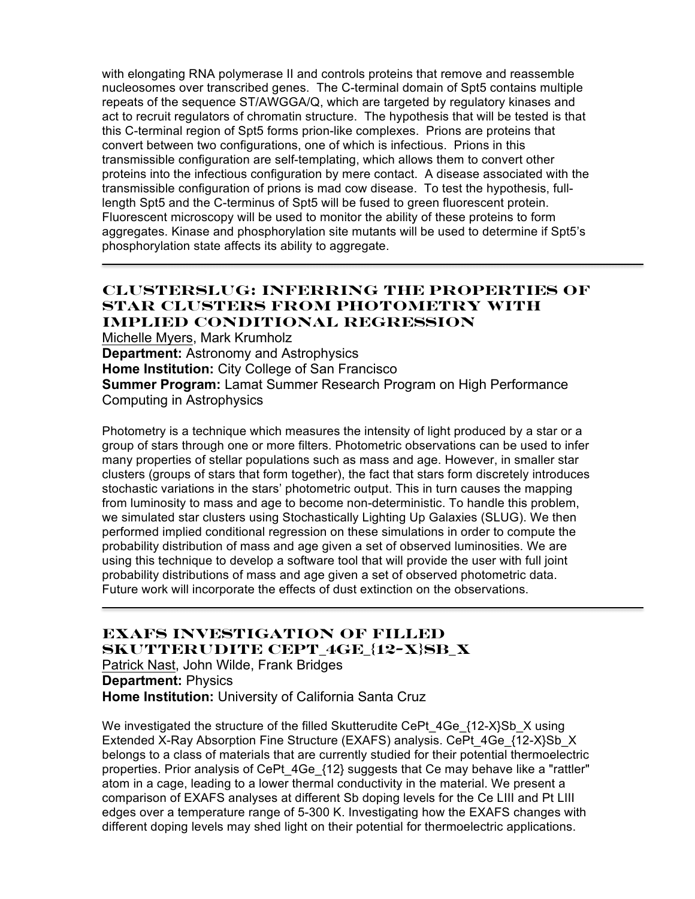with elongating RNA polymerase II and controls proteins that remove and reassemble nucleosomes over transcribed genes. The C-terminal domain of Spt5 contains multiple repeats of the sequence ST/AWGGA/Q, which are targeted by regulatory kinases and act to recruit regulators of chromatin structure. The hypothesis that will be tested is that this C-terminal region of Spt5 forms prion-like complexes. Prions are proteins that convert between two configurations, one of which is infectious. Prions in this transmissible configuration are self-templating, which allows them to convert other proteins into the infectious configuration by mere contact. A disease associated with the transmissible configuration of prions is mad cow disease. To test the hypothesis, fulllength Spt5 and the C-terminus of Spt5 will be fused to green fluorescent protein. Fluorescent microscopy will be used to monitor the ability of these proteins to form aggregates. Kinase and phosphorylation site mutants will be used to determine if Spt5's phosphorylation state affects its ability to aggregate.

# **ClusterSLUG: Inferring the Properties of Star Clusters from Photometry with Implied Conditional Regression**

Michelle Myers, Mark Krumholz **Department:** Astronomy and Astrophysics **Home Institution:** City College of San Francisco **Summer Program:** Lamat Summer Research Program on High Performance Computing in Astrophysics

Photometry is a technique which measures the intensity of light produced by a star or a group of stars through one or more filters. Photometric observations can be used to infer many properties of stellar populations such as mass and age. However, in smaller star clusters (groups of stars that form together), the fact that stars form discretely introduces stochastic variations in the stars' photometric output. This in turn causes the mapping from luminosity to mass and age to become non-deterministic. To handle this problem, we simulated star clusters using Stochastically Lighting Up Galaxies (SLUG). We then performed implied conditional regression on these simulations in order to compute the probability distribution of mass and age given a set of observed luminosities. We are using this technique to develop a software tool that will provide the user with full joint probability distributions of mass and age given a set of observed photometric data. Future work will incorporate the effects of dust extinction on the observations.

**Exafs Investigation of Filled Skutterudite CePt\_4Ge\_{12-X}Sb\_X** Patrick Nast, John Wilde, Frank Bridges **Department:** Physics **Home Institution:** University of California Santa Cruz

We investigated the structure of the filled Skutterudite CePt  $4Ge_{12-}X\$ Sb X using Extended X-Ray Absorption Fine Structure (EXAFS) analysis. CePt\_4Ge\_{12-X}Sb\_X belongs to a class of materials that are currently studied for their potential thermoelectric properties. Prior analysis of CePt 4Ge {12} suggests that Ce may behave like a "rattler" atom in a cage, leading to a lower thermal conductivity in the material. We present a comparison of EXAFS analyses at different Sb doping levels for the Ce LIII and Pt LIII edges over a temperature range of 5-300 K. Investigating how the EXAFS changes with different doping levels may shed light on their potential for thermoelectric applications.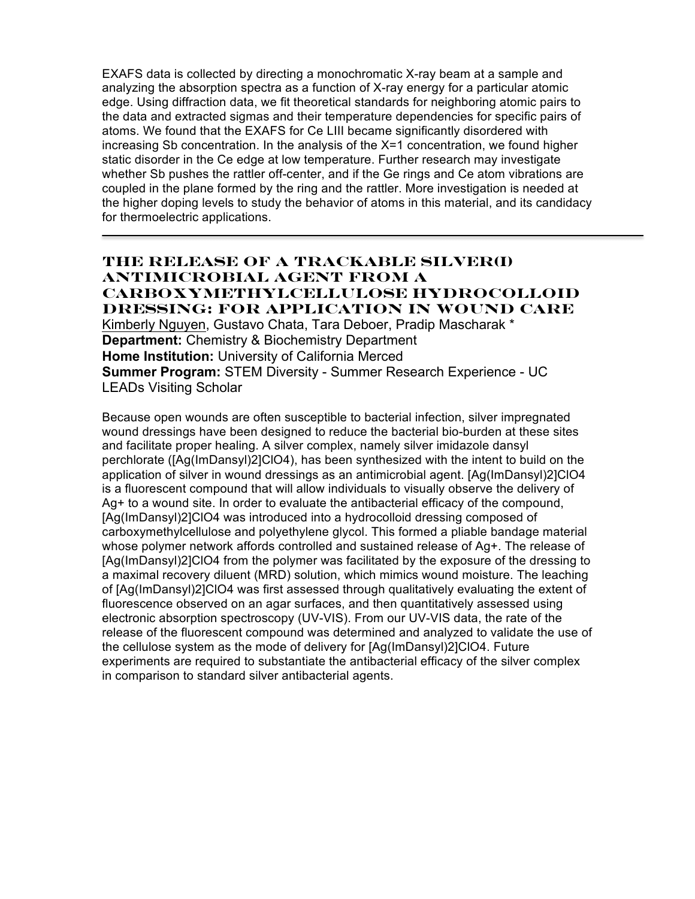EXAFS data is collected by directing a monochromatic X-ray beam at a sample and analyzing the absorption spectra as a function of X-ray energy for a particular atomic edge. Using diffraction data, we fit theoretical standards for neighboring atomic pairs to the data and extracted sigmas and their temperature dependencies for specific pairs of atoms. We found that the EXAFS for Ce LIII became significantly disordered with increasing Sb concentration. In the analysis of the  $X=1$  concentration, we found higher static disorder in the Ce edge at low temperature. Further research may investigate whether Sb pushes the rattler off-center, and if the Ge rings and Ce atom vibrations are coupled in the plane formed by the ring and the rattler. More investigation is needed at the higher doping levels to study the behavior of atoms in this material, and its candidacy for thermoelectric applications.

### **The Release of a Trackable Silver(I) Antimicrobial Agent from a Carboxymethylcellulose Hydrocolloid Dressing: For Application in Wound Care**

Kimberly Nguyen, Gustavo Chata, Tara Deboer, Pradip Mascharak \* **Department:** Chemistry & Biochemistry Department **Home Institution:** University of California Merced **Summer Program:** STEM Diversity - Summer Research Experience - UC LEADs Visiting Scholar

Because open wounds are often susceptible to bacterial infection, silver impregnated wound dressings have been designed to reduce the bacterial bio-burden at these sites and facilitate proper healing. A silver complex, namely silver imidazole dansyl perchlorate ([Ag(ImDansyl)2]ClO4), has been synthesized with the intent to build on the application of silver in wound dressings as an antimicrobial agent. [Ag(ImDansyl)2]ClO4 is a fluorescent compound that will allow individuals to visually observe the delivery of Ag+ to a wound site. In order to evaluate the antibacterial efficacy of the compound, [Ag(ImDansyl)2]ClO4 was introduced into a hydrocolloid dressing composed of carboxymethylcellulose and polyethylene glycol. This formed a pliable bandage material whose polymer network affords controlled and sustained release of Ag+. The release of [Ag(ImDansyl)2]ClO4 from the polymer was facilitated by the exposure of the dressing to a maximal recovery diluent (MRD) solution, which mimics wound moisture. The leaching of [Ag(ImDansyl)2]ClO4 was first assessed through qualitatively evaluating the extent of fluorescence observed on an agar surfaces, and then quantitatively assessed using electronic absorption spectroscopy (UV-VIS). From our UV-VIS data, the rate of the release of the fluorescent compound was determined and analyzed to validate the use of the cellulose system as the mode of delivery for [Ag(ImDansyl)2]ClO4. Future experiments are required to substantiate the antibacterial efficacy of the silver complex in comparison to standard silver antibacterial agents.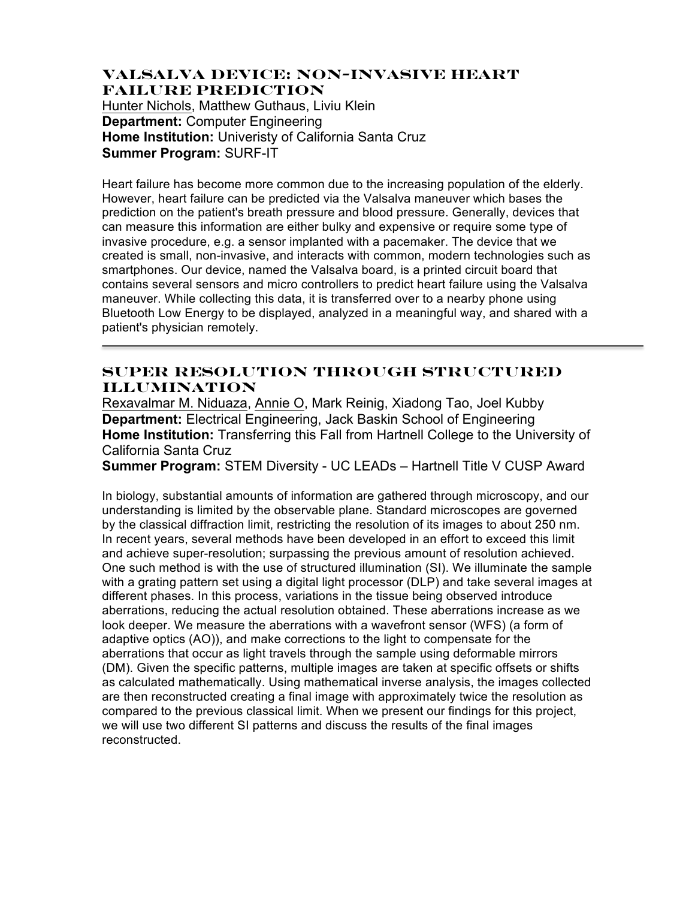### **Valsalva Device: Non-Invasive Heart Failure Prediction**

Hunter Nichols, Matthew Guthaus, Liviu Klein **Department:** Computer Engineering **Home Institution:** Univeristy of California Santa Cruz **Summer Program:** SURF-IT

Heart failure has become more common due to the increasing population of the elderly. However, heart failure can be predicted via the Valsalva maneuver which bases the prediction on the patient's breath pressure and blood pressure. Generally, devices that can measure this information are either bulky and expensive or require some type of invasive procedure, e.g. a sensor implanted with a pacemaker. The device that we created is small, non-invasive, and interacts with common, modern technologies such as smartphones. Our device, named the Valsalva board, is a printed circuit board that contains several sensors and micro controllers to predict heart failure using the Valsalva maneuver. While collecting this data, it is transferred over to a nearby phone using Bluetooth Low Energy to be displayed, analyzed in a meaningful way, and shared with a patient's physician remotely.

## **Super Resolution through Structured Illumination**

Rexavalmar M. Niduaza, Annie O, Mark Reinig, Xiadong Tao, Joel Kubby **Department:** Electrical Engineering, Jack Baskin School of Engineering **Home Institution:** Transferring this Fall from Hartnell College to the University of California Santa Cruz

**Summer Program:** STEM Diversity - UC LEADs – Hartnell Title V CUSP Award

In biology, substantial amounts of information are gathered through microscopy, and our understanding is limited by the observable plane. Standard microscopes are governed by the classical diffraction limit, restricting the resolution of its images to about 250 nm. In recent years, several methods have been developed in an effort to exceed this limit and achieve super-resolution; surpassing the previous amount of resolution achieved. One such method is with the use of structured illumination (SI). We illuminate the sample with a grating pattern set using a digital light processor (DLP) and take several images at different phases. In this process, variations in the tissue being observed introduce aberrations, reducing the actual resolution obtained. These aberrations increase as we look deeper. We measure the aberrations with a wavefront sensor (WFS) (a form of adaptive optics (AO)), and make corrections to the light to compensate for the aberrations that occur as light travels through the sample using deformable mirrors (DM). Given the specific patterns, multiple images are taken at specific offsets or shifts as calculated mathematically. Using mathematical inverse analysis, the images collected are then reconstructed creating a final image with approximately twice the resolution as compared to the previous classical limit. When we present our findings for this project, we will use two different SI patterns and discuss the results of the final images reconstructed.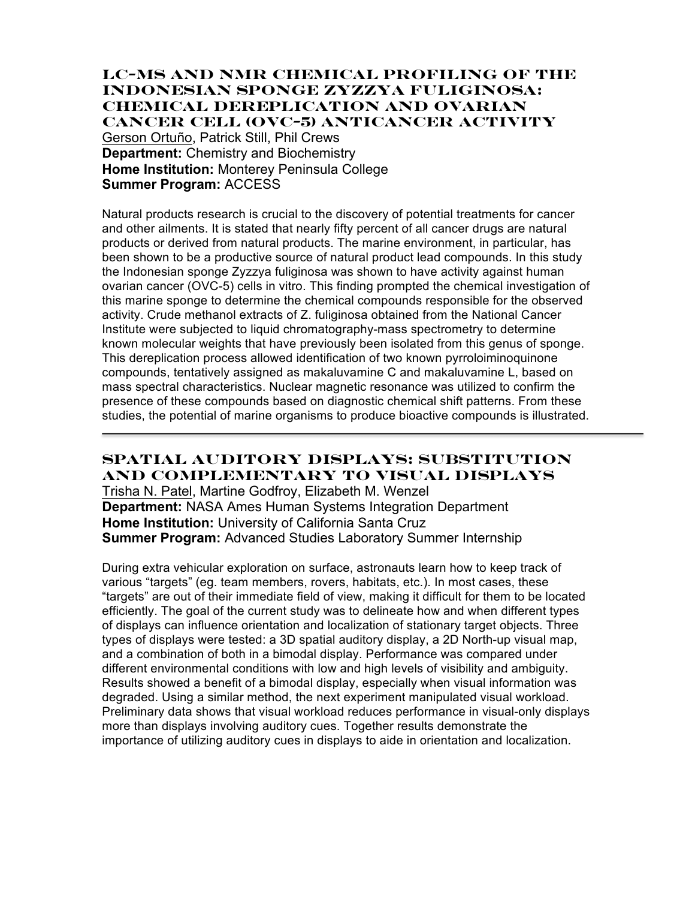### **LC-MS and NMR Chemical Profiling of the Indonesian Sponge Zyzzya fuliginosa: Chemical Dereplication and Ovarian Cancer Cell (OVC-5) Anticancer Activity**

Gerson Ortuño, Patrick Still, Phil Crews **Department:** Chemistry and Biochemistry **Home Institution:** Monterey Peninsula College **Summer Program:** ACCESS

Natural products research is crucial to the discovery of potential treatments for cancer and other ailments. It is stated that nearly fifty percent of all cancer drugs are natural products or derived from natural products. The marine environment, in particular, has been shown to be a productive source of natural product lead compounds. In this study the Indonesian sponge Zyzzya fuliginosa was shown to have activity against human ovarian cancer (OVC-5) cells in vitro. This finding prompted the chemical investigation of this marine sponge to determine the chemical compounds responsible for the observed activity. Crude methanol extracts of Z. fuliginosa obtained from the National Cancer Institute were subjected to liquid chromatography-mass spectrometry to determine known molecular weights that have previously been isolated from this genus of sponge. This dereplication process allowed identification of two known pyrroloiminoquinone compounds, tentatively assigned as makaluvamine C and makaluvamine L, based on mass spectral characteristics. Nuclear magnetic resonance was utilized to confirm the presence of these compounds based on diagnostic chemical shift patterns. From these studies, the potential of marine organisms to produce bioactive compounds is illustrated.

# **Spatial Auditory Displays: Substitution and Complementary to Visual Displays**

Trisha N. Patel, Martine Godfroy, Elizabeth M. Wenzel **Department:** NASA Ames Human Systems Integration Department **Home Institution:** University of California Santa Cruz **Summer Program:** Advanced Studies Laboratory Summer Internship

During extra vehicular exploration on surface, astronauts learn how to keep track of various "targets" (eg. team members, rovers, habitats, etc.). In most cases, these "targets" are out of their immediate field of view, making it difficult for them to be located efficiently. The goal of the current study was to delineate how and when different types of displays can influence orientation and localization of stationary target objects. Three types of displays were tested: a 3D spatial auditory display, a 2D North-up visual map, and a combination of both in a bimodal display. Performance was compared under different environmental conditions with low and high levels of visibility and ambiguity. Results showed a benefit of a bimodal display, especially when visual information was degraded. Using a similar method, the next experiment manipulated visual workload. Preliminary data shows that visual workload reduces performance in visual-only displays more than displays involving auditory cues. Together results demonstrate the importance of utilizing auditory cues in displays to aide in orientation and localization.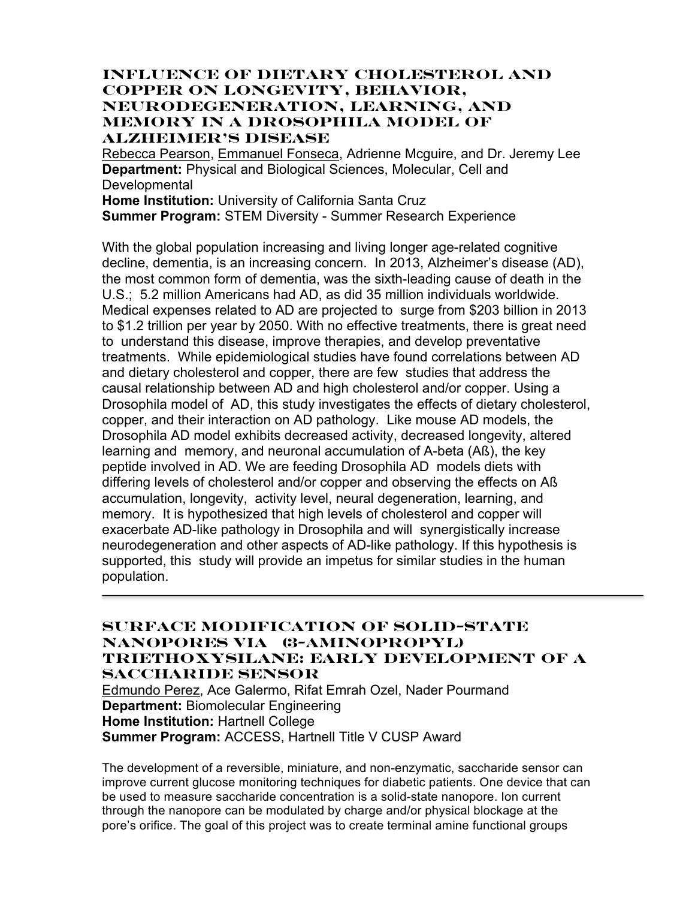## **Influence of Dietary Cholesterol and Copper on Longevity, Behavior, Neurodegeneration, Learning, and Memory in a Drosophila Model of Alzheimer's Disease**

Rebecca Pearson, Emmanuel Fonseca, Adrienne Mcguire, and Dr. Jeremy Lee **Department:** Physical and Biological Sciences, Molecular, Cell and Developmental **Home Institution:** University of California Santa Cruz

**Summer Program:** STEM Diversity - Summer Research Experience

With the global population increasing and living longer age-related cognitive decline, dementia, is an increasing concern. In 2013, Alzheimer's disease (AD), the most common form of dementia, was the sixth-leading cause of death in the U.S.; 5.2 million Americans had AD, as did 35 million individuals worldwide. Medical expenses related to AD are projected to surge from \$203 billion in 2013 to \$1.2 trillion per year by 2050. With no effective treatments, there is great need to understand this disease, improve therapies, and develop preventative treatments. While epidemiological studies have found correlations between AD and dietary cholesterol and copper, there are few studies that address the causal relationship between AD and high cholesterol and/or copper. Using a Drosophila model of AD, this study investigates the effects of dietary cholesterol, copper, and their interaction on AD pathology. Like mouse AD models, the Drosophila AD model exhibits decreased activity, decreased longevity, altered learning and memory, and neuronal accumulation of A-beta (Aß), the key peptide involved in AD. We are feeding Drosophila AD models diets with differing levels of cholesterol and/or copper and observing the effects on Aß accumulation, longevity, activity level, neural degeneration, learning, and memory. It is hypothesized that high levels of cholesterol and copper will exacerbate AD-like pathology in Drosophila and will synergistically increase neurodegeneration and other aspects of AD-like pathology. If this hypothesis is supported, this study will provide an impetus for similar studies in the human population.

### **Surface Modification of Solid-State Nanopores via (3-Aminopropyl) triethoxysilane: Early Development of a Saccharide Sensor**

Edmundo Perez, Ace Galermo, Rifat Emrah Ozel, Nader Pourmand **Department:** Biomolecular Engineering **Home Institution:** Hartnell College **Summer Program:** ACCESS, Hartnell Title V CUSP Award

The development of a reversible, miniature, and non-enzymatic, saccharide sensor can improve current glucose monitoring techniques for diabetic patients. One device that can be used to measure saccharide concentration is a solid-state nanopore. Ion current through the nanopore can be modulated by charge and/or physical blockage at the pore's orifice. The goal of this project was to create terminal amine functional groups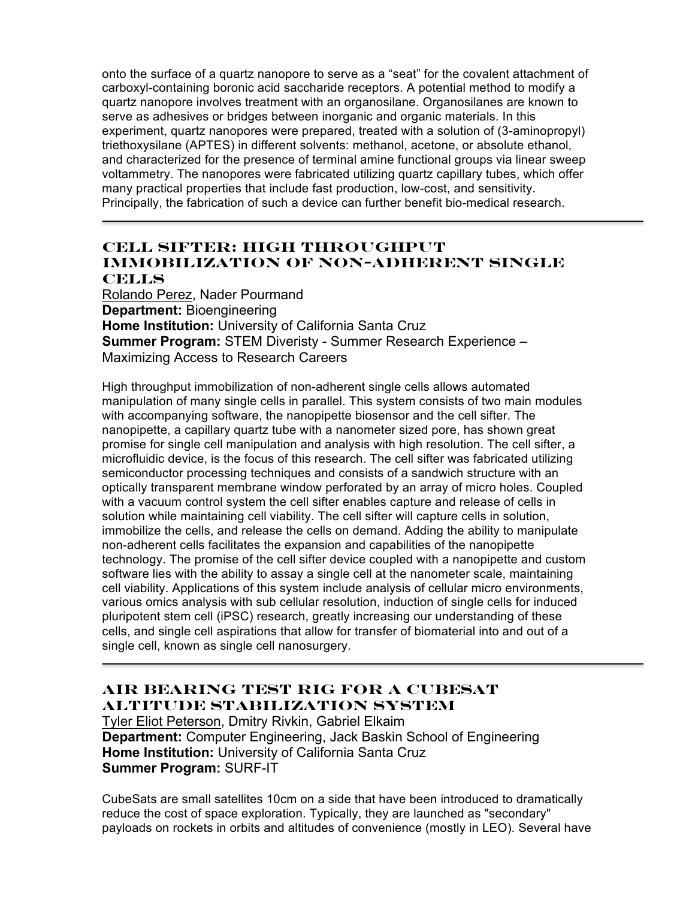onto the surface of a quartz nanopore to serve as a "seat" for the covalent attachment of carboxyl-containing boronic acid saccharide receptors. A potential method to modify a quartz nanopore involves treatment with an organosilane. Organosilanes are known to serve as adhesives or bridges between inorganic and organic materials. In this experiment, quartz nanopores were prepared, treated with a solution of (3-aminopropyl) triethoxysilane (APTES) in different solvents: methanol, acetone, or absolute ethanol, and characterized for the presence of terminal amine functional groups via linear sweep voltammetry. The nanopores were fabricated utilizing quartz capillary tubes, which offer many practical properties that include fast production, low-cost, and sensitivity. Principally, the fabrication of such a device can further benefit bio-medical research.

### **Cell Sifter: High Throughput Immobilization of Non-Adherent Single Cells**

Rolando Perez, Nader Pourmand **Department:** Bioengineering **Home Institution:** University of California Santa Cruz **Summer Program:** STEM Diveristy - Summer Research Experience – Maximizing Access to Research Careers

High throughput immobilization of non-adherent single cells allows automated manipulation of many single cells in parallel. This system consists of two main modules with accompanying software, the nanopipette biosensor and the cell sifter. The nanopipette, a capillary quartz tube with a nanometer sized pore, has shown great promise for single cell manipulation and analysis with high resolution. The cell sifter, a microfluidic device, is the focus of this research. The cell sifter was fabricated utilizing semiconductor processing techniques and consists of a sandwich structure with an optically transparent membrane window perforated by an array of micro holes. Coupled with a vacuum control system the cell sifter enables capture and release of cells in solution while maintaining cell viability. The cell sifter will capture cells in solution, immobilize the cells, and release the cells on demand. Adding the ability to manipulate non-adherent cells facilitates the expansion and capabilities of the nanopipette technology. The promise of the cell sifter device coupled with a nanopipette and custom software lies with the ability to assay a single cell at the nanometer scale, maintaining cell viability. Applications of this system include analysis of cellular micro environments, various omics analysis with sub cellular resolution, induction of single cells for induced pluripotent stem cell (iPSC) research, greatly increasing our understanding of these cells, and single cell aspirations that allow for transfer of biomaterial into and out of a single cell, known as single cell nanosurgery.

# **Air Bearing Test Rig for a CubeSat Altitude Stabilization System**

Tyler Eliot Peterson, Dmitry Rivkin, Gabriel Elkaim **Department:** Computer Engineering, Jack Baskin School of Engineering **Home Institution:** University of California Santa Cruz **Summer Program:** SURF-IT

CubeSats are small satellites 10cm on a side that have been introduced to dramatically reduce the cost of space exploration. Typically, they are launched as "secondary" payloads on rockets in orbits and altitudes of convenience (mostly in LEO). Several have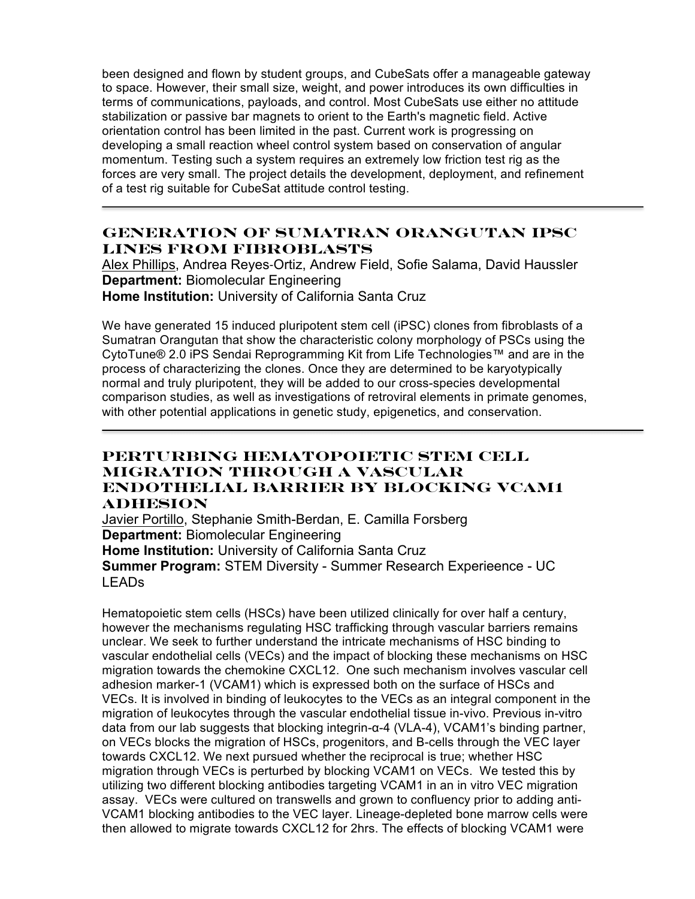been designed and flown by student groups, and CubeSats offer a manageable gateway to space. However, their small size, weight, and power introduces its own difficulties in terms of communications, payloads, and control. Most CubeSats use either no attitude stabilization or passive bar magnets to orient to the Earth's magnetic field. Active orientation control has been limited in the past. Current work is progressing on developing a small reaction wheel control system based on conservation of angular momentum. Testing such a system requires an extremely low friction test rig as the forces are very small. The project details the development, deployment, and refinement of a test rig suitable for CubeSat attitude control testing.

## **Generation of Sumatran Orangutan iPSC Lines from Fibroblasts**

Alex Phillips, Andrea Reyes‐Ortiz, Andrew Field, Sofie Salama, David Haussler **Department:** Biomolecular Engineering **Home Institution:** University of California Santa Cruz

We have generated 15 induced pluripotent stem cell (iPSC) clones from fibroblasts of a Sumatran Orangutan that show the characteristic colony morphology of PSCs using the CytoTune® 2.0 iPS Sendai Reprogramming Kit from Life Technologies™ and are in the process of characterizing the clones. Once they are determined to be karyotypically normal and truly pluripotent, they will be added to our cross-species developmental comparison studies, as well as investigations of retroviral elements in primate genomes, with other potential applications in genetic study, epigenetics, and conservation.

## **Perturbing Hematopoietic stem cell migration through a vascular endothelial barrier by blocking VCAM1 adhesion**

Javier Portillo, Stephanie Smith-Berdan, E. Camilla Forsberg **Department:** Biomolecular Engineering **Home Institution:** University of California Santa Cruz **Summer Program:** STEM Diversity - Summer Research Experieence - UC LEADs

Hematopoietic stem cells (HSCs) have been utilized clinically for over half a century, however the mechanisms regulating HSC trafficking through vascular barriers remains unclear. We seek to further understand the intricate mechanisms of HSC binding to vascular endothelial cells (VECs) and the impact of blocking these mechanisms on HSC migration towards the chemokine CXCL12. One such mechanism involves vascular cell adhesion marker-1 (VCAM1) which is expressed both on the surface of HSCs and VECs. It is involved in binding of leukocytes to the VECs as an integral component in the migration of leukocytes through the vascular endothelial tissue in-vivo. Previous in-vitro data from our lab suggests that blocking integrin-α-4 (VLA-4), VCAM1's binding partner, on VECs blocks the migration of HSCs, progenitors, and B-cells through the VEC layer towards CXCL12. We next pursued whether the reciprocal is true; whether HSC migration through VECs is perturbed by blocking VCAM1 on VECs. We tested this by utilizing two different blocking antibodies targeting VCAM1 in an in vitro VEC migration assay. VECs were cultured on transwells and grown to confluency prior to adding anti-VCAM1 blocking antibodies to the VEC layer. Lineage-depleted bone marrow cells were then allowed to migrate towards CXCL12 for 2hrs. The effects of blocking VCAM1 were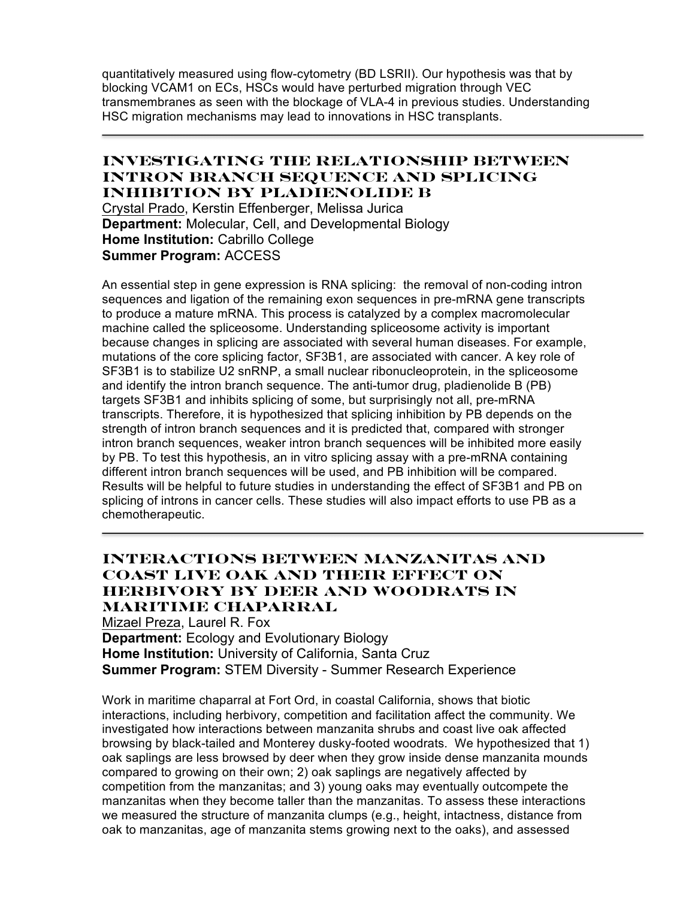quantitatively measured using flow-cytometry (BD LSRII). Our hypothesis was that by blocking VCAM1 on ECs, HSCs would have perturbed migration through VEC transmembranes as seen with the blockage of VLA-4 in previous studies. Understanding HSC migration mechanisms may lead to innovations in HSC transplants.

### **Investigating the Relationship Between Intron Branch Sequence and Splicing Inhibition by Pladienolide B**

Crystal Prado, Kerstin Effenberger, Melissa Jurica **Department:** Molecular, Cell, and Developmental Biology **Home Institution:** Cabrillo College **Summer Program:** ACCESS

An essential step in gene expression is RNA splicing: the removal of non-coding intron sequences and ligation of the remaining exon sequences in pre-mRNA gene transcripts to produce a mature mRNA. This process is catalyzed by a complex macromolecular machine called the spliceosome. Understanding spliceosome activity is important because changes in splicing are associated with several human diseases. For example, mutations of the core splicing factor, SF3B1, are associated with cancer. A key role of SF3B1 is to stabilize U2 snRNP, a small nuclear ribonucleoprotein, in the spliceosome and identify the intron branch sequence. The anti-tumor drug, pladienolide B (PB) targets SF3B1 and inhibits splicing of some, but surprisingly not all, pre-mRNA transcripts. Therefore, it is hypothesized that splicing inhibition by PB depends on the strength of intron branch sequences and it is predicted that, compared with stronger intron branch sequences, weaker intron branch sequences will be inhibited more easily by PB. To test this hypothesis, an in vitro splicing assay with a pre-mRNA containing different intron branch sequences will be used, and PB inhibition will be compared. Results will be helpful to future studies in understanding the effect of SF3B1 and PB on splicing of introns in cancer cells. These studies will also impact efforts to use PB as a chemotherapeutic.

## **Interactions between manzanitas and coast live oak and their effect on herbivory by deer and woodrats in maritime chaparral**

Mizael Preza, Laurel R. Fox **Department:** Ecology and Evolutionary Biology **Home Institution:** University of California, Santa Cruz **Summer Program:** STEM Diversity - Summer Research Experience

Work in maritime chaparral at Fort Ord, in coastal California, shows that biotic interactions, including herbivory, competition and facilitation affect the community. We investigated how interactions between manzanita shrubs and coast live oak affected browsing by black-tailed and Monterey dusky-footed woodrats. We hypothesized that 1) oak saplings are less browsed by deer when they grow inside dense manzanita mounds compared to growing on their own; 2) oak saplings are negatively affected by competition from the manzanitas; and 3) young oaks may eventually outcompete the manzanitas when they become taller than the manzanitas. To assess these interactions we measured the structure of manzanita clumps (e.g., height, intactness, distance from oak to manzanitas, age of manzanita stems growing next to the oaks), and assessed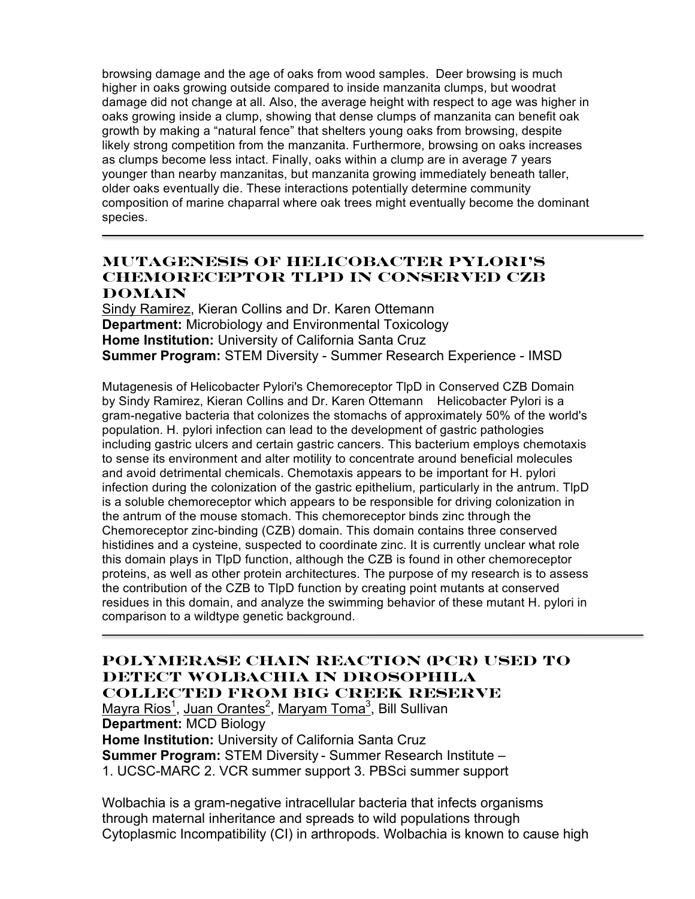browsing damage and the age of oaks from wood samples. Deer browsing is much higher in oaks growing outside compared to inside manzanita clumps, but woodrat damage did not change at all. Also, the average height with respect to age was higher in oaks growing inside a clump, showing that dense clumps of manzanita can benefit oak growth by making a "natural fence" that shelters young oaks from browsing, despite likely strong competition from the manzanita. Furthermore, browsing on oaks increases as clumps become less intact. Finally, oaks within a clump are in average 7 years younger than nearby manzanitas, but manzanita growing immediately beneath taller, older oaks eventually die. These interactions potentially determine community composition of marine chaparral where oak trees might eventually become the dominant species.

## **Mutagenesis of Helicobacter Pylori's Chemoreceptor TlpD in Conserved CZB Domain**

Sindy Ramirez, Kieran Collins and Dr. Karen Ottemann **Department:** Microbiology and Environmental Toxicology **Home Institution:** University of California Santa Cruz **Summer Program:** STEM Diversity - Summer Research Experience - IMSD

Mutagenesis of Helicobacter Pylori's Chemoreceptor TlpD in Conserved CZB Domain by Sindy Ramirez, Kieran Collins and Dr. Karen Ottemann Helicobacter Pylori is a gram-negative bacteria that colonizes the stomachs of approximately 50% of the world's population. H. pylori infection can lead to the development of gastric pathologies including gastric ulcers and certain gastric cancers. This bacterium employs chemotaxis to sense its environment and alter motility to concentrate around beneficial molecules and avoid detrimental chemicals. Chemotaxis appears to be important for H. pylori infection during the colonization of the gastric epithelium, particularly in the antrum. TlpD is a soluble chemoreceptor which appears to be responsible for driving colonization in the antrum of the mouse stomach. This chemoreceptor binds zinc through the Chemoreceptor zinc-binding (CZB) domain. This domain contains three conserved histidines and a cysteine, suspected to coordinate zinc. It is currently unclear what role this domain plays in TlpD function, although the CZB is found in other chemoreceptor proteins, as well as other protein architectures. The purpose of my research is to assess the contribution of the CZB to TlpD function by creating point mutants at conserved residues in this domain, and analyze the swimming behavior of these mutant H. pylori in comparison to a wildtype genetic background.

### **Polymerase Chain Reaction (PCR) used to Detect Wolbachia in Drosophila Collected from Big Creek Reserve**

Mayra Rios<sup>1</sup>, Juan Orantes<sup>2</sup>, Maryam Toma<sup>3</sup>, Bill Sullivan **Department:** MCD Biology **Home Institution:** University of California Santa Cruz **Summer Program:** STEM Diversity - Summer Research Institute – 1. UCSC-MARC 2. VCR summer support 3. PBSci summer support

Wolbachia is a gram-negative intracellular bacteria that infects organisms through maternal inheritance and spreads to wild populations through Cytoplasmic Incompatibility (CI) in arthropods. Wolbachia is known to cause high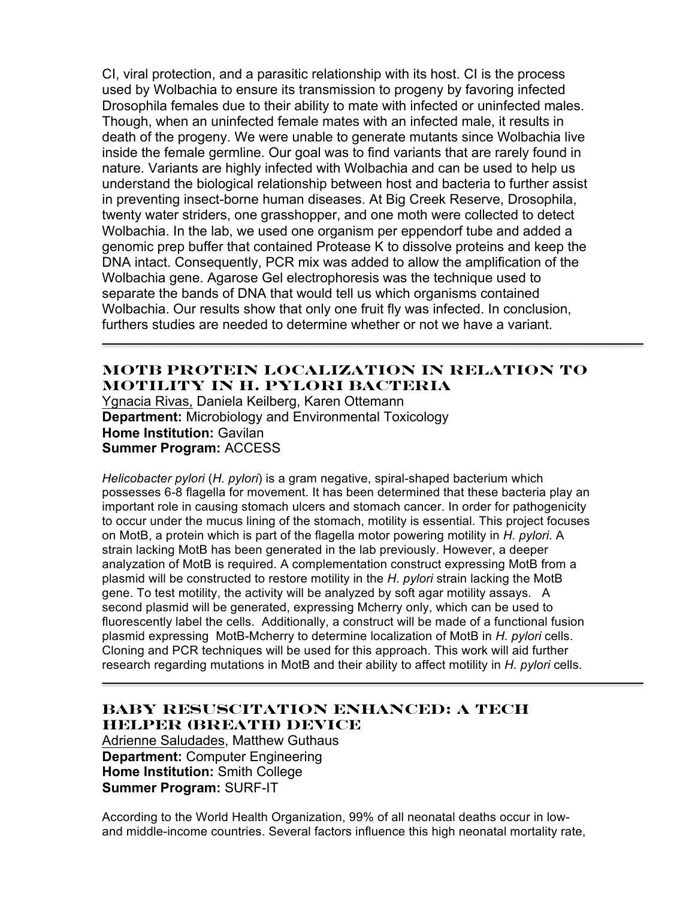CI, viral protection, and a parasitic relationship with its host. CI is the process used by Wolbachia to ensure its transmission to progeny by favoring infected Drosophila females due to their ability to mate with infected or uninfected males. Though, when an uninfected female mates with an infected male, it results in death of the progeny. We were unable to generate mutants since Wolbachia live inside the female germline. Our goal was to find variants that are rarely found in nature. Variants are highly infected with Wolbachia and can be used to help us understand the biological relationship between host and bacteria to further assist in preventing insect-borne human diseases. At Big Creek Reserve, Drosophila, twenty water striders, one grasshopper, and one moth were collected to detect Wolbachia. In the lab, we used one organism per eppendorf tube and added a genomic prep buffer that contained Protease K to dissolve proteins and keep the DNA intact. Consequently, PCR mix was added to allow the amplification of the Wolbachia gene. Agarose Gel electrophoresis was the technique used to separate the bands of DNA that would tell us which organisms contained Wolbachia. Our results show that only one fruit fly was infected. In conclusion, furthers studies are needed to determine whether or not we have a variant.

# **MotB Protein Localization in Relation to Motility in H. pylori Bacteria**

Ygnacia Rivas, Daniela Keilberg, Karen Ottemann **Department:** Microbiology and Environmental Toxicology **Home Institution:** Gavilan **Summer Program:** ACCESS

*Helicobacter pylori* (*H. pylori*) is a gram negative, spiral-shaped bacterium which possesses 6-8 flagella for movement. It has been determined that these bacteria play an important role in causing stomach ulcers and stomach cancer. In order for pathogenicity to occur under the mucus lining of the stomach, motility is essential. This project focuses on MotB, a protein which is part of the flagella motor powering motility in *H. pylori*. A strain lacking MotB has been generated in the lab previously. However, a deeper analyzation of MotB is required. A complementation construct expressing MotB from a plasmid will be constructed to restore motility in the *H. pylori* strain lacking the MotB gene. To test motility, the activity will be analyzed by soft agar motility assays. A second plasmid will be generated, expressing Mcherry only, which can be used to fluorescently label the cells. Additionally, a construct will be made of a functional fusion plasmid expressing MotB-Mcherry to determine localization of MotB in *H. pylori* cells. Cloning and PCR techniques will be used for this approach. This work will aid further research regarding mutations in MotB and their ability to affect motility in *H. pylori* cells.

### **Baby Resuscitation Enhanced: A Tech Helper (BREATH) Device**

Adrienne Saludades, Matthew Guthaus **Department:** Computer Engineering **Home Institution:** Smith College **Summer Program:** SURF-IT

According to the World Health Organization, 99% of all neonatal deaths occur in lowand middle-income countries. Several factors influence this high neonatal mortality rate,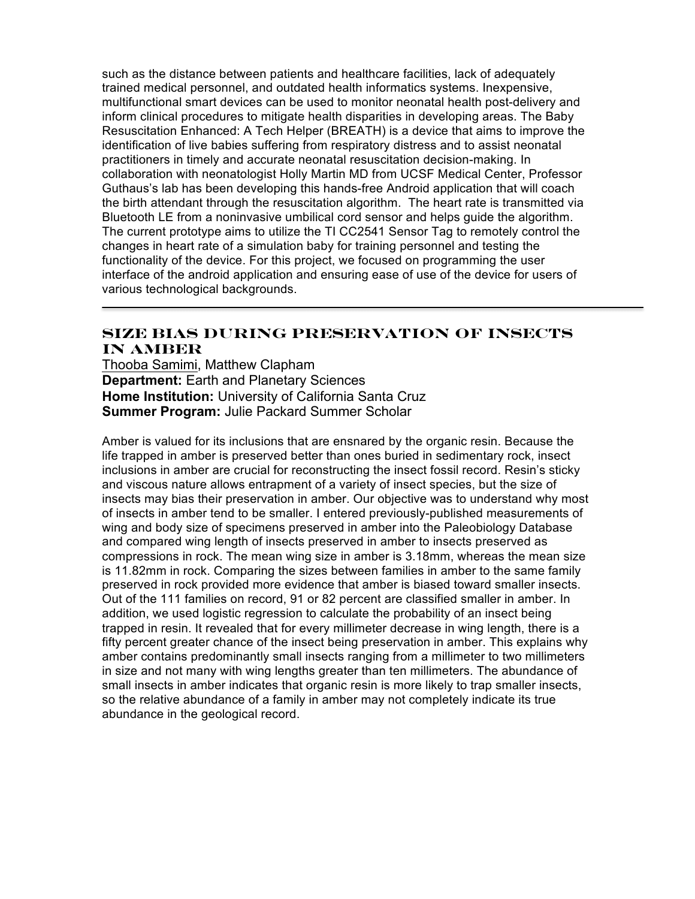such as the distance between patients and healthcare facilities, lack of adequately trained medical personnel, and outdated health informatics systems. Inexpensive, multifunctional smart devices can be used to monitor neonatal health post-delivery and inform clinical procedures to mitigate health disparities in developing areas. The Baby Resuscitation Enhanced: A Tech Helper (BREATH) is a device that aims to improve the identification of live babies suffering from respiratory distress and to assist neonatal practitioners in timely and accurate neonatal resuscitation decision-making. In collaboration with neonatologist Holly Martin MD from UCSF Medical Center, Professor Guthaus's lab has been developing this hands-free Android application that will coach the birth attendant through the resuscitation algorithm. The heart rate is transmitted via Bluetooth LE from a noninvasive umbilical cord sensor and helps guide the algorithm. The current prototype aims to utilize the TI CC2541 Sensor Tag to remotely control the changes in heart rate of a simulation baby for training personnel and testing the functionality of the device. For this project, we focused on programming the user interface of the android application and ensuring ease of use of the device for users of various technological backgrounds.

### **Size bias during preservation of insects in amber**

Thooba Samimi, Matthew Clapham **Department:** Earth and Planetary Sciences **Home Institution:** University of California Santa Cruz **Summer Program:** Julie Packard Summer Scholar

Amber is valued for its inclusions that are ensnared by the organic resin. Because the life trapped in amber is preserved better than ones buried in sedimentary rock, insect inclusions in amber are crucial for reconstructing the insect fossil record. Resin's sticky and viscous nature allows entrapment of a variety of insect species, but the size of insects may bias their preservation in amber. Our objective was to understand why most of insects in amber tend to be smaller. I entered previously-published measurements of wing and body size of specimens preserved in amber into the Paleobiology Database and compared wing length of insects preserved in amber to insects preserved as compressions in rock. The mean wing size in amber is 3.18mm, whereas the mean size is 11.82mm in rock. Comparing the sizes between families in amber to the same family preserved in rock provided more evidence that amber is biased toward smaller insects. Out of the 111 families on record, 91 or 82 percent are classified smaller in amber. In addition, we used logistic regression to calculate the probability of an insect being trapped in resin. It revealed that for every millimeter decrease in wing length, there is a fifty percent greater chance of the insect being preservation in amber. This explains why amber contains predominantly small insects ranging from a millimeter to two millimeters in size and not many with wing lengths greater than ten millimeters. The abundance of small insects in amber indicates that organic resin is more likely to trap smaller insects, so the relative abundance of a family in amber may not completely indicate its true abundance in the geological record.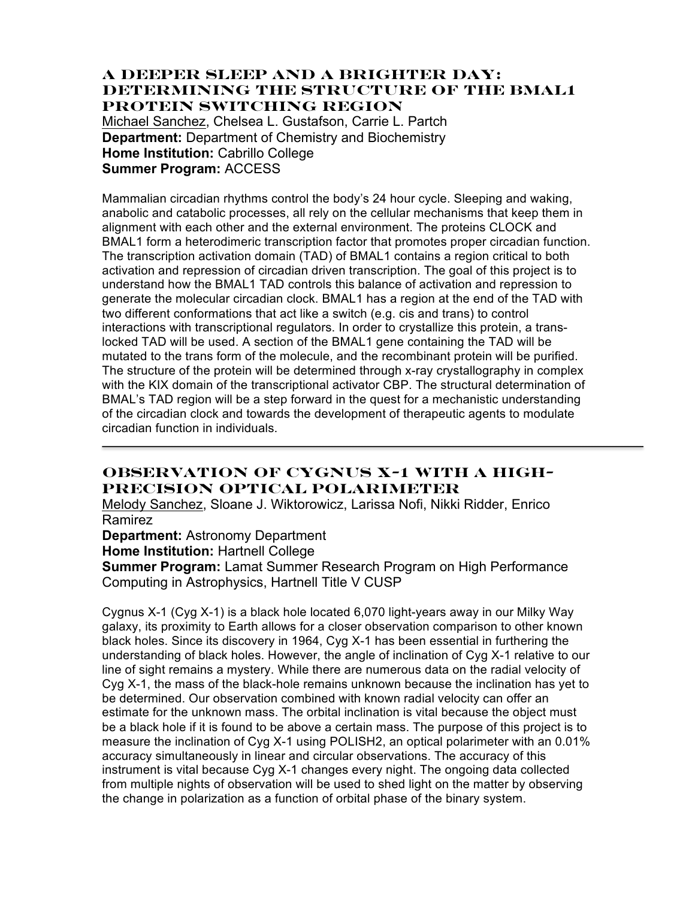### **A Deeper Sleep and a Brighter Day: Determining the Structure of the BMAL1 Protein Switching Region**

Michael Sanchez, Chelsea L. Gustafson, Carrie L. Partch **Department:** Department of Chemistry and Biochemistry **Home Institution: Cabrillo College Summer Program:** ACCESS

Mammalian circadian rhythms control the body's 24 hour cycle. Sleeping and waking, anabolic and catabolic processes, all rely on the cellular mechanisms that keep them in alignment with each other and the external environment. The proteins CLOCK and BMAL1 form a heterodimeric transcription factor that promotes proper circadian function. The transcription activation domain (TAD) of BMAL1 contains a region critical to both activation and repression of circadian driven transcription. The goal of this project is to understand how the BMAL1 TAD controls this balance of activation and repression to generate the molecular circadian clock. BMAL1 has a region at the end of the TAD with two different conformations that act like a switch (e.g. cis and trans) to control interactions with transcriptional regulators. In order to crystallize this protein, a translocked TAD will be used. A section of the BMAL1 gene containing the TAD will be mutated to the trans form of the molecule, and the recombinant protein will be purified. The structure of the protein will be determined through x-ray crystallography in complex with the KIX domain of the transcriptional activator CBP. The structural determination of BMAL's TAD region will be a step forward in the quest for a mechanistic understanding of the circadian clock and towards the development of therapeutic agents to modulate circadian function in individuals.

# **Observation of Cygnus X-1 with a High-Precision Optical Polarimeter**

Melody Sanchez, Sloane J. Wiktorowicz, Larissa Nofi, Nikki Ridder, Enrico Ramirez

#### **Department:** Astronomy Department

**Home Institution:** Hartnell College

**Summer Program:** Lamat Summer Research Program on High Performance Computing in Astrophysics, Hartnell Title V CUSP

Cygnus X-1 (Cyg X-1) is a black hole located 6,070 light-years away in our Milky Way galaxy, its proximity to Earth allows for a closer observation comparison to other known black holes. Since its discovery in 1964, Cyg X-1 has been essential in furthering the understanding of black holes. However, the angle of inclination of Cyg X-1 relative to our line of sight remains a mystery. While there are numerous data on the radial velocity of Cyg X-1, the mass of the black-hole remains unknown because the inclination has yet to be determined. Our observation combined with known radial velocity can offer an estimate for the unknown mass. The orbital inclination is vital because the object must be a black hole if it is found to be above a certain mass. The purpose of this project is to measure the inclination of Cyg X-1 using POLISH2, an optical polarimeter with an 0.01% accuracy simultaneously in linear and circular observations. The accuracy of this instrument is vital because Cyg X-1 changes every night. The ongoing data collected from multiple nights of observation will be used to shed light on the matter by observing the change in polarization as a function of orbital phase of the binary system.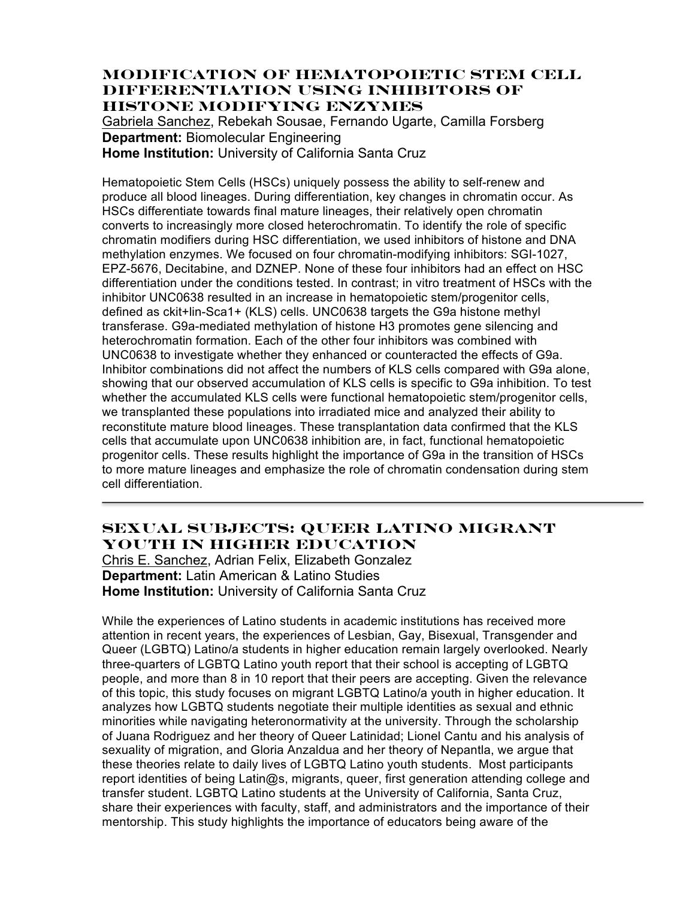### **Modification of Hematopoietic Stem Cell Differentiation Using Inhibitors of Histone Modifying Enzymes**

Gabriela Sanchez, Rebekah Sousae, Fernando Ugarte, Camilla Forsberg **Department:** Biomolecular Engineering **Home Institution:** University of California Santa Cruz

Hematopoietic Stem Cells (HSCs) uniquely possess the ability to self-renew and produce all blood lineages. During differentiation, key changes in chromatin occur. As HSCs differentiate towards final mature lineages, their relatively open chromatin converts to increasingly more closed heterochromatin. To identify the role of specific chromatin modifiers during HSC differentiation, we used inhibitors of histone and DNA methylation enzymes. We focused on four chromatin-modifying inhibitors: SGI-1027, EPZ-5676, Decitabine, and DZNEP. None of these four inhibitors had an effect on HSC differentiation under the conditions tested. In contrast; in vitro treatment of HSCs with the inhibitor UNC0638 resulted in an increase in hematopoietic stem/progenitor cells, defined as ckit+lin-Sca1+ (KLS) cells. UNC0638 targets the G9a histone methyl transferase. G9a-mediated methylation of histone H3 promotes gene silencing and heterochromatin formation. Each of the other four inhibitors was combined with UNC0638 to investigate whether they enhanced or counteracted the effects of G9a. Inhibitor combinations did not affect the numbers of KLS cells compared with G9a alone, showing that our observed accumulation of KLS cells is specific to G9a inhibition. To test whether the accumulated KLS cells were functional hematopoietic stem/progenitor cells, we transplanted these populations into irradiated mice and analyzed their ability to reconstitute mature blood lineages. These transplantation data confirmed that the KLS cells that accumulate upon UNC0638 inhibition are, in fact, functional hematopoietic progenitor cells. These results highlight the importance of G9a in the transition of HSCs to more mature lineages and emphasize the role of chromatin condensation during stem cell differentiation.

# **Sexual Subjects: Queer Latino Migrant Youth in Higher Education**

Chris E. Sanchez, Adrian Felix, Elizabeth Gonzalez **Department:** Latin American & Latino Studies **Home Institution:** University of California Santa Cruz

While the experiences of Latino students in academic institutions has received more attention in recent years, the experiences of Lesbian, Gay, Bisexual, Transgender and Queer (LGBTQ) Latino/a students in higher education remain largely overlooked. Nearly three-quarters of LGBTQ Latino youth report that their school is accepting of LGBTQ people, and more than 8 in 10 report that their peers are accepting. Given the relevance of this topic, this study focuses on migrant LGBTQ Latino/a youth in higher education. It analyzes how LGBTQ students negotiate their multiple identities as sexual and ethnic minorities while navigating heteronormativity at the university. Through the scholarship of Juana Rodriguez and her theory of Queer Latinidad; Lionel Cantu and his analysis of sexuality of migration, and Gloria Anzaldua and her theory of Nepantla, we argue that these theories relate to daily lives of LGBTQ Latino youth students. Most participants report identities of being Latin@s, migrants, queer, first generation attending college and transfer student. LGBTQ Latino students at the University of California, Santa Cruz, share their experiences with faculty, staff, and administrators and the importance of their mentorship. This study highlights the importance of educators being aware of the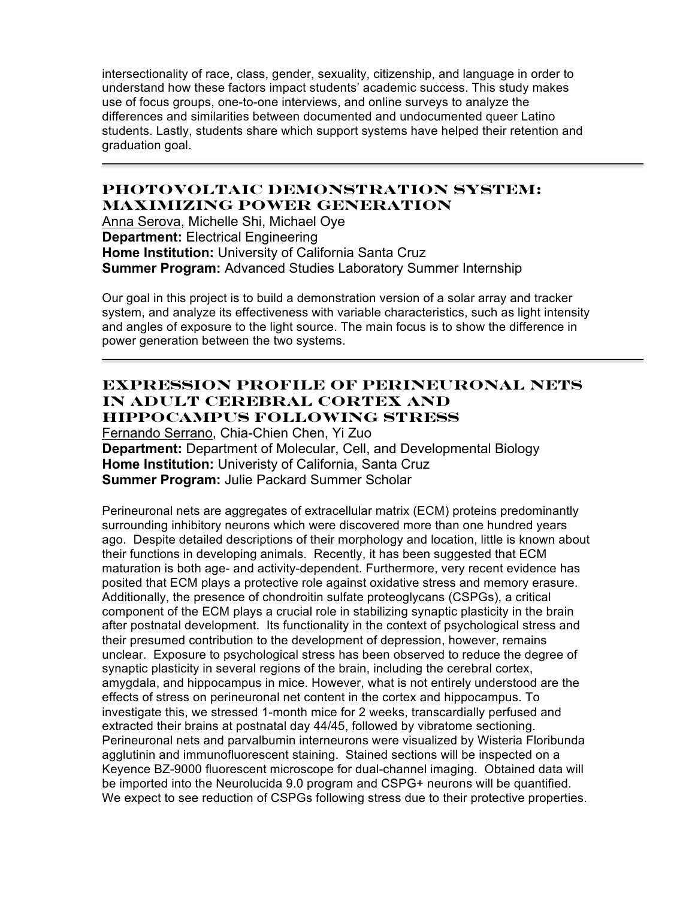intersectionality of race, class, gender, sexuality, citizenship, and language in order to understand how these factors impact students' academic success. This study makes use of focus groups, one-to-one interviews, and online surveys to analyze the differences and similarities between documented and undocumented queer Latino students. Lastly, students share which support systems have helped their retention and graduation goal.

## **PhotoVoltaic Demonstration System: Maximizing Power Generation**

Anna Serova, Michelle Shi, Michael Oye **Department:** Electrical Engineering **Home Institution:** University of California Santa Cruz **Summer Program:** Advanced Studies Laboratory Summer Internship

Our goal in this project is to build a demonstration version of a solar array and tracker system, and analyze its effectiveness with variable characteristics, such as light intensity and angles of exposure to the light source. The main focus is to show the difference in power generation between the two systems.

### **Expression profile of perineuronal nets in adult cerebral cortex and hippocampus following stress**

Fernando Serrano, Chia-Chien Chen, Yi Zuo **Department:** Department of Molecular, Cell, and Developmental Biology **Home Institution:** Univeristy of California, Santa Cruz **Summer Program:** Julie Packard Summer Scholar

Perineuronal nets are aggregates of extracellular matrix (ECM) proteins predominantly surrounding inhibitory neurons which were discovered more than one hundred years ago. Despite detailed descriptions of their morphology and location, little is known about their functions in developing animals. Recently, it has been suggested that ECM maturation is both age- and activity-dependent. Furthermore, very recent evidence has posited that ECM plays a protective role against oxidative stress and memory erasure. Additionally, the presence of chondroitin sulfate proteoglycans (CSPGs), a critical component of the ECM plays a crucial role in stabilizing synaptic plasticity in the brain after postnatal development. Its functionality in the context of psychological stress and their presumed contribution to the development of depression, however, remains unclear. Exposure to psychological stress has been observed to reduce the degree of synaptic plasticity in several regions of the brain, including the cerebral cortex, amygdala, and hippocampus in mice. However, what is not entirely understood are the effects of stress on perineuronal net content in the cortex and hippocampus. To investigate this, we stressed 1-month mice for 2 weeks, transcardially perfused and extracted their brains at postnatal day 44/45, followed by vibratome sectioning. Perineuronal nets and parvalbumin interneurons were visualized by Wisteria Floribunda agglutinin and immunofluorescent staining. Stained sections will be inspected on a Keyence BZ-9000 fluorescent microscope for dual-channel imaging. Obtained data will be imported into the Neurolucida 9.0 program and CSPG+ neurons will be quantified. We expect to see reduction of CSPGs following stress due to their protective properties.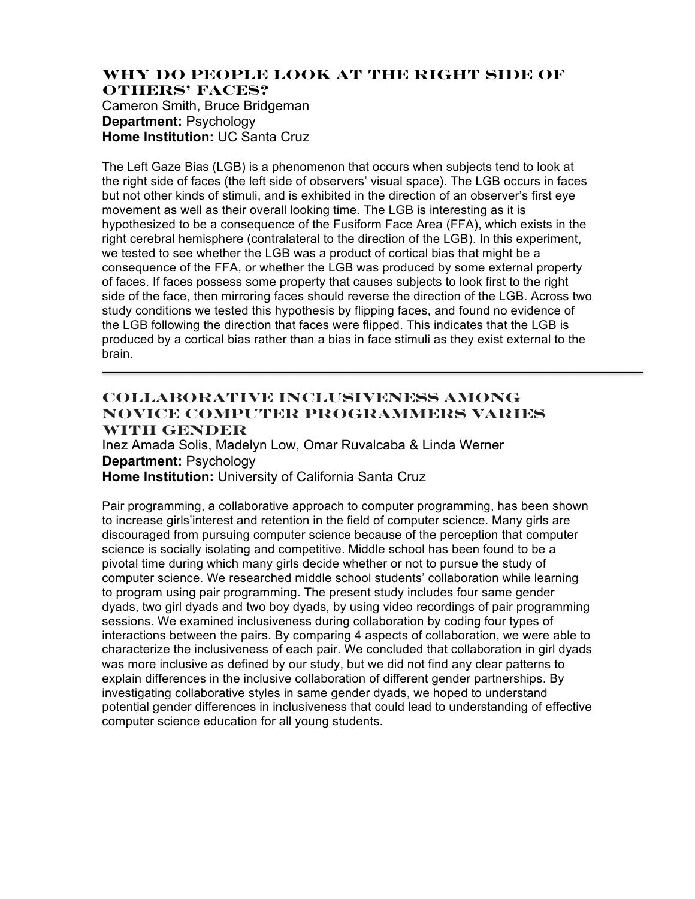# **Why do people look at the right side of others' faces?**

Cameron Smith, Bruce Bridgeman **Department:** Psychology **Home Institution:** UC Santa Cruz

The Left Gaze Bias (LGB) is a phenomenon that occurs when subjects tend to look at the right side of faces (the left side of observers' visual space). The LGB occurs in faces but not other kinds of stimuli, and is exhibited in the direction of an observer's first eye movement as well as their overall looking time. The LGB is interesting as it is hypothesized to be a consequence of the Fusiform Face Area (FFA), which exists in the right cerebral hemisphere (contralateral to the direction of the LGB). In this experiment, we tested to see whether the LGB was a product of cortical bias that might be a consequence of the FFA, or whether the LGB was produced by some external property of faces. If faces possess some property that causes subjects to look first to the right side of the face, then mirroring faces should reverse the direction of the LGB. Across two study conditions we tested this hypothesis by flipping faces, and found no evidence of the LGB following the direction that faces were flipped. This indicates that the LGB is produced by a cortical bias rather than a bias in face stimuli as they exist external to the brain.

### **Collaborative Inclusiveness Among Novice Computer Programmers Varies With Gender**

Inez Amada Solis, Madelyn Low, Omar Ruvalcaba & Linda Werner **Department:** Psychology **Home Institution:** University of California Santa Cruz

Pair programming, a collaborative approach to computer programming, has been shown to increase girls'interest and retention in the field of computer science. Many girls are discouraged from pursuing computer science because of the perception that computer science is socially isolating and competitive. Middle school has been found to be a pivotal time during which many girls decide whether or not to pursue the study of computer science. We researched middle school students' collaboration while learning to program using pair programming. The present study includes four same gender dyads, two girl dyads and two boy dyads, by using video recordings of pair programming sessions. We examined inclusiveness during collaboration by coding four types of interactions between the pairs. By comparing 4 aspects of collaboration, we were able to characterize the inclusiveness of each pair. We concluded that collaboration in girl dyads was more inclusive as defined by our study, but we did not find any clear patterns to explain differences in the inclusive collaboration of different gender partnerships. By investigating collaborative styles in same gender dyads, we hoped to understand potential gender differences in inclusiveness that could lead to understanding of effective computer science education for all young students.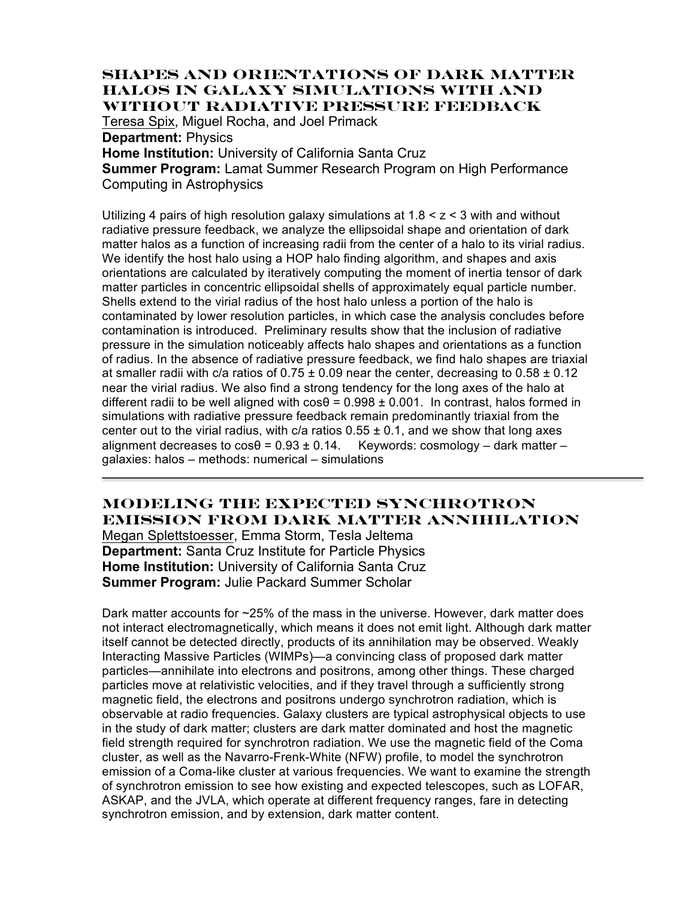#### **Shapes and Orientations of Dark Matter Halos in Galaxy Simulations with and without Radiative Pressure Feedback**

Teresa Spix, Miguel Rocha, and Joel Primack

**Department:** Physics

**Home Institution:** University of California Santa Cruz

**Summer Program:** Lamat Summer Research Program on High Performance Computing in Astrophysics

Utilizing 4 pairs of high resolution galaxy simulations at  $1.8 < z < 3$  with and without radiative pressure feedback, we analyze the ellipsoidal shape and orientation of dark matter halos as a function of increasing radii from the center of a halo to its virial radius. We identify the host halo using a HOP halo finding algorithm, and shapes and axis orientations are calculated by iteratively computing the moment of inertia tensor of dark matter particles in concentric ellipsoidal shells of approximately equal particle number. Shells extend to the virial radius of the host halo unless a portion of the halo is contaminated by lower resolution particles, in which case the analysis concludes before contamination is introduced. Preliminary results show that the inclusion of radiative pressure in the simulation noticeably affects halo shapes and orientations as a function of radius. In the absence of radiative pressure feedback, we find halo shapes are triaxial at smaller radii with c/a ratios of  $0.75 \pm 0.09$  near the center, decreasing to  $0.58 \pm 0.12$ near the virial radius. We also find a strong tendency for the long axes of the halo at different radii to be well aligned with  $cos\theta = 0.998 \pm 0.001$ . In contrast, halos formed in simulations with radiative pressure feedback remain predominantly triaxial from the center out to the virial radius, with  $c/a$  ratios  $0.55 \pm 0.1$ , and we show that long axes alignment decreases to  $\cos\theta = 0.93 \pm 0.14$ . Keywords: cosmology – dark matter – galaxies: halos – methods: numerical – simulations

# **Modeling the Expected Synchrotron Emission from Dark Matter Annihilation**

Megan Splettstoesser, Emma Storm, Tesla Jeltema **Department:** Santa Cruz Institute for Particle Physics **Home Institution:** University of California Santa Cruz **Summer Program:** Julie Packard Summer Scholar

Dark matter accounts for ~25% of the mass in the universe. However, dark matter does not interact electromagnetically, which means it does not emit light. Although dark matter itself cannot be detected directly, products of its annihilation may be observed. Weakly Interacting Massive Particles (WIMPs)—a convincing class of proposed dark matter particles—annihilate into electrons and positrons, among other things. These charged particles move at relativistic velocities, and if they travel through a sufficiently strong magnetic field, the electrons and positrons undergo synchrotron radiation, which is observable at radio frequencies. Galaxy clusters are typical astrophysical objects to use in the study of dark matter; clusters are dark matter dominated and host the magnetic field strength required for synchrotron radiation. We use the magnetic field of the Coma cluster, as well as the Navarro-Frenk-White (NFW) profile, to model the synchrotron emission of a Coma-like cluster at various frequencies. We want to examine the strength of synchrotron emission to see how existing and expected telescopes, such as LOFAR, ASKAP, and the JVLA, which operate at different frequency ranges, fare in detecting synchrotron emission, and by extension, dark matter content.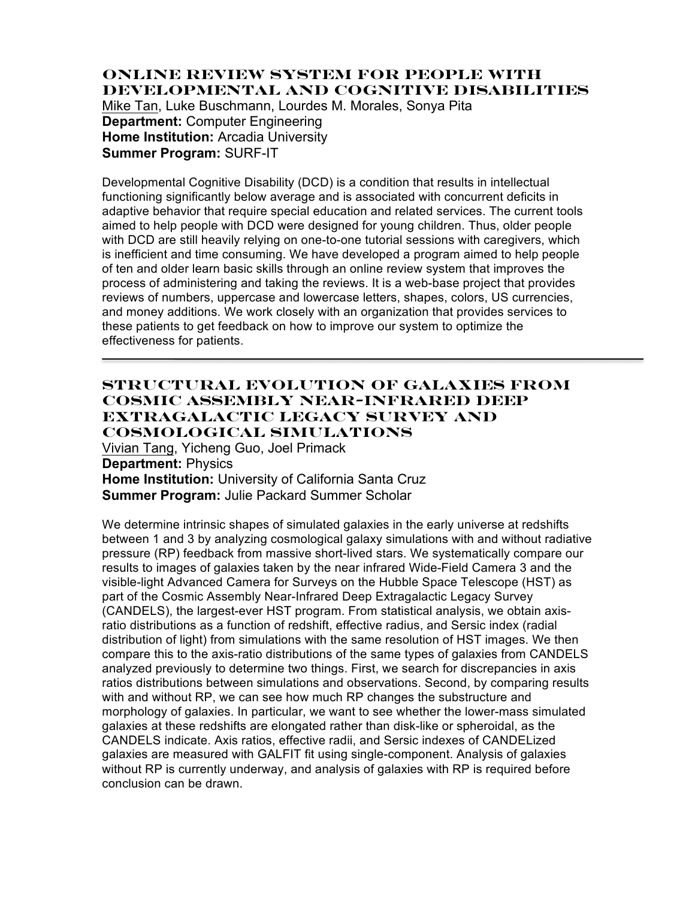### **Online Review System for People with Developmental and Cognitive Disabilities** Mike Tan, Luke Buschmann, Lourdes M. Morales, Sonya Pita **Department:** Computer Engineering **Home Institution:** Arcadia University

**Summer Program:** SURF-IT

Developmental Cognitive Disability (DCD) is a condition that results in intellectual functioning significantly below average and is associated with concurrent deficits in adaptive behavior that require special education and related services. The current tools aimed to help people with DCD were designed for young children. Thus, older people with DCD are still heavily relying on one-to-one tutorial sessions with caregivers, which is inefficient and time consuming. We have developed a program aimed to help people of ten and older learn basic skills through an online review system that improves the process of administering and taking the reviews. It is a web-base project that provides reviews of numbers, uppercase and lowercase letters, shapes, colors, US currencies, and money additions. We work closely with an organization that provides services to these patients to get feedback on how to improve our system to optimize the effectiveness for patients.

### **Structural Evolution of Galaxies from Cosmic Assembly Near-infrared Deep Extragalactic Legacy Survey and Cosmological Simulations**

Vivian Tang, Yicheng Guo, Joel Primack **Department:** Physics **Home Institution:** University of California Santa Cruz **Summer Program:** Julie Packard Summer Scholar

We determine intrinsic shapes of simulated galaxies in the early universe at redshifts between 1 and 3 by analyzing cosmological galaxy simulations with and without radiative pressure (RP) feedback from massive short-lived stars. We systematically compare our results to images of galaxies taken by the near infrared Wide-Field Camera 3 and the visible-light Advanced Camera for Surveys on the Hubble Space Telescope (HST) as part of the Cosmic Assembly Near-Infrared Deep Extragalactic Legacy Survey (CANDELS), the largest-ever HST program. From statistical analysis, we obtain axisratio distributions as a function of redshift, effective radius, and Sersic index (radial distribution of light) from simulations with the same resolution of HST images. We then compare this to the axis-ratio distributions of the same types of galaxies from CANDELS analyzed previously to determine two things. First, we search for discrepancies in axis ratios distributions between simulations and observations. Second, by comparing results with and without RP, we can see how much RP changes the substructure and morphology of galaxies. In particular, we want to see whether the lower-mass simulated galaxies at these redshifts are elongated rather than disk-like or spheroidal, as the CANDELS indicate. Axis ratios, effective radii, and Sersic indexes of CANDELized galaxies are measured with GALFIT fit using single-component. Analysis of galaxies without RP is currently underway, and analysis of galaxies with RP is required before conclusion can be drawn.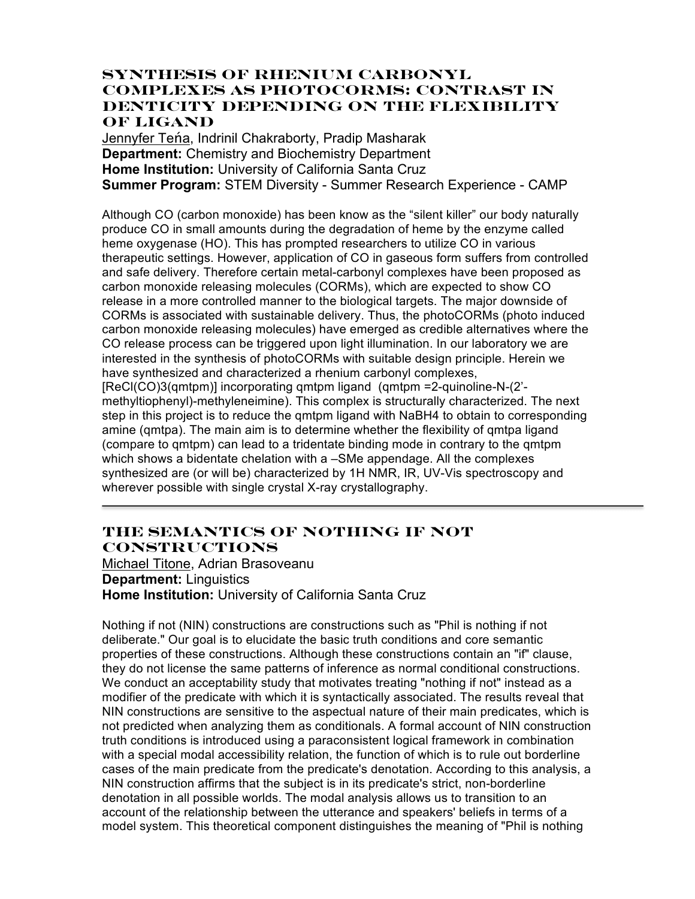## **Synthesis of rhenium carbonyl complexes as photoCORMs: Contrast in denticity depending on the flexibility of ligand**

Jennyfer Teńa, Indrinil Chakraborty, Pradip Masharak **Department:** Chemistry and Biochemistry Department **Home Institution:** University of California Santa Cruz **Summer Program:** STEM Diversity - Summer Research Experience - CAMP

Although CO (carbon monoxide) has been know as the "silent killer" our body naturally produce CO in small amounts during the degradation of heme by the enzyme called heme oxygenase (HO). This has prompted researchers to utilize CO in various therapeutic settings. However, application of CO in gaseous form suffers from controlled and safe delivery. Therefore certain metal-carbonyl complexes have been proposed as carbon monoxide releasing molecules (CORMs), which are expected to show CO release in a more controlled manner to the biological targets. The major downside of CORMs is associated with sustainable delivery. Thus, the photoCORMs (photo induced carbon monoxide releasing molecules) have emerged as credible alternatives where the CO release process can be triggered upon light illumination. In our laboratory we are interested in the synthesis of photoCORMs with suitable design principle. Herein we have synthesized and characterized a rhenium carbonyl complexes, [ReCl(CO)3(qmtpm)] incorporating qmtpm ligand (qmtpm =2-quinoline-N-(2' methyltiophenyl)-methyleneimine). This complex is structurally characterized. The next step in this project is to reduce the qmtpm ligand with NaBH4 to obtain to corresponding amine (qmtpa). The main aim is to determine whether the flexibility of qmtpa ligand (compare to qmtpm) can lead to a tridentate binding mode in contrary to the qmtpm which shows a bidentate chelation with a –SMe appendage. All the complexes synthesized are (or will be) characterized by 1H NMR, IR, UV-Vis spectroscopy and wherever possible with single crystal X-ray crystallography.

# **The Semantics of Nothing If Not Constructions**

Michael Titone, Adrian Brasoveanu **Department:** Linguistics **Home Institution:** University of California Santa Cruz

Nothing if not (NIN) constructions are constructions such as "Phil is nothing if not deliberate." Our goal is to elucidate the basic truth conditions and core semantic properties of these constructions. Although these constructions contain an "if" clause, they do not license the same patterns of inference as normal conditional constructions. We conduct an acceptability study that motivates treating "nothing if not" instead as a modifier of the predicate with which it is syntactically associated. The results reveal that NIN constructions are sensitive to the aspectual nature of their main predicates, which is not predicted when analyzing them as conditionals. A formal account of NIN construction truth conditions is introduced using a paraconsistent logical framework in combination with a special modal accessibility relation, the function of which is to rule out borderline cases of the main predicate from the predicate's denotation. According to this analysis, a NIN construction affirms that the subject is in its predicate's strict, non-borderline denotation in all possible worlds. The modal analysis allows us to transition to an account of the relationship between the utterance and speakers' beliefs in terms of a model system. This theoretical component distinguishes the meaning of "Phil is nothing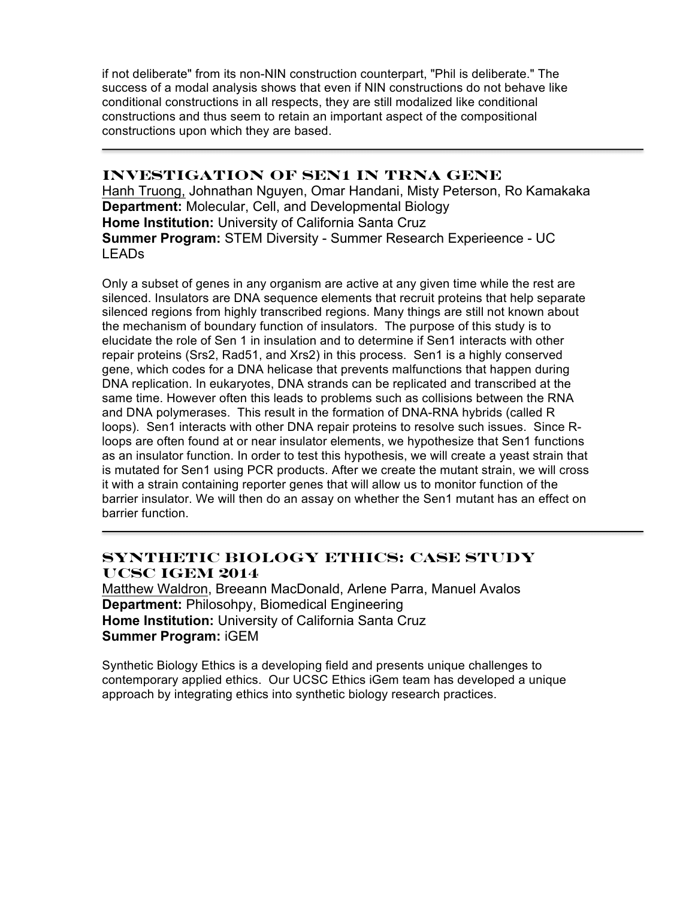if not deliberate" from its non-NIN construction counterpart, "Phil is deliberate." The success of a modal analysis shows that even if NIN constructions do not behave like conditional constructions in all respects, they are still modalized like conditional constructions and thus seem to retain an important aspect of the compositional constructions upon which they are based.

### **Investigation of Sen1 in tRNA gene**

Hanh Truong, Johnathan Nguyen, Omar Handani, Misty Peterson, Ro Kamakaka **Department:** Molecular, Cell, and Developmental Biology **Home Institution:** University of California Santa Cruz **Summer Program:** STEM Diversity - Summer Research Experieence - UC LEADs

Only a subset of genes in any organism are active at any given time while the rest are silenced. Insulators are DNA sequence elements that recruit proteins that help separate silenced regions from highly transcribed regions. Many things are still not known about the mechanism of boundary function of insulators. The purpose of this study is to elucidate the role of Sen 1 in insulation and to determine if Sen1 interacts with other repair proteins (Srs2, Rad51, and Xrs2) in this process. Sen1 is a highly conserved gene, which codes for a DNA helicase that prevents malfunctions that happen during DNA replication. In eukaryotes, DNA strands can be replicated and transcribed at the same time. However often this leads to problems such as collisions between the RNA and DNA polymerases. This result in the formation of DNA-RNA hybrids (called R loops). Sen1 interacts with other DNA repair proteins to resolve such issues. Since Rloops are often found at or near insulator elements, we hypothesize that Sen1 functions as an insulator function. In order to test this hypothesis, we will create a yeast strain that is mutated for Sen1 using PCR products. After we create the mutant strain, we will cross it with a strain containing reporter genes that will allow us to monitor function of the barrier insulator. We will then do an assay on whether the Sen1 mutant has an effect on barrier function.

## **Synthetic Biology Ethics: Case Study UCSC iGem 2014**

Matthew Waldron, Breeann MacDonald, Arlene Parra, Manuel Avalos **Department:** Philosohpy, Biomedical Engineering **Home Institution:** University of California Santa Cruz **Summer Program:** iGEM

Synthetic Biology Ethics is a developing field and presents unique challenges to contemporary applied ethics. Our UCSC Ethics iGem team has developed a unique approach by integrating ethics into synthetic biology research practices.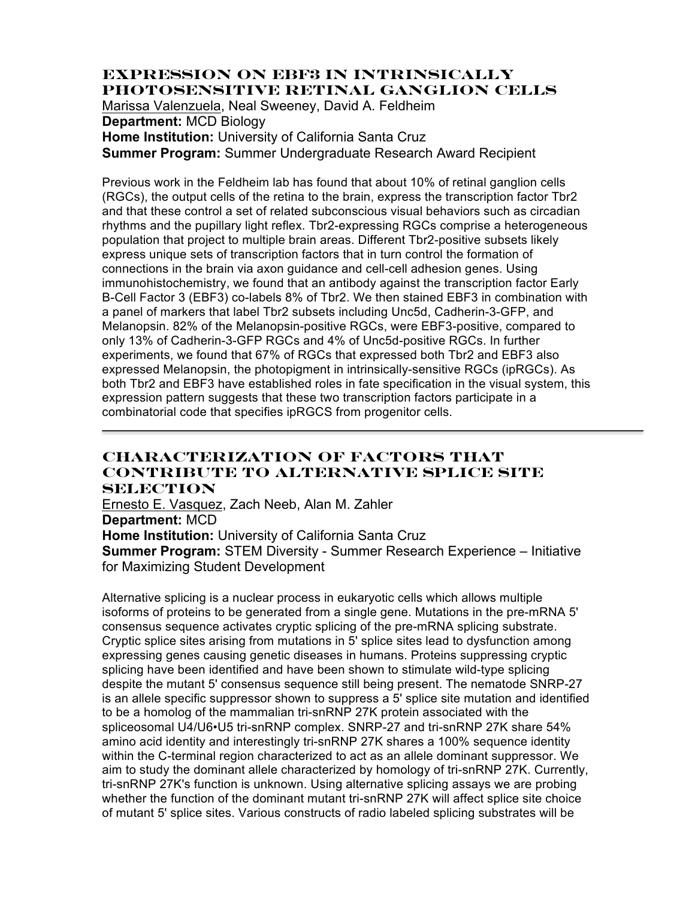# **Expression on EBF3 in Intrinsically Photosensitive Retinal Ganglion Cells**

Marissa Valenzuela, Neal Sweeney, David A. Feldheim

**Department:** MCD Biology

**Home Institution:** University of California Santa Cruz **Summer Program:** Summer Undergraduate Research Award Recipient

Previous work in the Feldheim lab has found that about 10% of retinal ganglion cells (RGCs), the output cells of the retina to the brain, express the transcription factor Tbr2 and that these control a set of related subconscious visual behaviors such as circadian rhythms and the pupillary light reflex. Tbr2-expressing RGCs comprise a heterogeneous population that project to multiple brain areas. Different Tbr2-positive subsets likely express unique sets of transcription factors that in turn control the formation of connections in the brain via axon guidance and cell-cell adhesion genes. Using immunohistochemistry, we found that an antibody against the transcription factor Early B-Cell Factor 3 (EBF3) co-labels 8% of Tbr2. We then stained EBF3 in combination with a panel of markers that label Tbr2 subsets including Unc5d, Cadherin-3-GFP, and Melanopsin. 82% of the Melanopsin-positive RGCs, were EBF3-positive, compared to only 13% of Cadherin-3-GFP RGCs and 4% of Unc5d-positive RGCs. In further experiments, we found that 67% of RGCs that expressed both Tbr2 and EBF3 also expressed Melanopsin, the photopigment in intrinsically-sensitive RGCs (ipRGCs). As both Tbr2 and EBF3 have established roles in fate specification in the visual system, this expression pattern suggests that these two transcription factors participate in a combinatorial code that specifies ipRGCS from progenitor cells.

### **Characterization of Factors that Contribute to Alternative Splice Site Selection**

Ernesto E. Vasquez, Zach Neeb, Alan M. Zahler **Department:** MCD **Home Institution:** University of California Santa Cruz **Summer Program:** STEM Diversity - Summer Research Experience – Initiative for Maximizing Student Development

Alternative splicing is a nuclear process in eukaryotic cells which allows multiple isoforms of proteins to be generated from a single gene. Mutations in the pre-mRNA 5' consensus sequence activates cryptic splicing of the pre-mRNA splicing substrate. Cryptic splice sites arising from mutations in 5' splice sites lead to dysfunction among expressing genes causing genetic diseases in humans. Proteins suppressing cryptic splicing have been identified and have been shown to stimulate wild-type splicing despite the mutant 5' consensus sequence still being present. The nematode SNRP-27 is an allele specific suppressor shown to suppress a 5' splice site mutation and identified to be a homolog of the mammalian tri-snRNP 27K protein associated with the spliceosomal U4/U6•U5 tri-snRNP complex. SNRP-27 and tri-snRNP 27K share 54% amino acid identity and interestingly tri-snRNP 27K shares a 100% sequence identity within the C-terminal region characterized to act as an allele dominant suppressor. We aim to study the dominant allele characterized by homology of tri-snRNP 27K. Currently, tri-snRNP 27K's function is unknown. Using alternative splicing assays we are probing whether the function of the dominant mutant tri-snRNP 27K will affect splice site choice of mutant 5' splice sites. Various constructs of radio labeled splicing substrates will be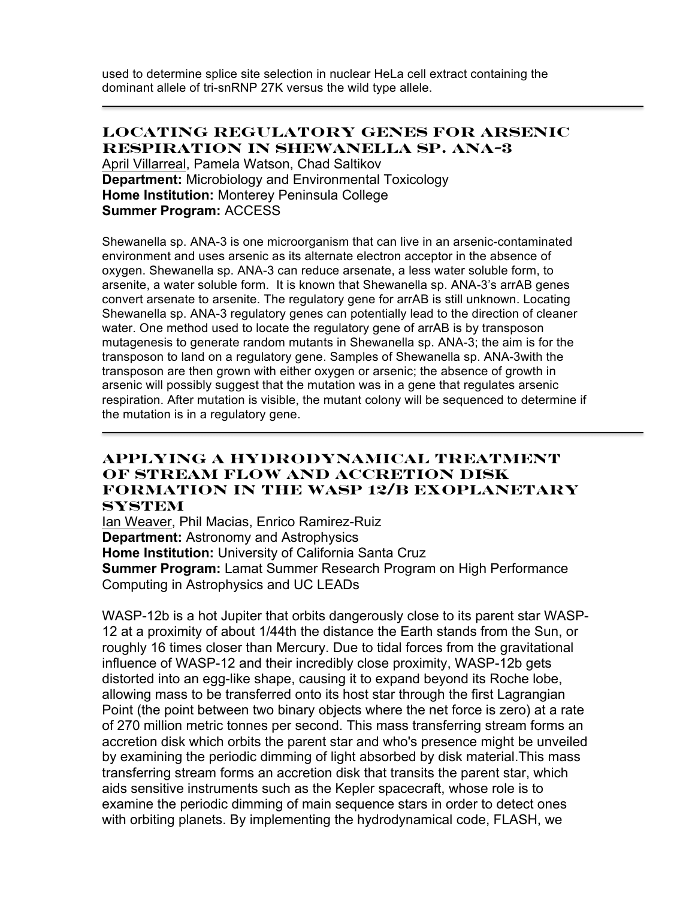used to determine splice site selection in nuclear HeLa cell extract containing the dominant allele of tri-snRNP 27K versus the wild type allele.

#### **Locating Regulatory Genes for Arsenic Respiration in Shewanella sp. ANA-3**

April Villarreal, Pamela Watson, Chad Saltikov **Department:** Microbiology and Environmental Toxicology **Home Institution:** Monterey Peninsula College **Summer Program:** ACCESS

Shewanella sp. ANA-3 is one microorganism that can live in an arsenic-contaminated environment and uses arsenic as its alternate electron acceptor in the absence of oxygen. Shewanella sp. ANA-3 can reduce arsenate, a less water soluble form, to arsenite, a water soluble form. It is known that Shewanella sp. ANA-3's arrAB genes convert arsenate to arsenite. The regulatory gene for arrAB is still unknown. Locating Shewanella sp. ANA-3 regulatory genes can potentially lead to the direction of cleaner water. One method used to locate the regulatory gene of arrAB is by transposon mutagenesis to generate random mutants in Shewanella sp. ANA-3; the aim is for the transposon to land on a regulatory gene. Samples of Shewanella sp. ANA-3with the transposon are then grown with either oxygen or arsenic; the absence of growth in arsenic will possibly suggest that the mutation was in a gene that regulates arsenic respiration. After mutation is visible, the mutant colony will be sequenced to determine if the mutation is in a regulatory gene.

### **Applying a Hydrodynamical Treatment of Stream Flow and Accretion Disk Formation in the WASP 12/b Exoplanetary System**

Ian Weaver, Phil Macias, Enrico Ramirez-Ruiz **Department:** Astronomy and Astrophysics **Home Institution:** University of California Santa Cruz **Summer Program:** Lamat Summer Research Program on High Performance Computing in Astrophysics and UC LEADs

WASP-12b is a hot Jupiter that orbits dangerously close to its parent star WASP-12 at a proximity of about 1/44th the distance the Earth stands from the Sun, or roughly 16 times closer than Mercury. Due to tidal forces from the gravitational influence of WASP-12 and their incredibly close proximity, WASP-12b gets distorted into an egg-like shape, causing it to expand beyond its Roche lobe, allowing mass to be transferred onto its host star through the first Lagrangian Point (the point between two binary objects where the net force is zero) at a rate of 270 million metric tonnes per second. This mass transferring stream forms an accretion disk which orbits the parent star and who's presence might be unveiled by examining the periodic dimming of light absorbed by disk material.This mass transferring stream forms an accretion disk that transits the parent star, which aids sensitive instruments such as the Kepler spacecraft, whose role is to examine the periodic dimming of main sequence stars in order to detect ones with orbiting planets. By implementing the hydrodynamical code, FLASH, we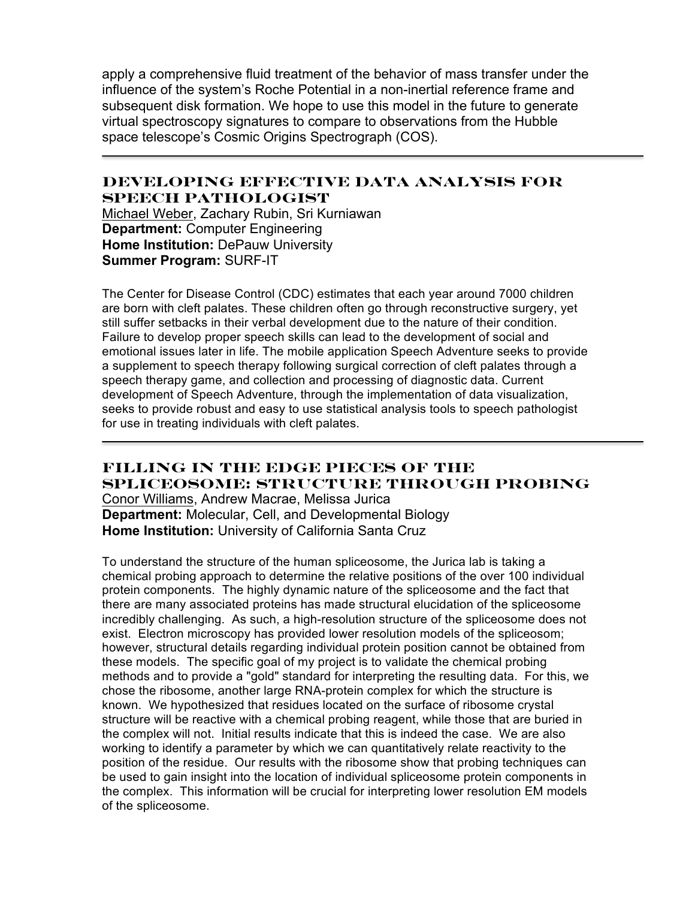apply a comprehensive fluid treatment of the behavior of mass transfer under the influence of the system's Roche Potential in a non-inertial reference frame and subsequent disk formation. We hope to use this model in the future to generate virtual spectroscopy signatures to compare to observations from the Hubble space telescope's Cosmic Origins Spectrograph (COS).

### **Developing Effective Data Analysis for Speech Pathologist**

Michael Weber, Zachary Rubin, Sri Kurniawan **Department:** Computer Engineering **Home Institution:** DePauw University **Summer Program:** SURF-IT

The Center for Disease Control (CDC) estimates that each year around 7000 children are born with cleft palates. These children often go through reconstructive surgery, yet still suffer setbacks in their verbal development due to the nature of their condition. Failure to develop proper speech skills can lead to the development of social and emotional issues later in life. The mobile application Speech Adventure seeks to provide a supplement to speech therapy following surgical correction of cleft palates through a speech therapy game, and collection and processing of diagnostic data. Current development of Speech Adventure, through the implementation of data visualization, seeks to provide robust and easy to use statistical analysis tools to speech pathologist for use in treating individuals with cleft palates.

### **Filling in the Edge Pieces of the Spliceosome: Structure through Probing** Conor Williams, Andrew Macrae, Melissa Jurica **Department:** Molecular, Cell, and Developmental Biology **Home Institution:** University of California Santa Cruz

To understand the structure of the human spliceosome, the Jurica lab is taking a chemical probing approach to determine the relative positions of the over 100 individual protein components. The highly dynamic nature of the spliceosome and the fact that there are many associated proteins has made structural elucidation of the spliceosome incredibly challenging. As such, a high-resolution structure of the spliceosome does not exist. Electron microscopy has provided lower resolution models of the spliceosom; however, structural details regarding individual protein position cannot be obtained from these models. The specific goal of my project is to validate the chemical probing methods and to provide a "gold" standard for interpreting the resulting data. For this, we chose the ribosome, another large RNA-protein complex for which the structure is known. We hypothesized that residues located on the surface of ribosome crystal structure will be reactive with a chemical probing reagent, while those that are buried in the complex will not. Initial results indicate that this is indeed the case. We are also working to identify a parameter by which we can quantitatively relate reactivity to the position of the residue. Our results with the ribosome show that probing techniques can be used to gain insight into the location of individual spliceosome protein components in the complex. This information will be crucial for interpreting lower resolution EM models of the spliceosome.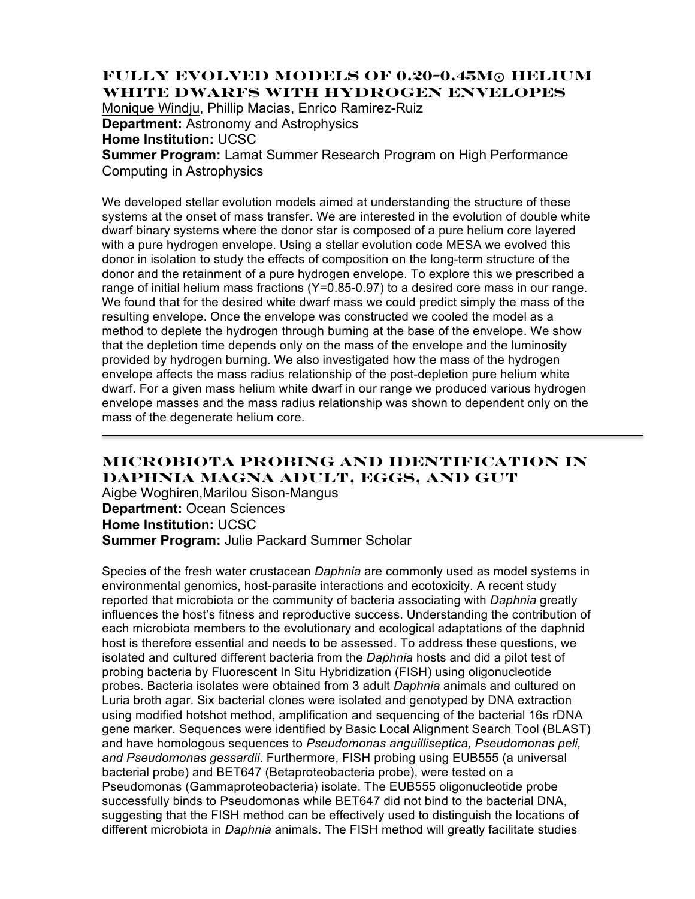# **Fully Evolved Models of 0.20-0.45M**⊙ **Helium White Dwarfs with Hydrogen Envelopes**

Monique Windju, Phillip Macias, Enrico Ramirez-Ruiz **Department:** Astronomy and Astrophysics

**Home Institution:** UCSC

**Summer Program:** Lamat Summer Research Program on High Performance Computing in Astrophysics

We developed stellar evolution models aimed at understanding the structure of these systems at the onset of mass transfer. We are interested in the evolution of double white dwarf binary systems where the donor star is composed of a pure helium core layered with a pure hydrogen envelope. Using a stellar evolution code MESA we evolved this donor in isolation to study the effects of composition on the long-term structure of the donor and the retainment of a pure hydrogen envelope. To explore this we prescribed a range of initial helium mass fractions (Y=0.85-0.97) to a desired core mass in our range. We found that for the desired white dwarf mass we could predict simply the mass of the resulting envelope. Once the envelope was constructed we cooled the model as a method to deplete the hydrogen through burning at the base of the envelope. We show that the depletion time depends only on the mass of the envelope and the luminosity provided by hydrogen burning. We also investigated how the mass of the hydrogen envelope affects the mass radius relationship of the post-depletion pure helium white dwarf. For a given mass helium white dwarf in our range we produced various hydrogen envelope masses and the mass radius relationship was shown to dependent only on the mass of the degenerate helium core.

# **Microbiota probing and identification in Daphnia magna adult, eggs, and gut**

Aigbe Woghiren,Marilou Sison-Mangus **Department:** Ocean Sciences **Home Institution:** UCSC **Summer Program:** Julie Packard Summer Scholar

Species of the fresh water crustacean *Daphnia* are commonly used as model systems in environmental genomics, host-parasite interactions and ecotoxicity. A recent study reported that microbiota or the community of bacteria associating with *Daphnia* greatly influences the host's fitness and reproductive success. Understanding the contribution of each microbiota members to the evolutionary and ecological adaptations of the daphnid host is therefore essential and needs to be assessed. To address these questions, we isolated and cultured different bacteria from the *Daphnia* hosts and did a pilot test of probing bacteria by Fluorescent In Situ Hybridization (FISH) using oligonucleotide probes. Bacteria isolates were obtained from 3 adult *Daphnia* animals and cultured on Luria broth agar. Six bacterial clones were isolated and genotyped by DNA extraction using modified hotshot method, amplification and sequencing of the bacterial 16s rDNA gene marker. Sequences were identified by Basic Local Alignment Search Tool (BLAST) and have homologous sequences to *Pseudomonas anguilliseptica, Pseudomonas peli, and Pseudomonas gessardii*. Furthermore, FISH probing using EUB555 (a universal bacterial probe) and BET647 (Betaproteobacteria probe), were tested on a Pseudomonas (Gammaproteobacteria) isolate. The EUB555 oligonucleotide probe successfully binds to Pseudomonas while BET647 did not bind to the bacterial DNA, suggesting that the FISH method can be effectively used to distinguish the locations of different microbiota in *Daphnia* animals. The FISH method will greatly facilitate studies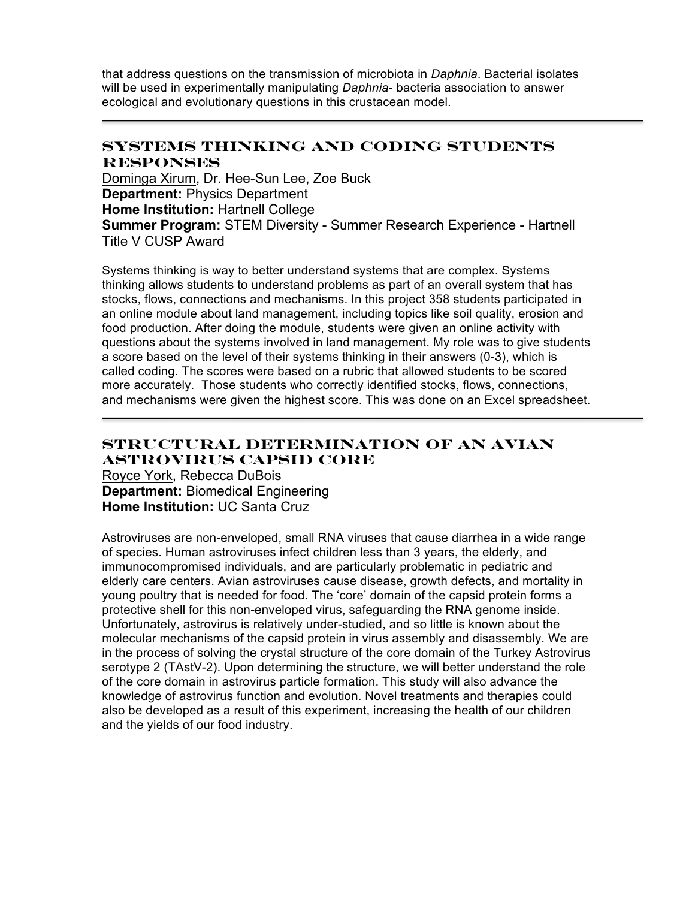that address questions on the transmission of microbiota in *Daphnia*. Bacterial isolates will be used in experimentally manipulating *Daphnia*- bacteria association to answer ecological and evolutionary questions in this crustacean model.

## **Systems Thinking and Coding Students Responses**

Dominga Xirum, Dr. Hee-Sun Lee, Zoe Buck **Department:** Physics Department **Home Institution:** Hartnell College **Summer Program:** STEM Diversity - Summer Research Experience - Hartnell Title V CUSP Award

Systems thinking is way to better understand systems that are complex. Systems thinking allows students to understand problems as part of an overall system that has stocks, flows, connections and mechanisms. In this project 358 students participated in an online module about land management, including topics like soil quality, erosion and food production. After doing the module, students were given an online activity with questions about the systems involved in land management. My role was to give students a score based on the level of their systems thinking in their answers (0-3), which is called coding. The scores were based on a rubric that allowed students to be scored more accurately. Those students who correctly identified stocks, flows, connections, and mechanisms were given the highest score. This was done on an Excel spreadsheet.

# **Structural Determination of an Avian Astrovirus Capsid Core**

Royce York, Rebecca DuBois **Department:** Biomedical Engineering **Home Institution:** UC Santa Cruz

Astroviruses are non-enveloped, small RNA viruses that cause diarrhea in a wide range of species. Human astroviruses infect children less than 3 years, the elderly, and immunocompromised individuals, and are particularly problematic in pediatric and elderly care centers. Avian astroviruses cause disease, growth defects, and mortality in young poultry that is needed for food. The 'core' domain of the capsid protein forms a protective shell for this non-enveloped virus, safeguarding the RNA genome inside. Unfortunately, astrovirus is relatively under-studied, and so little is known about the molecular mechanisms of the capsid protein in virus assembly and disassembly. We are in the process of solving the crystal structure of the core domain of the Turkey Astrovirus serotype 2 (TAstV-2). Upon determining the structure, we will better understand the role of the core domain in astrovirus particle formation. This study will also advance the knowledge of astrovirus function and evolution. Novel treatments and therapies could also be developed as a result of this experiment, increasing the health of our children and the yields of our food industry.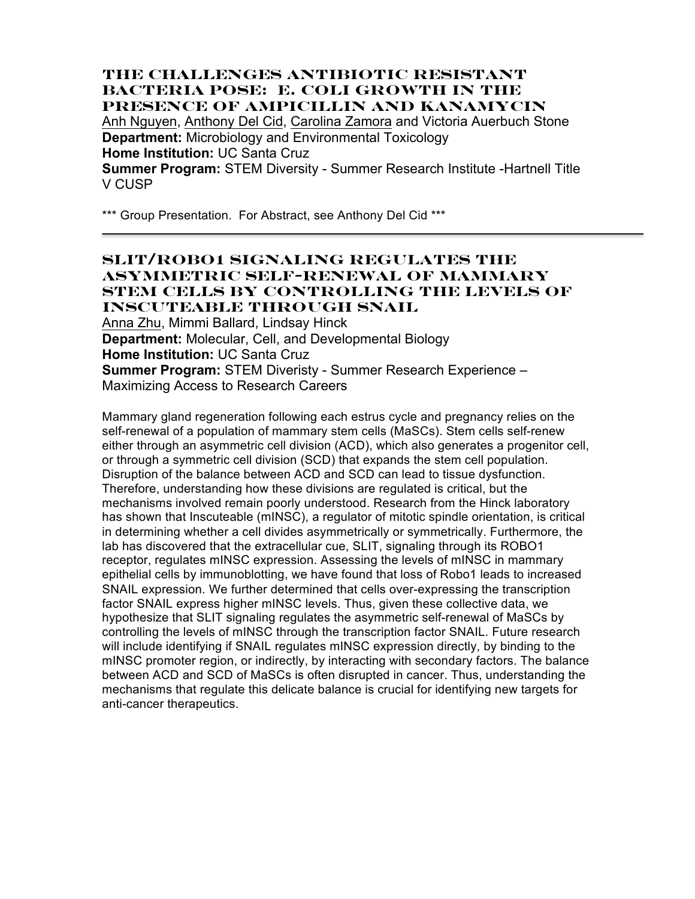### **The Challenges Antibiotic Resistant Bacteria Pose: E. coli Growth in the Presence of Ampicillin and Kanamycin** Anh Nguyen, Anthony Del Cid, Carolina Zamora and Victoria Auerbuch Stone **Department:** Microbiology and Environmental Toxicology **Home Institution:** UC Santa Cruz **Summer Program:** STEM Diversity - Summer Research Institute -Hartnell Title V CUSP

\*\*\* Group Presentation. For Abstract, see Anthony Del Cid \*\*\*

### **SLIT/ROBO1 Signaling Regulates the Asymmetric Self-Renewal of Mammary Stem Cells by Controlling the Levels of Inscuteable Through SNAIL**

Anna Zhu, Mimmi Ballard, Lindsay Hinck **Department:** Molecular, Cell, and Developmental Biology **Home Institution:** UC Santa Cruz **Summer Program:** STEM Diveristy - Summer Research Experience – Maximizing Access to Research Careers

Mammary gland regeneration following each estrus cycle and pregnancy relies on the self-renewal of a population of mammary stem cells (MaSCs). Stem cells self-renew either through an asymmetric cell division (ACD), which also generates a progenitor cell, or through a symmetric cell division (SCD) that expands the stem cell population. Disruption of the balance between ACD and SCD can lead to tissue dysfunction. Therefore, understanding how these divisions are regulated is critical, but the mechanisms involved remain poorly understood. Research from the Hinck laboratory has shown that Inscuteable (mINSC), a regulator of mitotic spindle orientation, is critical in determining whether a cell divides asymmetrically or symmetrically. Furthermore, the lab has discovered that the extracellular cue, SLIT, signaling through its ROBO1 receptor, regulates mINSC expression. Assessing the levels of mINSC in mammary epithelial cells by immunoblotting, we have found that loss of Robo1 leads to increased SNAIL expression. We further determined that cells over-expressing the transcription factor SNAIL express higher mINSC levels. Thus, given these collective data, we hypothesize that SLIT signaling regulates the asymmetric self-renewal of MaSCs by controlling the levels of mINSC through the transcription factor SNAIL. Future research will include identifying if SNAIL regulates mINSC expression directly, by binding to the mINSC promoter region, or indirectly, by interacting with secondary factors. The balance between ACD and SCD of MaSCs is often disrupted in cancer. Thus, understanding the mechanisms that regulate this delicate balance is crucial for identifying new targets for anti-cancer therapeutics.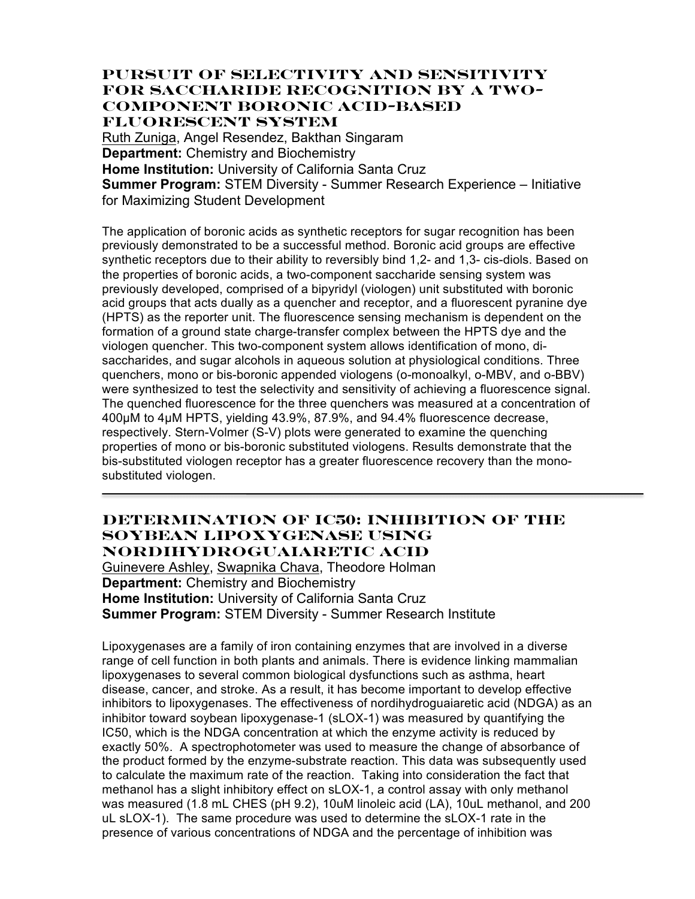#### **Pursuit of Selectivity and Sensitivity for Saccharide Recognition by a Two-Component Boronic Acid-Based Fluorescent System**

Ruth Zuniga, Angel Resendez, Bakthan Singaram **Department:** Chemistry and Biochemistry **Home Institution:** University of California Santa Cruz **Summer Program:** STEM Diversity - Summer Research Experience – Initiative for Maximizing Student Development

The application of boronic acids as synthetic receptors for sugar recognition has been previously demonstrated to be a successful method. Boronic acid groups are effective synthetic receptors due to their ability to reversibly bind 1,2- and 1,3- cis-diols. Based on the properties of boronic acids, a two-component saccharide sensing system was previously developed, comprised of a bipyridyl (viologen) unit substituted with boronic acid groups that acts dually as a quencher and receptor, and a fluorescent pyranine dye (HPTS) as the reporter unit. The fluorescence sensing mechanism is dependent on the formation of a ground state charge-transfer complex between the HPTS dye and the viologen quencher. This two-component system allows identification of mono, disaccharides, and sugar alcohols in aqueous solution at physiological conditions. Three quenchers, mono or bis-boronic appended viologens (o-monoalkyl, o-MBV, and o-BBV) were synthesized to test the selectivity and sensitivity of achieving a fluorescence signal. The quenched fluorescence for the three quenchers was measured at a concentration of 400µM to 4µM HPTS, yielding 43.9%, 87.9%, and 94.4% fluorescence decrease, respectively. Stern-Volmer (S-V) plots were generated to examine the quenching properties of mono or bis-boronic substituted viologens. Results demonstrate that the bis-substituted viologen receptor has a greater fluorescence recovery than the monosubstituted viologen.

### **Determination of IC50: Inhibition of the Soybean Lipoxygenase using Nordihydroguaiaretic Acid**

Guinevere Ashley, Swapnika Chava, Theodore Holman **Department:** Chemistry and Biochemistry **Home Institution:** University of California Santa Cruz **Summer Program:** STEM Diversity - Summer Research Institute

Lipoxygenases are a family of iron containing enzymes that are involved in a diverse range of cell function in both plants and animals. There is evidence linking mammalian lipoxygenases to several common biological dysfunctions such as asthma, heart disease, cancer, and stroke. As a result, it has become important to develop effective inhibitors to lipoxygenases. The effectiveness of nordihydroguaiaretic acid (NDGA) as an inhibitor toward soybean lipoxygenase-1 (sLOX-1) was measured by quantifying the IC50, which is the NDGA concentration at which the enzyme activity is reduced by exactly 50%. A spectrophotometer was used to measure the change of absorbance of the product formed by the enzyme-substrate reaction. This data was subsequently used to calculate the maximum rate of the reaction. Taking into consideration the fact that methanol has a slight inhibitory effect on sLOX-1, a control assay with only methanol was measured (1.8 mL CHES (pH 9.2), 10uM linoleic acid (LA), 10uL methanol, and 200 uL sLOX-1). The same procedure was used to determine the sLOX-1 rate in the presence of various concentrations of NDGA and the percentage of inhibition was